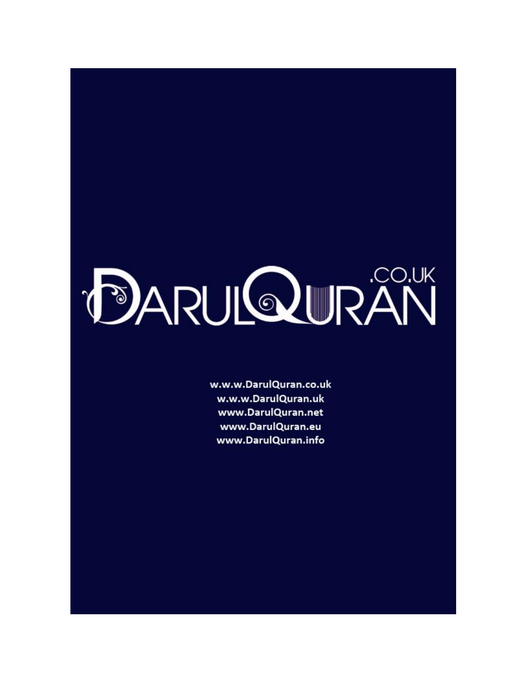# **DARULQUIRAN**

w.w.w.DarulQuran.co.uk w.w.w.DarulQuran.uk www.DarulQuran.net www.DarulQuran.eu www.DarulQuran.info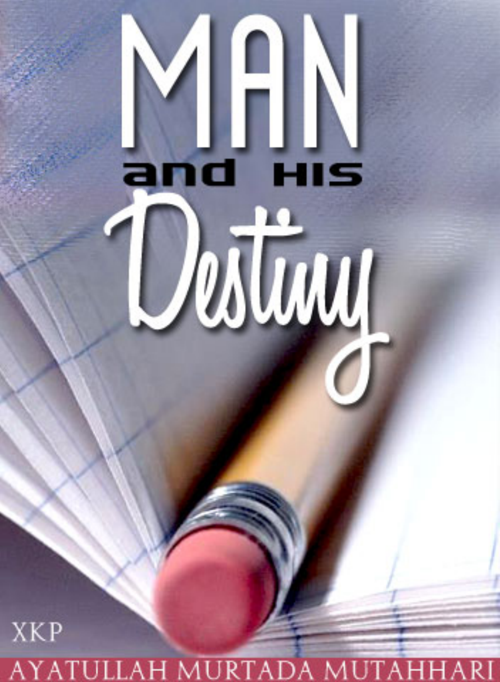### **AYATULLAH MURTADA**

**XKP** 

# HIS Destiny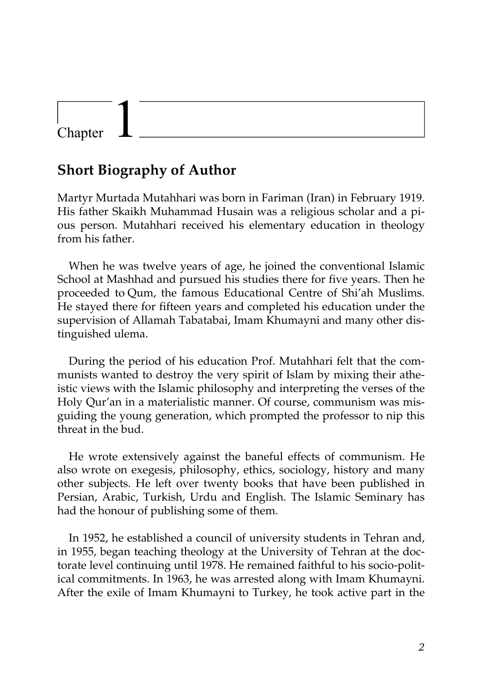### Chapter

### **Short Biography of Author**

Martyr Murtada Mutahhari was born in Fariman (Iran) in February 1919. His father Skaikh Muhammad Husain was a religious scholar and a pious person. Mutahhari received his elementary education in theology from his father.

When he was twelve years of age, he joined the conventional Islamic School at Mashhad and pursued his studies there for five years. Then he proceeded to Qum, the famous Educational Centre of Shi'ah Muslims. He stayed there for fifteen years and completed his education under the supervision of Allamah Tabatabai, Imam Khumayni and many other distinguished ulema.

During the period of his education Prof. Mutahhari felt that the communists wanted to destroy the very spirit of Islam by mixing their atheistic views with the Islamic philosophy and interpreting the verses of the Holy Qur'an in a materialistic manner. Of course, communism was misguiding the young generation, which prompted the professor to nip this threat in the bud.

He wrote extensively against the baneful effects of communism. He also wrote on exegesis, philosophy, ethics, sociology, history and many other subjects. He left over twenty books that have been published in Persian, Arabic, Turkish, Urdu and English. The Islamic Seminary has had the honour of publishing some of them.

In 1952, he established a council of university students in Tehran and, in 1955, began teaching theology at the University of Tehran at the doctorate level continuing until 1978. He remained faithful to his socio-political commitments. In 1963, he was arrested along with Imam Khumayni. After the exile of Imam Khumayni to Turkey, he took active part in the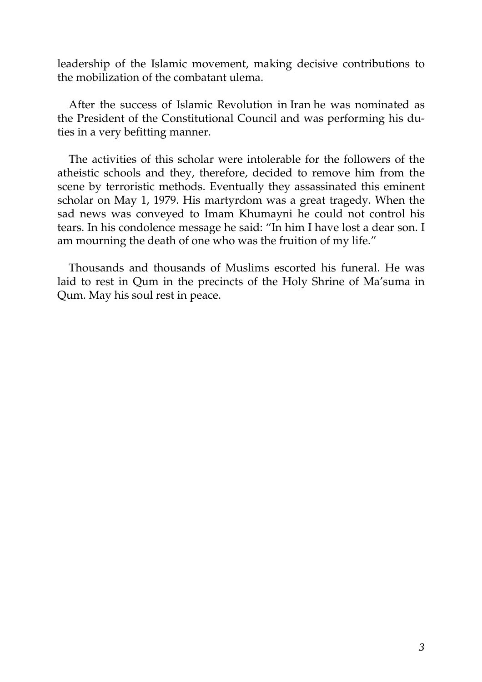leadership of the Islamic movement, making decisive contributions to the mobilization of the combatant ulema.

After the success of Islamic Revolution in Iran he was nominated as the President of the Constitutional Council and was performing his duties in a very befitting manner.

The activities of this scholar were intolerable for the followers of the atheistic schools and they, therefore, decided to remove him from the scene by terroristic methods. Eventually they assassinated this eminent scholar on May 1, 1979. His martyrdom was a great tragedy. When the sad news was conveyed to Imam Khumayni he could not control his tears. In his condolence message he said: "In him I have lost a dear son. I am mourning the death of one who was the fruition of my life."

Thousands and thousands of Muslims escorted his funeral. He was laid to rest in Qum in the precincts of the Holy Shrine of Ma'suma in Qum. May his soul rest in peace.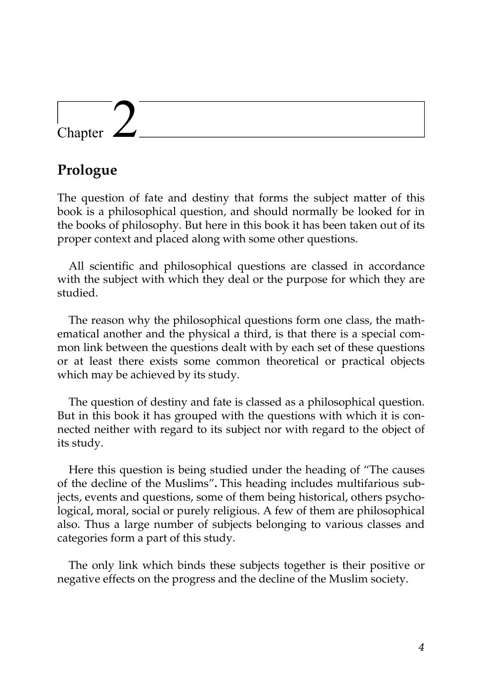### Chapter

### **Prologue**

The question of fate and destiny that forms the subject matter of this book is a philosophical question, and should normally be looked for in the books of philosophy. But here in this book it has been taken out of its proper context and placed along with some other questions.

All scientific and philosophical questions are classed in accordance with the subject with which they deal or the purpose for which they are studied.

The reason why the philosophical questions form one class, the mathematical another and the physical a third, is that there is a special common link between the questions dealt with by each set of these questions or at least there exists some common theoretical or practical objects which may be achieved by its study.

The question of destiny and fate is classed as a philosophical question. But in this book it has grouped with the questions with which it is connected neither with regard to its subject nor with regard to the object of its study.

Here this question is being studied under the heading of "The causes of the decline of the Muslims"**.** This heading includes multifarious subjects, events and questions, some of them being historical, others psychological, moral, social or purely religious. A few of them are philosophical also. Thus a large number of subjects belonging to various classes and categories form a part of this study.

The only link which binds these subjects together is their positive or negative effects on the progress and the decline of the Muslim society.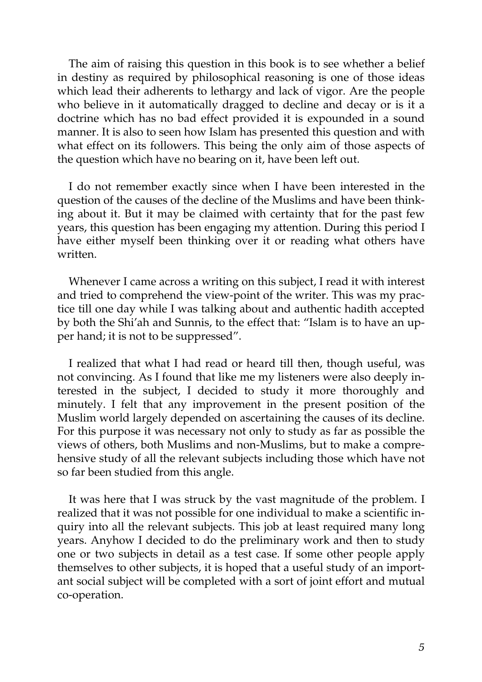The aim of raising this question in this book is to see whether a belief in destiny as required by philosophical reasoning is one of those ideas which lead their adherents to lethargy and lack of vigor. Are the people who believe in it automatically dragged to decline and decay or is it a doctrine which has no bad effect provided it is expounded in a sound manner. It is also to seen how Islam has presented this question and with what effect on its followers. This being the only aim of those aspects of the question which have no bearing on it, have been left out.

I do not remember exactly since when I have been interested in the question of the causes of the decline of the Muslims and have been thinking about it. But it may be claimed with certainty that for the past few years, this question has been engaging my attention. During this period I have either myself been thinking over it or reading what others have written.

Whenever I came across a writing on this subject, I read it with interest and tried to comprehend the view-point of the writer. This was my practice till one day while I was talking about and authentic hadith accepted by both the Shi'ah and Sunnis, to the effect that: "Islam is to have an upper hand; it is not to be suppressed".

I realized that what I had read or heard till then, though useful, was not convincing. As I found that like me my listeners were also deeply interested in the subject, I decided to study it more thoroughly and minutely. I felt that any improvement in the present position of the Muslim world largely depended on ascertaining the causes of its decline. For this purpose it was necessary not only to study as far as possible the views of others, both Muslims and non-Muslims, but to make a comprehensive study of all the relevant subjects including those which have not so far been studied from this angle.

It was here that I was struck by the vast magnitude of the problem. I realized that it was not possible for one individual to make a scientific inquiry into all the relevant subjects. This job at least required many long years. Anyhow I decided to do the preliminary work and then to study one or two subjects in detail as a test case. If some other people apply themselves to other subjects, it is hoped that a useful study of an important social subject will be completed with a sort of joint effort and mutual co-operation.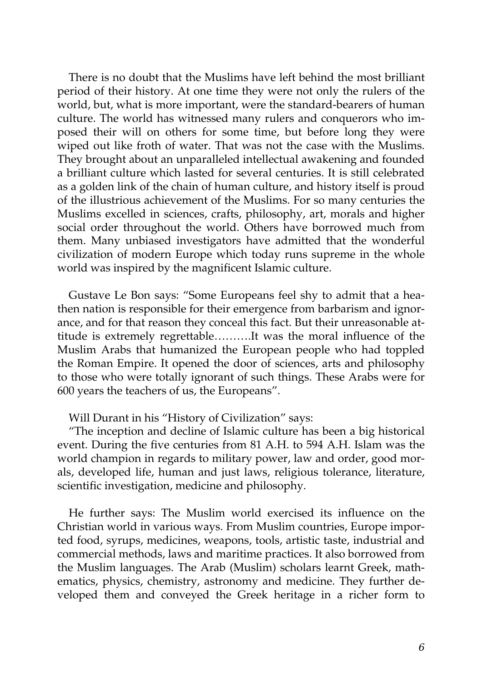There is no doubt that the Muslims have left behind the most brilliant period of their history. At one time they were not only the rulers of the world, but, what is more important, were the standard-bearers of human culture. The world has witnessed many rulers and conquerors who imposed their will on others for some time, but before long they were wiped out like froth of water. That was not the case with the Muslims. They brought about an unparalleled intellectual awakening and founded a brilliant culture which lasted for several centuries. It is still celebrated as a golden link of the chain of human culture, and history itself is proud of the illustrious achievement of the Muslims. For so many centuries the Muslims excelled in sciences, crafts, philosophy, art, morals and higher social order throughout the world. Others have borrowed much from them. Many unbiased investigators have admitted that the wonderful civilization of modern Europe which today runs supreme in the whole world was inspired by the magnificent Islamic culture.

Gustave Le Bon says: "Some Europeans feel shy to admit that a heathen nation is responsible for their emergence from barbarism and ignorance, and for that reason they conceal this fact. But their unreasonable attitude is extremely regrettable……….It was the moral influence of the Muslim Arabs that humanized the European people who had toppled the Roman Empire. It opened the door of sciences, arts and philosophy to those who were totally ignorant of such things. These Arabs were for 600 years the teachers of us, the Europeans".

Will Durant in his "History of Civilization" says:

"The inception and decline of Islamic culture has been a big historical event. During the five centuries from 81 A.H. to 594 A.H. Islam was the world champion in regards to military power, law and order, good morals, developed life, human and just laws, religious tolerance, literature, scientific investigation, medicine and philosophy.

He further says: The Muslim world exercised its influence on the Christian world in various ways. From Muslim countries, Europe imported food, syrups, medicines, weapons, tools, artistic taste, industrial and commercial methods, laws and maritime practices. It also borrowed from the Muslim languages. The Arab (Muslim) scholars learnt Greek, mathematics, physics, chemistry, astronomy and medicine. They further developed them and conveyed the Greek heritage in a richer form to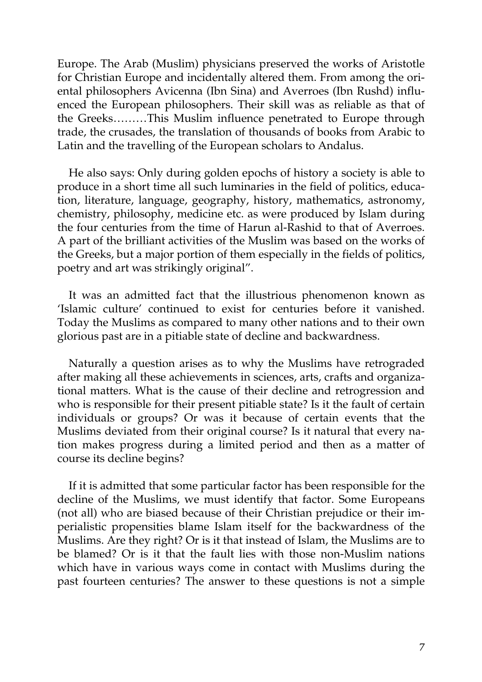Europe. The Arab (Muslim) physicians preserved the works of Aristotle for Christian Europe and incidentally altered them. From among the oriental philosophers Avicenna (Ibn Sina) and Averroes (Ibn Rushd) influenced the European philosophers. Their skill was as reliable as that of the Greeks………This Muslim influence penetrated to Europe through trade, the crusades, the translation of thousands of books from Arabic to Latin and the travelling of the European scholars to Andalus.

He also says: Only during golden epochs of history a society is able to produce in a short time all such luminaries in the field of politics, education, literature, language, geography, history, mathematics, astronomy, chemistry, philosophy, medicine etc. as were produced by Islam during the four centuries from the time of Harun al-Rashid to that of Averroes. A part of the brilliant activities of the Muslim was based on the works of the Greeks, but a major portion of them especially in the fields of politics, poetry and art was strikingly original".

It was an admitted fact that the illustrious phenomenon known as 'Islamic culture' continued to exist for centuries before it vanished. Today the Muslims as compared to many other nations and to their own glorious past are in a pitiable state of decline and backwardness.

Naturally a question arises as to why the Muslims have retrograded after making all these achievements in sciences, arts, crafts and organizational matters. What is the cause of their decline and retrogression and who is responsible for their present pitiable state? Is it the fault of certain individuals or groups? Or was it because of certain events that the Muslims deviated from their original course? Is it natural that every nation makes progress during a limited period and then as a matter of course its decline begins?

If it is admitted that some particular factor has been responsible for the decline of the Muslims, we must identify that factor. Some Europeans (not all) who are biased because of their Christian prejudice or their imperialistic propensities blame Islam itself for the backwardness of the Muslims. Are they right? Or is it that instead of Islam, the Muslims are to be blamed? Or is it that the fault lies with those non-Muslim nations which have in various ways come in contact with Muslims during the past fourteen centuries? The answer to these questions is not a simple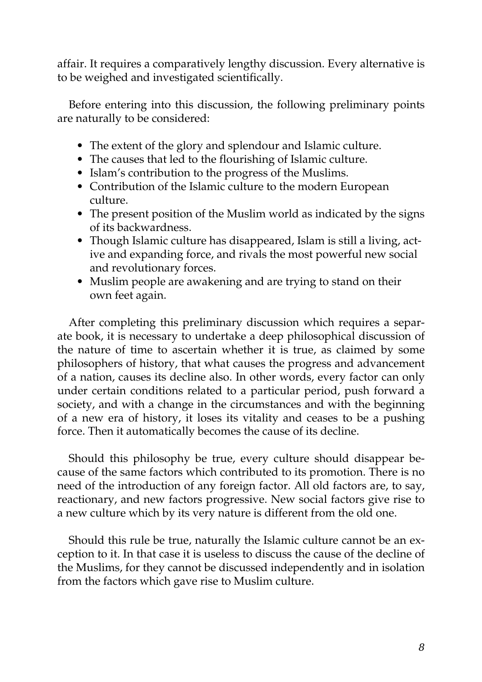affair. It requires a comparatively lengthy discussion. Every alternative is to be weighed and investigated scientifically.

Before entering into this discussion, the following preliminary points are naturally to be considered:

- The extent of the glory and splendour and Islamic culture.
- The causes that led to the flourishing of Islamic culture.
- Islam's contribution to the progress of the Muslims.
- Contribution of the Islamic culture to the modern European culture.
- The present position of the Muslim world as indicated by the signs of its backwardness.
- Though Islamic culture has disappeared, Islam is still a living, active and expanding force, and rivals the most powerful new social and revolutionary forces.
- Muslim people are awakening and are trying to stand on their own feet again.

After completing this preliminary discussion which requires a separate book, it is necessary to undertake a deep philosophical discussion of the nature of time to ascertain whether it is true, as claimed by some philosophers of history, that what causes the progress and advancement of a nation, causes its decline also. In other words, every factor can only under certain conditions related to a particular period, push forward a society, and with a change in the circumstances and with the beginning of a new era of history, it loses its vitality and ceases to be a pushing force. Then it automatically becomes the cause of its decline.

Should this philosophy be true, every culture should disappear because of the same factors which contributed to its promotion. There is no need of the introduction of any foreign factor. All old factors are, to say, reactionary, and new factors progressive. New social factors give rise to a new culture which by its very nature is different from the old one.

Should this rule be true, naturally the Islamic culture cannot be an exception to it. In that case it is useless to discuss the cause of the decline of the Muslims, for they cannot be discussed independently and in isolation from the factors which gave rise to Muslim culture.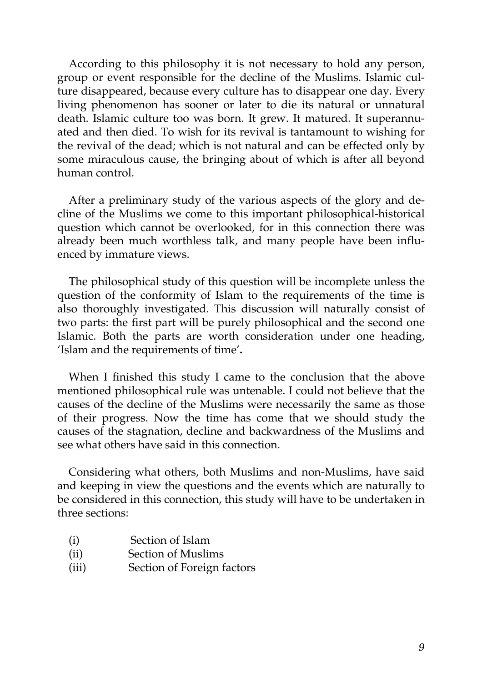According to this philosophy it is not necessary to hold any person, group or event responsible for the decline of the Muslims. Islamic culture disappeared, because every culture has to disappear one day. Every living phenomenon has sooner or later to die its natural or unnatural death. Islamic culture too was born. It grew. It matured. It superannuated and then died. To wish for its revival is tantamount to wishing for the revival of the dead; which is not natural and can be effected only by some miraculous cause, the bringing about of which is after all beyond human control.

After a preliminary study of the various aspects of the glory and decline of the Muslims we come to this important philosophical-historical question which cannot be overlooked, for in this connection there was already been much worthless talk, and many people have been influenced by immature views.

The philosophical study of this question will be incomplete unless the question of the conformity of Islam to the requirements of the time is also thoroughly investigated. This discussion will naturally consist of two parts: the first part will be purely philosophical and the second one Islamic. Both the parts are worth consideration under one heading, 'Islam and the requirements of time'**.**

When I finished this study I came to the conclusion that the above mentioned philosophical rule was untenable. I could not believe that the causes of the decline of the Muslims were necessarily the same as those of their progress. Now the time has come that we should study the causes of the stagnation, decline and backwardness of the Muslims and see what others have said in this connection.

Considering what others, both Muslims and non-Muslims, have said and keeping in view the questions and the events which are naturally to be considered in this connection, this study will have to be undertaken in three sections:

- (i) Section of Islam
- (ii) Section of Muslims
- (iii) Section of Foreign factors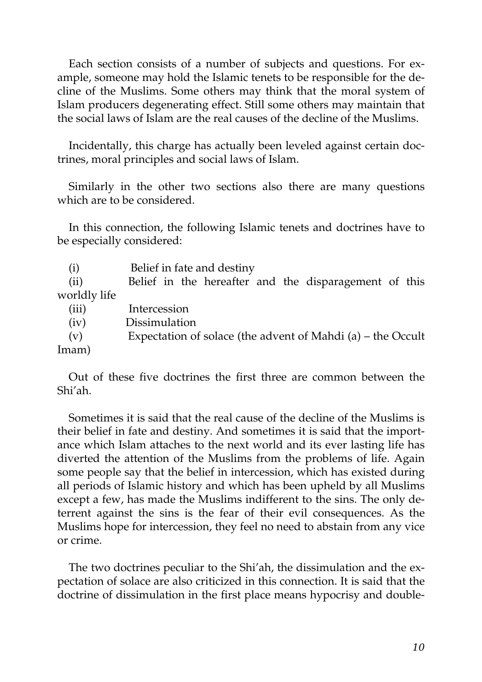Each section consists of a number of subjects and questions. For example, someone may hold the Islamic tenets to be responsible for the decline of the Muslims. Some others may think that the moral system of Islam producers degenerating effect. Still some others may maintain that the social laws of Islam are the real causes of the decline of the Muslims.

Incidentally, this charge has actually been leveled against certain doctrines, moral principles and social laws of Islam.

Similarly in the other two sections also there are many questions which are to be considered.

In this connection, the following Islamic tenets and doctrines have to be especially considered:

| (i)          | Belief in fate and destiny                                  |
|--------------|-------------------------------------------------------------|
| (ii)         | Belief in the hereafter and the disparagement of this       |
| worldly life |                                                             |
| (iii)        | Intercession                                                |
| (iv)         | Dissimulation                                               |
| (v)          | Expectation of solace (the advent of Mahdi (a) – the Occult |
| Imam)        |                                                             |

Out of these five doctrines the first three are common between the Shi'ah.

Sometimes it is said that the real cause of the decline of the Muslims is their belief in fate and destiny. And sometimes it is said that the importance which Islam attaches to the next world and its ever lasting life has diverted the attention of the Muslims from the problems of life. Again some people say that the belief in intercession, which has existed during all periods of Islamic history and which has been upheld by all Muslims except a few, has made the Muslims indifferent to the sins. The only deterrent against the sins is the fear of their evil consequences. As the Muslims hope for intercession, they feel no need to abstain from any vice or crime.

The two doctrines peculiar to the Shi'ah, the dissimulation and the expectation of solace are also criticized in this connection. It is said that the doctrine of dissimulation in the first place means hypocrisy and double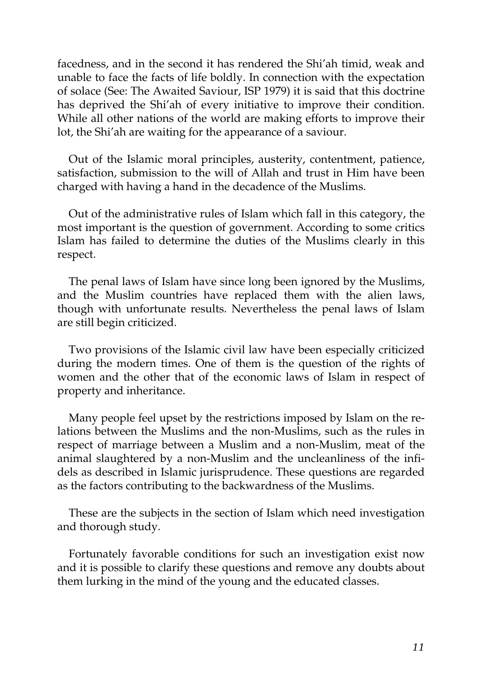facedness, and in the second it has rendered the Shi'ah timid, weak and unable to face the facts of life boldly. In connection with the expectation of solace (See: The Awaited Saviour, ISP 1979) it is said that this doctrine has deprived the Shi'ah of every initiative to improve their condition. While all other nations of the world are making efforts to improve their lot, the Shi'ah are waiting for the appearance of a saviour.

Out of the Islamic moral principles, austerity, contentment, patience, satisfaction, submission to the will of Allah and trust in Him have been charged with having a hand in the decadence of the Muslims.

Out of the administrative rules of Islam which fall in this category, the most important is the question of government. According to some critics Islam has failed to determine the duties of the Muslims clearly in this respect.

The penal laws of Islam have since long been ignored by the Muslims, and the Muslim countries have replaced them with the alien laws, though with unfortunate results. Nevertheless the penal laws of Islam are still begin criticized.

Two provisions of the Islamic civil law have been especially criticized during the modern times. One of them is the question of the rights of women and the other that of the economic laws of Islam in respect of property and inheritance.

Many people feel upset by the restrictions imposed by Islam on the relations between the Muslims and the non-Muslims, such as the rules in respect of marriage between a Muslim and a non-Muslim, meat of the animal slaughtered by a non-Muslim and the uncleanliness of the infidels as described in Islamic jurisprudence. These questions are regarded as the factors contributing to the backwardness of the Muslims.

These are the subjects in the section of Islam which need investigation and thorough study.

Fortunately favorable conditions for such an investigation exist now and it is possible to clarify these questions and remove any doubts about them lurking in the mind of the young and the educated classes.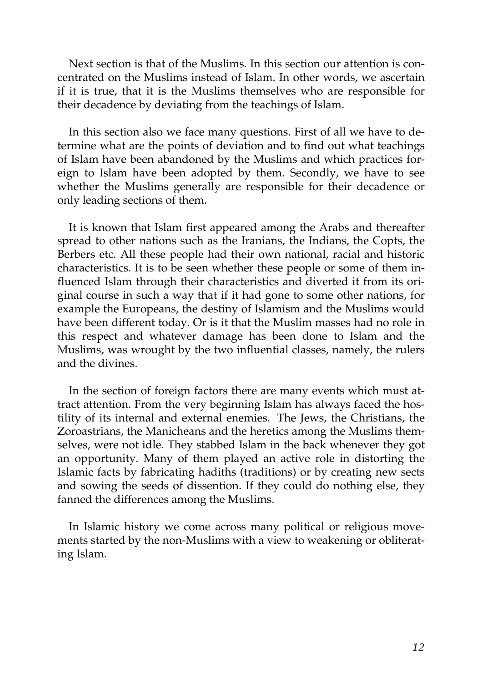Next section is that of the Muslims. In this section our attention is concentrated on the Muslims instead of Islam. In other words, we ascertain if it is true, that it is the Muslims themselves who are responsible for their decadence by deviating from the teachings of Islam.

In this section also we face many questions. First of all we have to determine what are the points of deviation and to find out what teachings of Islam have been abandoned by the Muslims and which practices foreign to Islam have been adopted by them. Secondly, we have to see whether the Muslims generally are responsible for their decadence or only leading sections of them.

It is known that Islam first appeared among the Arabs and thereafter spread to other nations such as the Iranians, the Indians, the Copts, the Berbers etc. All these people had their own national, racial and historic characteristics. It is to be seen whether these people or some of them influenced Islam through their characteristics and diverted it from its original course in such a way that if it had gone to some other nations, for example the Europeans, the destiny of Islamism and the Muslims would have been different today. Or is it that the Muslim masses had no role in this respect and whatever damage has been done to Islam and the Muslims, was wrought by the two influential classes, namely, the rulers and the divines.

In the section of foreign factors there are many events which must attract attention. From the very beginning Islam has always faced the hostility of its internal and external enemies. The Jews, the Christians, the Zoroastrians, the Manicheans and the heretics among the Muslims themselves, were not idle. They stabbed Islam in the back whenever they got an opportunity. Many of them played an active role in distorting the Islamic facts by fabricating hadiths (traditions) or by creating new sects and sowing the seeds of dissention. If they could do nothing else, they fanned the differences among the Muslims.

In Islamic history we come across many political or religious movements started by the non-Muslims with a view to weakening or obliterating Islam.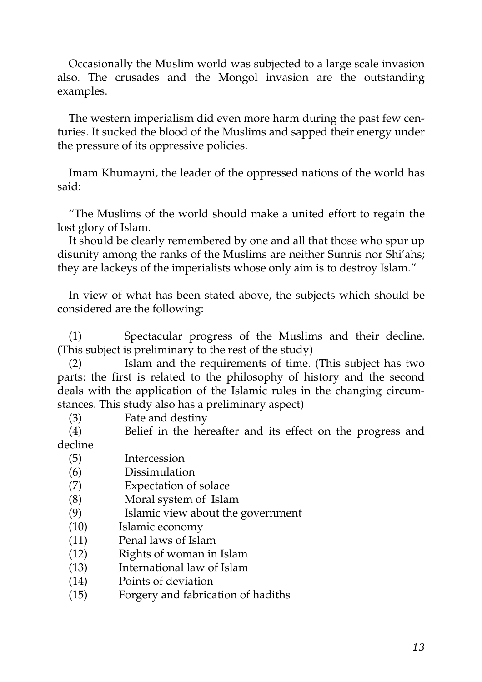Occasionally the Muslim world was subjected to a large scale invasion also. The crusades and the Mongol invasion are the outstanding examples.

The western imperialism did even more harm during the past few centuries. It sucked the blood of the Muslims and sapped their energy under the pressure of its oppressive policies.

Imam Khumayni, the leader of the oppressed nations of the world has said:

"The Muslims of the world should make a united effort to regain the lost glory of Islam.

It should be clearly remembered by one and all that those who spur up disunity among the ranks of the Muslims are neither Sunnis nor Shi'ahs; they are lackeys of the imperialists whose only aim is to destroy Islam."

In view of what has been stated above, the subjects which should be considered are the following:

(1) Spectacular progress of the Muslims and their decline. (This subject is preliminary to the rest of the study)

(2) Islam and the requirements of time. (This subject has two parts: the first is related to the philosophy of history and the second deals with the application of the Islamic rules in the changing circumstances. This study also has a preliminary aspect)

(3) Fate and destiny

(4) Belief in the hereafter and its effect on the progress and decline

- (5) Intercession
- (6) Dissimulation
- (7) Expectation of solace
- (8) Moral system of Islam
- (9) Islamic view about the government
- (10) Islamic economy
- (11) Penal laws of Islam
- (12) Rights of woman in Islam
- (13) International law of Islam
- (14) Points of deviation
- (15) Forgery and fabrication of hadiths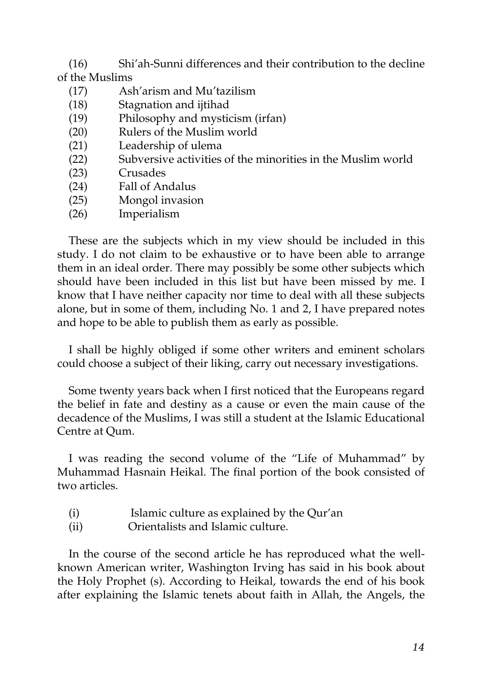(16) Shi'ah-Sunni differences and their contribution to the decline of the Muslims

- (17) Ash'arism and Mu'tazilism
- (18) Stagnation and ijtihad
- (19) Philosophy and mysticism (irfan)
- (20) Rulers of the Muslim world
- (21) Leadership of ulema
- (22) Subversive activities of the minorities in the Muslim world
- (23) Crusades
- (24) Fall of Andalus
- (25) Mongol invasion
- (26) Imperialism

These are the subjects which in my view should be included in this study. I do not claim to be exhaustive or to have been able to arrange them in an ideal order. There may possibly be some other subjects which should have been included in this list but have been missed by me. I know that I have neither capacity nor time to deal with all these subjects alone, but in some of them, including No. 1 and 2, I have prepared notes and hope to be able to publish them as early as possible.

I shall be highly obliged if some other writers and eminent scholars could choose a subject of their liking, carry out necessary investigations.

Some twenty years back when I first noticed that the Europeans regard the belief in fate and destiny as a cause or even the main cause of the decadence of the Muslims, I was still a student at the Islamic Educational Centre at Qum.

I was reading the second volume of the "Life of Muhammad" by Muhammad Hasnain Heikal. The final portion of the book consisted of two articles.

- (i) Islamic culture as explained by the Qur'an
- (ii) Orientalists and Islamic culture.

In the course of the second article he has reproduced what the wellknown American writer, Washington Irving has said in his book about the Holy Prophet (s). According to Heikal, towards the end of his book after explaining the Islamic tenets about faith in Allah, the Angels, the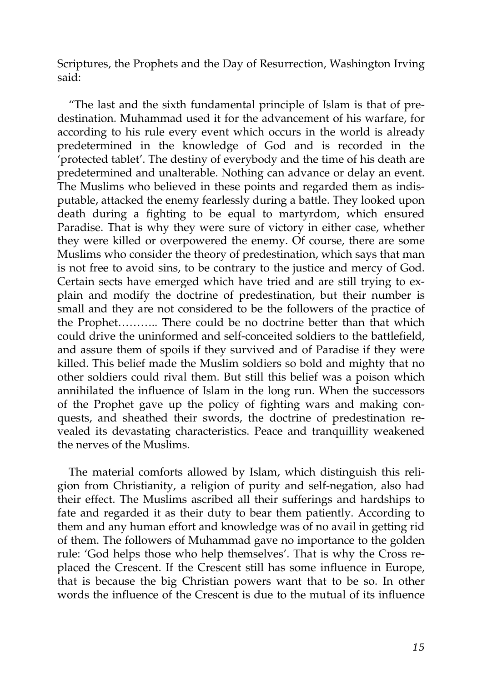Scriptures, the Prophets and the Day of Resurrection, Washington Irving said:

"The last and the sixth fundamental principle of Islam is that of predestination. Muhammad used it for the advancement of his warfare, for according to his rule every event which occurs in the world is already predetermined in the knowledge of God and is recorded in the 'protected tablet'. The destiny of everybody and the time of his death are predetermined and unalterable. Nothing can advance or delay an event. The Muslims who believed in these points and regarded them as indisputable, attacked the enemy fearlessly during a battle. They looked upon death during a fighting to be equal to martyrdom, which ensured Paradise. That is why they were sure of victory in either case, whether they were killed or overpowered the enemy. Of course, there are some Muslims who consider the theory of predestination, which says that man is not free to avoid sins, to be contrary to the justice and mercy of God. Certain sects have emerged which have tried and are still trying to explain and modify the doctrine of predestination, but their number is small and they are not considered to be the followers of the practice of the Prophet……….. There could be no doctrine better than that which could drive the uninformed and self-conceited soldiers to the battlefield, and assure them of spoils if they survived and of Paradise if they were killed. This belief made the Muslim soldiers so bold and mighty that no other soldiers could rival them. But still this belief was a poison which annihilated the influence of Islam in the long run. When the successors of the Prophet gave up the policy of fighting wars and making conquests, and sheathed their swords, the doctrine of predestination revealed its devastating characteristics. Peace and tranquillity weakened the nerves of the Muslims.

The material comforts allowed by Islam, which distinguish this religion from Christianity, a religion of purity and self-negation, also had their effect. The Muslims ascribed all their sufferings and hardships to fate and regarded it as their duty to bear them patiently. According to them and any human effort and knowledge was of no avail in getting rid of them. The followers of Muhammad gave no importance to the golden rule: 'God helps those who help themselves'. That is why the Cross replaced the Crescent. If the Crescent still has some influence in Europe, that is because the big Christian powers want that to be so. In other words the influence of the Crescent is due to the mutual of its influence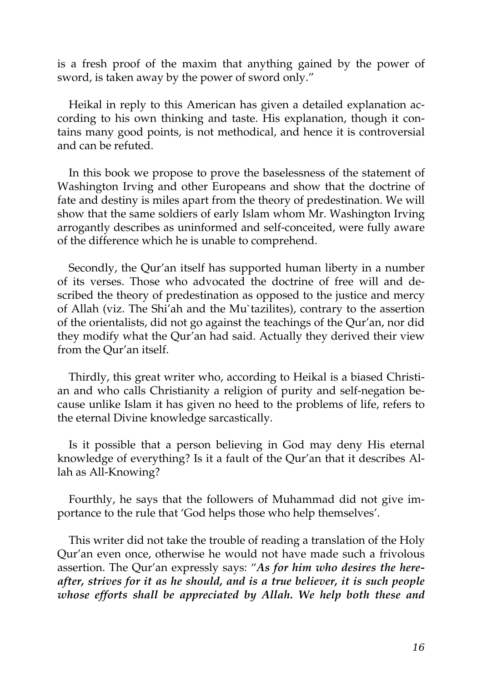is a fresh proof of the maxim that anything gained by the power of sword, is taken away by the power of sword only."

Heikal in reply to this American has given a detailed explanation according to his own thinking and taste. His explanation, though it contains many good points, is not methodical, and hence it is controversial and can be refuted.

In this book we propose to prove the baselessness of the statement of Washington Irving and other Europeans and show that the doctrine of fate and destiny is miles apart from the theory of predestination. We will show that the same soldiers of early Islam whom Mr. Washington Irving arrogantly describes as uninformed and self-conceited, were fully aware of the difference which he is unable to comprehend.

Secondly, the Qur'an itself has supported human liberty in a number of its verses. Those who advocated the doctrine of free will and described the theory of predestination as opposed to the justice and mercy of Allah (viz. The Shi'ah and the Mu`tazilites), contrary to the assertion of the orientalists, did not go against the teachings of the Qur'an, nor did they modify what the Qur'an had said. Actually they derived their view from the Qur'an itself.

Thirdly, this great writer who, according to Heikal is a biased Christian and who calls Christianity a religion of purity and self-negation because unlike Islam it has given no heed to the problems of life, refers to the eternal Divine knowledge sarcastically.

Is it possible that a person believing in God may deny His eternal knowledge of everything? Is it a fault of the Qur'an that it describes Allah as All-Knowing?

Fourthly, he says that the followers of Muhammad did not give importance to the rule that 'God helps those who help themselves'.

This writer did not take the trouble of reading a translation of the Holy Qur'an even once, otherwise he would not have made such a frivolous assertion. The Qur'an expressly says: "*As for him who desires the hereafter, strives for it as he should, and is a true believer, it is such people whose efforts shall be appreciated by Allah. We help both these and*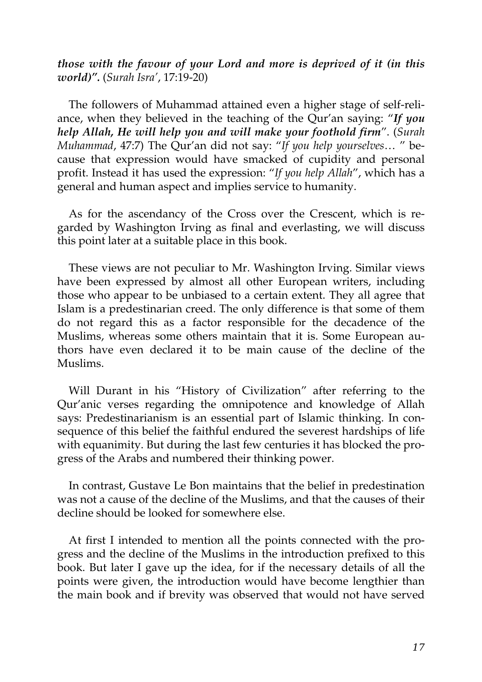*those with the favour of your Lord and more is deprived of it (in this world)".* (*Surah Isra'*, 17:19-20)

The followers of Muhammad attained even a higher stage of self-reliance, when they believed in the teaching of the Qur'an saying: "*If you help Allah, He will help you and will make your foothold firm*". (*Surah Muhammad*, 47:7) The Qur'an did not say: "*If you help yourselves*… " because that expression would have smacked of cupidity and personal profit. Instead it has used the expression: "*If you help Allah*", which has a general and human aspect and implies service to humanity.

As for the ascendancy of the Cross over the Crescent, which is regarded by Washington Irving as final and everlasting, we will discuss this point later at a suitable place in this book.

These views are not peculiar to Mr. Washington Irving. Similar views have been expressed by almost all other European writers, including those who appear to be unbiased to a certain extent. They all agree that Islam is a predestinarian creed. The only difference is that some of them do not regard this as a factor responsible for the decadence of the Muslims, whereas some others maintain that it is. Some European authors have even declared it to be main cause of the decline of the Muslims.

Will Durant in his "History of Civilization" after referring to the Qur'anic verses regarding the omnipotence and knowledge of Allah says: Predestinarianism is an essential part of Islamic thinking. In consequence of this belief the faithful endured the severest hardships of life with equanimity. But during the last few centuries it has blocked the progress of the Arabs and numbered their thinking power.

In contrast, Gustave Le Bon maintains that the belief in predestination was not a cause of the decline of the Muslims, and that the causes of their decline should be looked for somewhere else.

At first I intended to mention all the points connected with the progress and the decline of the Muslims in the introduction prefixed to this book. But later I gave up the idea, for if the necessary details of all the points were given, the introduction would have become lengthier than the main book and if brevity was observed that would not have served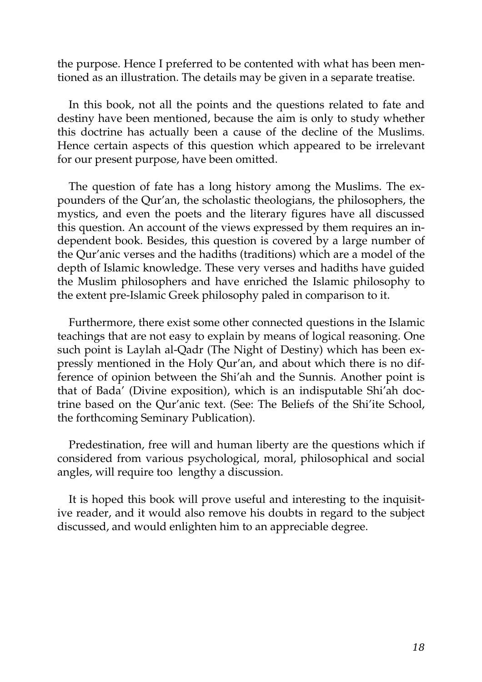the purpose. Hence I preferred to be contented with what has been mentioned as an illustration. The details may be given in a separate treatise.

In this book, not all the points and the questions related to fate and destiny have been mentioned, because the aim is only to study whether this doctrine has actually been a cause of the decline of the Muslims. Hence certain aspects of this question which appeared to be irrelevant for our present purpose, have been omitted.

The question of fate has a long history among the Muslims. The expounders of the Qur'an, the scholastic theologians, the philosophers, the mystics, and even the poets and the literary figures have all discussed this question. An account of the views expressed by them requires an independent book. Besides, this question is covered by a large number of the Qur'anic verses and the hadiths (traditions) which are a model of the depth of Islamic knowledge. These very verses and hadiths have guided the Muslim philosophers and have enriched the Islamic philosophy to the extent pre-Islamic Greek philosophy paled in comparison to it.

Furthermore, there exist some other connected questions in the Islamic teachings that are not easy to explain by means of logical reasoning. One such point is Laylah al-Qadr (The Night of Destiny) which has been expressly mentioned in the Holy Qur'an, and about which there is no difference of opinion between the Shi'ah and the Sunnis. Another point is that of Bada' (Divine exposition), which is an indisputable Shi'ah doctrine based on the Qur'anic text. (See: The Beliefs of the Shi'ite School, the forthcoming Seminary Publication).

Predestination, free will and human liberty are the questions which if considered from various psychological, moral, philosophical and social angles, will require too lengthy a discussion.

It is hoped this book will prove useful and interesting to the inquisitive reader, and it would also remove his doubts in regard to the subject discussed, and would enlighten him to an appreciable degree.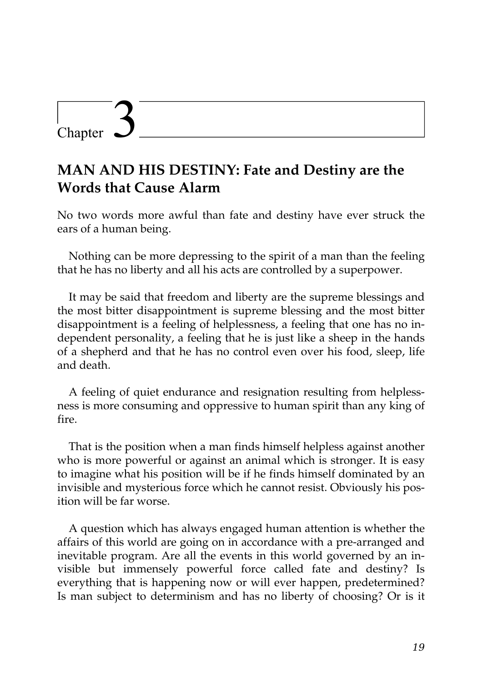### Chapter

### **MAN AND HIS DESTINY: Fate and Destiny are the Words that Cause Alarm**

No two words more awful than fate and destiny have ever struck the ears of a human being.

Nothing can be more depressing to the spirit of a man than the feeling that he has no liberty and all his acts are controlled by a superpower.

It may be said that freedom and liberty are the supreme blessings and the most bitter disappointment is supreme blessing and the most bitter disappointment is a feeling of helplessness, a feeling that one has no independent personality, a feeling that he is just like a sheep in the hands of a shepherd and that he has no control even over his food, sleep, life and death.

A feeling of quiet endurance and resignation resulting from helplessness is more consuming and oppressive to human spirit than any king of fire.

That is the position when a man finds himself helpless against another who is more powerful or against an animal which is stronger. It is easy to imagine what his position will be if he finds himself dominated by an invisible and mysterious force which he cannot resist. Obviously his position will be far worse.

A question which has always engaged human attention is whether the affairs of this world are going on in accordance with a pre-arranged and inevitable program. Are all the events in this world governed by an invisible but immensely powerful force called fate and destiny? Is everything that is happening now or will ever happen, predetermined? Is man subject to determinism and has no liberty of choosing? Or is it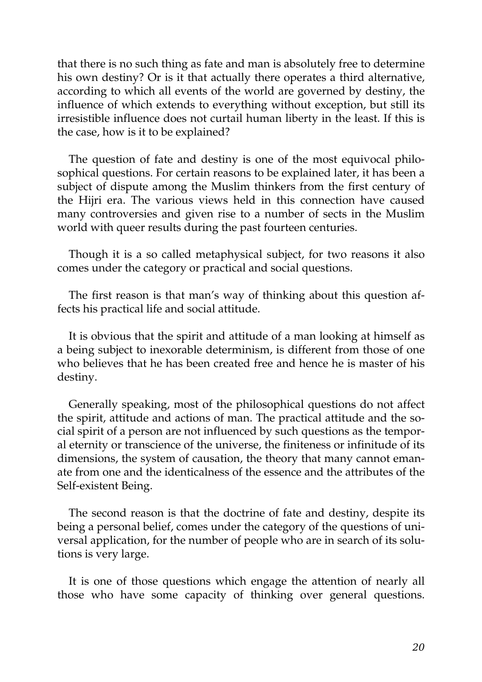that there is no such thing as fate and man is absolutely free to determine his own destiny? Or is it that actually there operates a third alternative, according to which all events of the world are governed by destiny, the influence of which extends to everything without exception, but still its irresistible influence does not curtail human liberty in the least. If this is the case, how is it to be explained?

The question of fate and destiny is one of the most equivocal philosophical questions. For certain reasons to be explained later, it has been a subject of dispute among the Muslim thinkers from the first century of the Hijri era. The various views held in this connection have caused many controversies and given rise to a number of sects in the Muslim world with queer results during the past fourteen centuries.

Though it is a so called metaphysical subject, for two reasons it also comes under the category or practical and social questions.

The first reason is that man's way of thinking about this question affects his practical life and social attitude.

It is obvious that the spirit and attitude of a man looking at himself as a being subject to inexorable determinism, is different from those of one who believes that he has been created free and hence he is master of his destiny.

Generally speaking, most of the philosophical questions do not affect the spirit, attitude and actions of man. The practical attitude and the social spirit of a person are not influenced by such questions as the temporal eternity or transcience of the universe, the finiteness or infinitude of its dimensions, the system of causation, the theory that many cannot emanate from one and the identicalness of the essence and the attributes of the Self-existent Being.

The second reason is that the doctrine of fate and destiny, despite its being a personal belief, comes under the category of the questions of universal application, for the number of people who are in search of its solutions is very large.

It is one of those questions which engage the attention of nearly all those who have some capacity of thinking over general questions.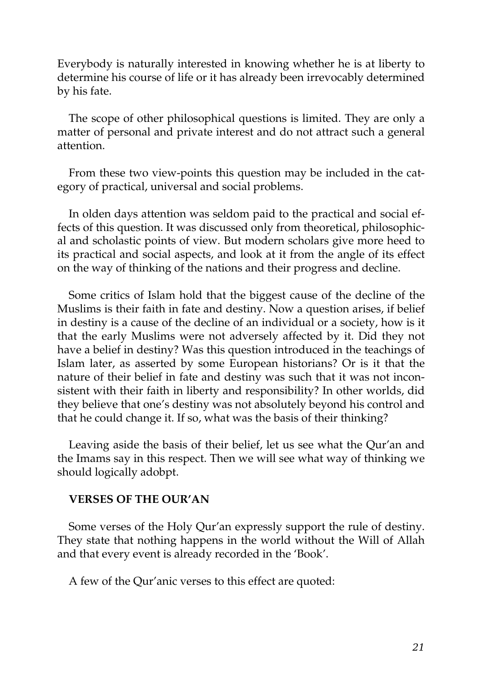Everybody is naturally interested in knowing whether he is at liberty to determine his course of life or it has already been irrevocably determined by his fate.

The scope of other philosophical questions is limited. They are only a matter of personal and private interest and do not attract such a general attention.

From these two view-points this question may be included in the category of practical, universal and social problems.

In olden days attention was seldom paid to the practical and social effects of this question. It was discussed only from theoretical, philosophical and scholastic points of view. But modern scholars give more heed to its practical and social aspects, and look at it from the angle of its effect on the way of thinking of the nations and their progress and decline.

Some critics of Islam hold that the biggest cause of the decline of the Muslims is their faith in fate and destiny. Now a question arises, if belief in destiny is a cause of the decline of an individual or a society, how is it that the early Muslims were not adversely affected by it. Did they not have a belief in destiny? Was this question introduced in the teachings of Islam later, as asserted by some European historians? Or is it that the nature of their belief in fate and destiny was such that it was not inconsistent with their faith in liberty and responsibility? In other worlds, did they believe that one's destiny was not absolutely beyond his control and that he could change it. If so, what was the basis of their thinking?

Leaving aside the basis of their belief, let us see what the Qur'an and the Imams say in this respect. Then we will see what way of thinking we should logically adobpt.

#### **VERSES OF THE OUR'AN**

Some verses of the Holy Qur'an expressly support the rule of destiny. They state that nothing happens in the world without the Will of Allah and that every event is already recorded in the 'Book'.

A few of the Qur'anic verses to this effect are quoted: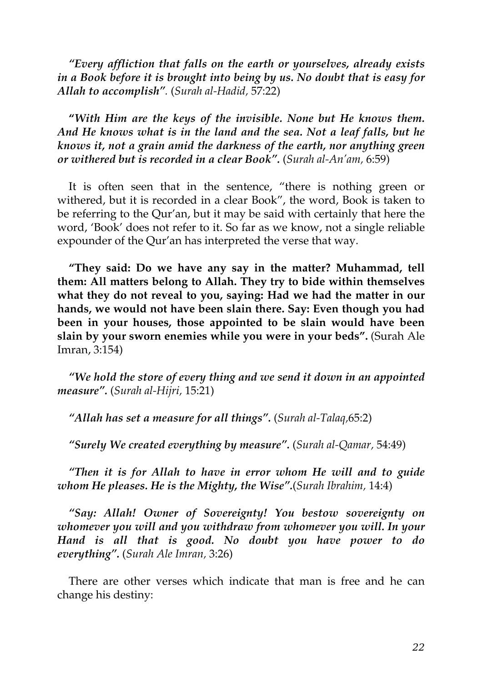*"Every affliction that falls on the earth or yourselves, already exists in a Book before it is brought into being by us. No doubt that is easy for Allah to accomplish".* (*Surah al-Hadid,* 57:22)

**"***With Him are the keys of the invisible. None but He knows them. And He knows what is in the land and the sea. Not a leaf falls, but he knows it, not a grain amid the darkness of the earth, nor anything green or withered but is recorded in a clear Book".* (*Surah al-An'am,* 6:59)

It is often seen that in the sentence, "there is nothing green or withered, but it is recorded in a clear Book", the word, Book is taken to be referring to the Qur'an, but it may be said with certainly that here the word, 'Book' does not refer to it. So far as we know, not a single reliable expounder of the Qur'an has interpreted the verse that way.

**"They said: Do we have any say in the matter? Muhammad, tell them: All matters belong to Allah. They try to bide within themselves what they do not reveal to you, saying: Had we had the matter in our hands, we would not have been slain there. Say: Even though you had been in your houses, those appointed to be slain would have been slain by your sworn enemies while you were in your beds".** (Surah Ale Imran, 3:154)

*"We hold the store of every thing and we send it down in an appointed measure".* (*Surah al-Hijri,* 15:21)

*"Allah has set a measure for all things".* (*Surah al-Talaq,*65:2)

*"Surely We created everything by measure".* (*Surah al-Qamar,* 54:49)

*"Then it is for Allah to have in error whom He will and to guide whom He pleases. He is the Mighty, the Wise".*(*Surah Ibrahim,* 14:4)

*"Say: Allah! Owner of Sovereignty! You bestow sovereignty on whomever you will and you withdraw from whomever you will. In your Hand is all that is good. No doubt you have power to do everything".* (*Surah Ale Imran,* 3:26)

There are other verses which indicate that man is free and he can change his destiny: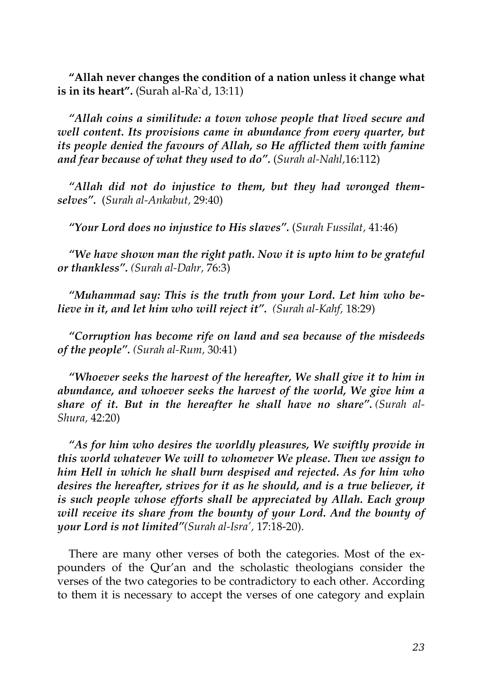**"Allah never changes the condition of a nation unless it change what is in its heart".** (Surah al-Ra`d, 13:11)

*"Allah coins a similitude: a town whose people that lived secure and well content. Its provisions came in abundance from every quarter, but its people denied the favours of Allah, so He afflicted them with famine and fear because of what they used to do".* (*Surah al-Nahl,*16:112)

*"Allah did not do injustice to them, but they had wronged themselves".* (*Surah al-Ankabut,* 29:40)

*"Your Lord does no injustice to His slaves".* (*Surah Fussilat,* 41:46)

*"We have shown man the right path. Now it is upto him to be grateful or thankless". (Surah al-Dahr,* 76:3)

*"Muhammad say: This is the truth from your Lord. Let him who believe in it, and let him who will reject it". (Surah al-Kahf,* 18:29)

*"Corruption has become rife on land and sea because of the misdeeds of the people". (Surah al-Rum,* 30:41)

*"Whoever seeks the harvest of the hereafter, We shall give it to him in abundance, and whoever seeks the harvest of the world, We give him a share of it. But in the hereafter he shall have no share". (Surah al-Shura,* 42:20)

*"As for him who desires the worldly pleasures, We swiftly provide in this world whatever We will to whomever We please. Then we assign to him Hell in which he shall burn despised and rejected. As for him who desires the hereafter, strives for it as he should, and is a true believer, it is such people whose efforts shall be appreciated by Allah. Each group will receive its share from the bounty of your Lord. And the bounty of your Lord is not limited"(Surah al-Isra',* 17:18-20).

There are many other verses of both the categories. Most of the expounders of the Qur'an and the scholastic theologians consider the verses of the two categories to be contradictory to each other. According to them it is necessary to accept the verses of one category and explain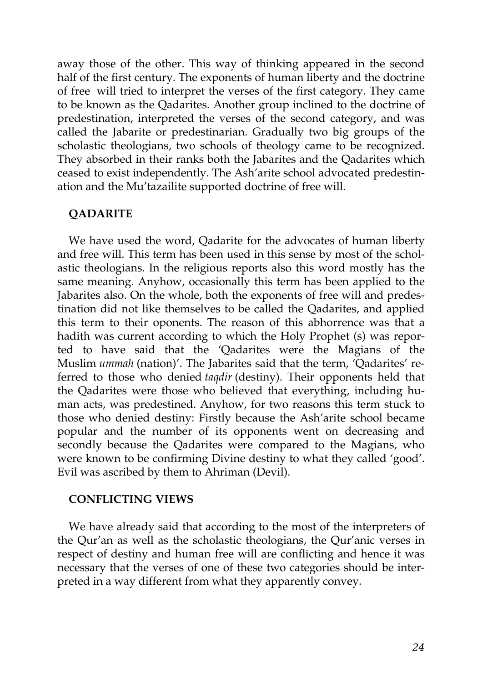away those of the other. This way of thinking appeared in the second half of the first century. The exponents of human liberty and the doctrine of free will tried to interpret the verses of the first category. They came to be known as the Qadarites. Another group inclined to the doctrine of predestination, interpreted the verses of the second category, and was called the Jabarite or predestinarian. Gradually two big groups of the scholastic theologians, two schools of theology came to be recognized. They absorbed in their ranks both the Jabarites and the Qadarites which ceased to exist independently. The Ash'arite school advocated predestination and the Mu'tazailite supported doctrine of free will.

### **QADARITE**

We have used the word, Qadarite for the advocates of human liberty and free will. This term has been used in this sense by most of the scholastic theologians. In the religious reports also this word mostly has the same meaning. Anyhow, occasionally this term has been applied to the Jabarites also. On the whole, both the exponents of free will and predestination did not like themselves to be called the Qadarites, and applied this term to their oponents. The reason of this abhorrence was that a hadith was current according to which the Holy Prophet (s) was reported to have said that the 'Qadarites were the Magians of the Muslim *ummah* (nation)'. The Jabarites said that the term, 'Qadarites' referred to those who denied *taqdir* (destiny). Their opponents held that the Qadarites were those who believed that everything, including human acts, was predestined. Anyhow, for two reasons this term stuck to those who denied destiny: Firstly because the Ash'arite school became popular and the number of its opponents went on decreasing and secondly because the Qadarites were compared to the Magians, who were known to be confirming Divine destiny to what they called 'good'. Evil was ascribed by them to Ahriman (Devil).

### **CONFLICTING VIEWS**

We have already said that according to the most of the interpreters of the Qur'an as well as the scholastic theologians, the Qur'anic verses in respect of destiny and human free will are conflicting and hence it was necessary that the verses of one of these two categories should be interpreted in a way different from what they apparently convey.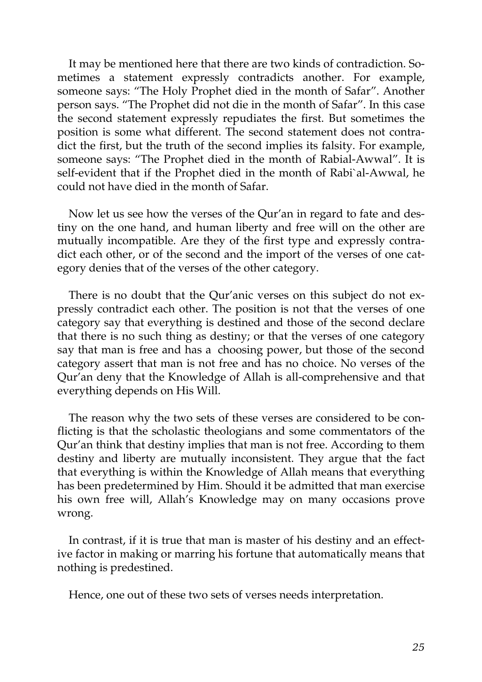It may be mentioned here that there are two kinds of contradiction. Sometimes a statement expressly contradicts another. For example, someone says: "The Holy Prophet died in the month of Safar". Another person says. "The Prophet did not die in the month of Safar". In this case the second statement expressly repudiates the first. But sometimes the position is some what different. The second statement does not contradict the first, but the truth of the second implies its falsity. For example, someone says: "The Prophet died in the month of Rabial-Awwal". It is self-evident that if the Prophet died in the month of Rabi`al-Awwal, he could not have died in the month of Safar.

Now let us see how the verses of the Qur'an in regard to fate and destiny on the one hand, and human liberty and free will on the other are mutually incompatible. Are they of the first type and expressly contradict each other, or of the second and the import of the verses of one category denies that of the verses of the other category.

There is no doubt that the Qur'anic verses on this subject do not expressly contradict each other. The position is not that the verses of one category say that everything is destined and those of the second declare that there is no such thing as destiny; or that the verses of one category say that man is free and has a choosing power, but those of the second category assert that man is not free and has no choice. No verses of the Qur'an deny that the Knowledge of Allah is all-comprehensive and that everything depends on His Will.

The reason why the two sets of these verses are considered to be conflicting is that the scholastic theologians and some commentators of the Qur'an think that destiny implies that man is not free. According to them destiny and liberty are mutually inconsistent. They argue that the fact that everything is within the Knowledge of Allah means that everything has been predetermined by Him. Should it be admitted that man exercise his own free will, Allah's Knowledge may on many occasions prove wrong.

In contrast, if it is true that man is master of his destiny and an effective factor in making or marring his fortune that automatically means that nothing is predestined.

Hence, one out of these two sets of verses needs interpretation.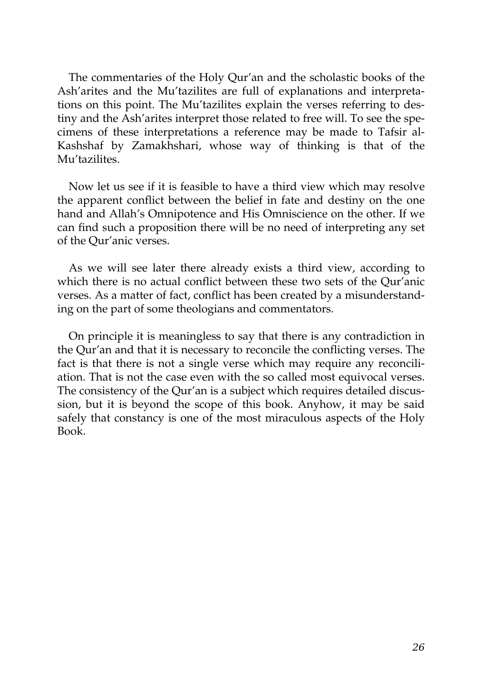The commentaries of the Holy Qur'an and the scholastic books of the Ash'arites and the Mu'tazilites are full of explanations and interpretations on this point. The Mu'tazilites explain the verses referring to destiny and the Ash'arites interpret those related to free will. To see the specimens of these interpretations a reference may be made to Tafsir al-Kashshaf by Zamakhshari, whose way of thinking is that of the Mu'tazilites.

Now let us see if it is feasible to have a third view which may resolve the apparent conflict between the belief in fate and destiny on the one hand and Allah's Omnipotence and His Omniscience on the other. If we can find such a proposition there will be no need of interpreting any set of the Qur'anic verses.

As we will see later there already exists a third view, according to which there is no actual conflict between these two sets of the Qur'anic verses. As a matter of fact, conflict has been created by a misunderstanding on the part of some theologians and commentators.

On principle it is meaningless to say that there is any contradiction in the Qur'an and that it is necessary to reconcile the conflicting verses. The fact is that there is not a single verse which may require any reconciliation. That is not the case even with the so called most equivocal verses. The consistency of the Qur'an is a subject which requires detailed discussion, but it is beyond the scope of this book. Anyhow, it may be said safely that constancy is one of the most miraculous aspects of the Holy Book.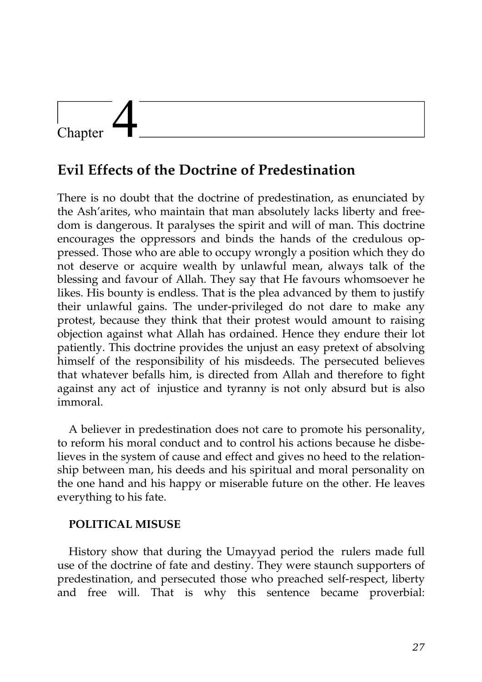## Chapter

### **Evil Effects of the Doctrine of Predestination**

There is no doubt that the doctrine of predestination, as enunciated by the Ash'arites, who maintain that man absolutely lacks liberty and freedom is dangerous. It paralyses the spirit and will of man. This doctrine encourages the oppressors and binds the hands of the credulous oppressed. Those who are able to occupy wrongly a position which they do not deserve or acquire wealth by unlawful mean, always talk of the blessing and favour of Allah. They say that He favours whomsoever he likes. His bounty is endless. That is the plea advanced by them to justify their unlawful gains. The under-privileged do not dare to make any protest, because they think that their protest would amount to raising objection against what Allah has ordained. Hence they endure their lot patiently. This doctrine provides the unjust an easy pretext of absolving himself of the responsibility of his misdeeds. The persecuted believes that whatever befalls him, is directed from Allah and therefore to fight against any act of injustice and tyranny is not only absurd but is also immoral.

A believer in predestination does not care to promote his personality, to reform his moral conduct and to control his actions because he disbelieves in the system of cause and effect and gives no heed to the relationship between man, his deeds and his spiritual and moral personality on the one hand and his happy or miserable future on the other. He leaves everything to his fate.

### **POLITICAL MISUSE**

History show that during the Umayyad period the rulers made full use of the doctrine of fate and destiny. They were staunch supporters of predestination, and persecuted those who preached self-respect, liberty and free will. That is why this sentence became proverbial: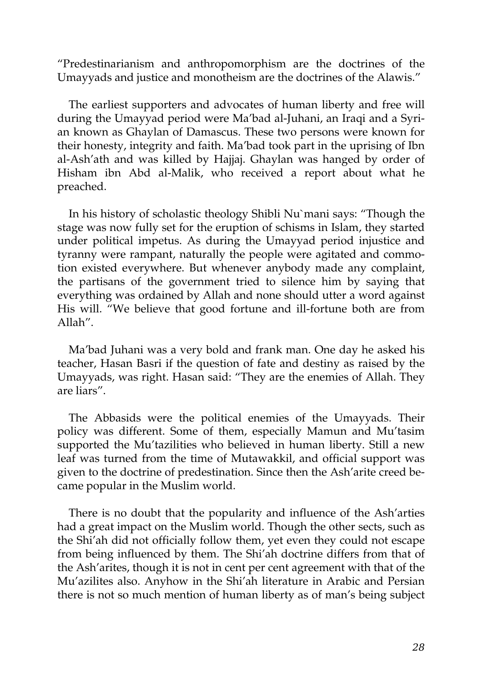"Predestinarianism and anthropomorphism are the doctrines of the Umayyads and justice and monotheism are the doctrines of the Alawis."

The earliest supporters and advocates of human liberty and free will during the Umayyad period were Ma'bad al-Juhani, an Iraqi and a Syrian known as Ghaylan of Damascus. These two persons were known for their honesty, integrity and faith. Ma'bad took part in the uprising of Ibn al-Ash'ath and was killed by Hajjaj. Ghaylan was hanged by order of Hisham ibn Abd al-Malik, who received a report about what he preached.

In his history of scholastic theology Shibli Nu`mani says: "Though the stage was now fully set for the eruption of schisms in Islam, they started under political impetus. As during the Umayyad period injustice and tyranny were rampant, naturally the people were agitated and commotion existed everywhere. But whenever anybody made any complaint, the partisans of the government tried to silence him by saying that everything was ordained by Allah and none should utter a word against His will. "We believe that good fortune and ill-fortune both are from Allah".

Ma'bad Juhani was a very bold and frank man. One day he asked his teacher, Hasan Basri if the question of fate and destiny as raised by the Umayyads, was right. Hasan said: "They are the enemies of Allah. They are liars".

The Abbasids were the political enemies of the Umayyads. Their policy was different. Some of them, especially Mamun and Mu'tasim supported the Mu'tazilities who believed in human liberty. Still a new leaf was turned from the time of Mutawakkil, and official support was given to the doctrine of predestination. Since then the Ash'arite creed became popular in the Muslim world.

There is no doubt that the popularity and influence of the Ash'arties had a great impact on the Muslim world. Though the other sects, such as the Shi'ah did not officially follow them, yet even they could not escape from being influenced by them. The Shi'ah doctrine differs from that of the Ash'arites, though it is not in cent per cent agreement with that of the Mu'azilites also. Anyhow in the Shi'ah literature in Arabic and Persian there is not so much mention of human liberty as of man's being subject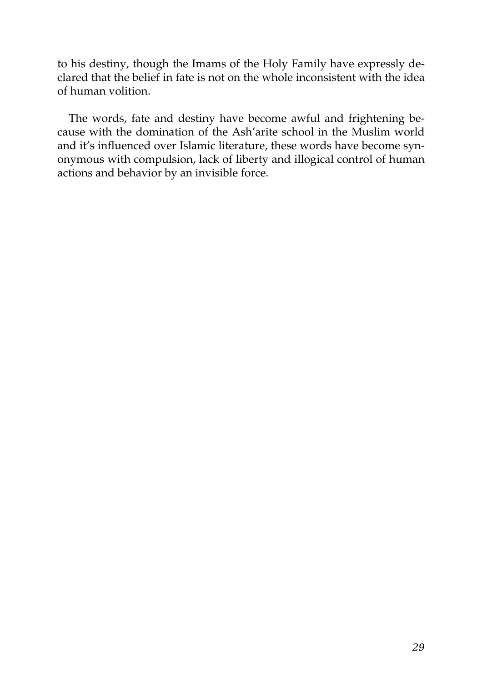to his destiny, though the Imams of the Holy Family have expressly declared that the belief in fate is not on the whole inconsistent with the idea of human volition.

The words, fate and destiny have become awful and frightening because with the domination of the Ash'arite school in the Muslim world and it's influenced over Islamic literature, these words have become synonymous with compulsion, lack of liberty and illogical control of human actions and behavior by an invisible force.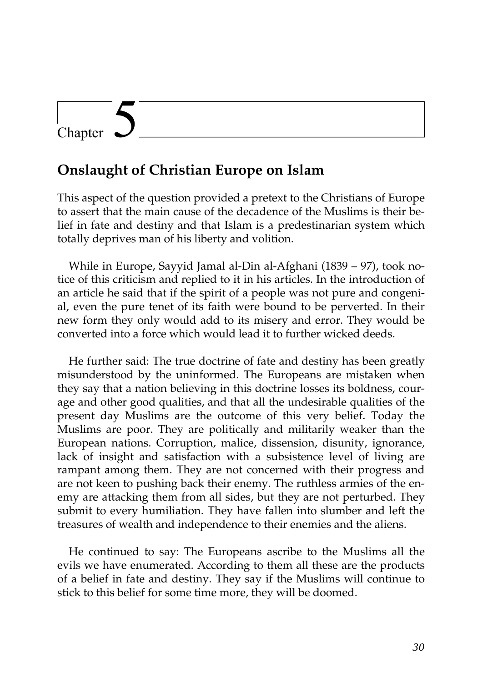## Chapter

### **Onslaught of Christian Europe on Islam**

This aspect of the question provided a pretext to the Christians of Europe to assert that the main cause of the decadence of the Muslims is their belief in fate and destiny and that Islam is a predestinarian system which totally deprives man of his liberty and volition.

While in Europe, Sayyid Jamal al-Din al-Afghani (1839 – 97), took notice of this criticism and replied to it in his articles. In the introduction of an article he said that if the spirit of a people was not pure and congenial, even the pure tenet of its faith were bound to be perverted. In their new form they only would add to its misery and error. They would be converted into a force which would lead it to further wicked deeds.

He further said: The true doctrine of fate and destiny has been greatly misunderstood by the uninformed. The Europeans are mistaken when they say that a nation believing in this doctrine losses its boldness, courage and other good qualities, and that all the undesirable qualities of the present day Muslims are the outcome of this very belief. Today the Muslims are poor. They are politically and militarily weaker than the European nations. Corruption, malice, dissension, disunity, ignorance, lack of insight and satisfaction with a subsistence level of living are rampant among them. They are not concerned with their progress and are not keen to pushing back their enemy. The ruthless armies of the enemy are attacking them from all sides, but they are not perturbed. They submit to every humiliation. They have fallen into slumber and left the treasures of wealth and independence to their enemies and the aliens.

He continued to say: The Europeans ascribe to the Muslims all the evils we have enumerated. According to them all these are the products of a belief in fate and destiny. They say if the Muslims will continue to stick to this belief for some time more, they will be doomed.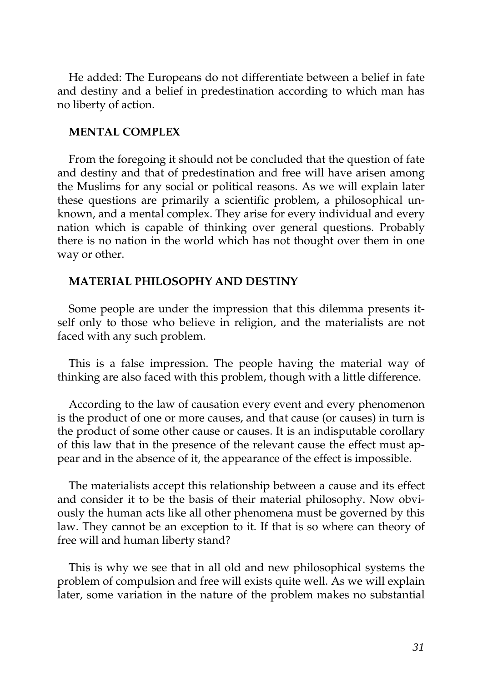He added: The Europeans do not differentiate between a belief in fate and destiny and a belief in predestination according to which man has no liberty of action.

#### **MENTAL COMPLEX**

From the foregoing it should not be concluded that the question of fate and destiny and that of predestination and free will have arisen among the Muslims for any social or political reasons. As we will explain later these questions are primarily a scientific problem, a philosophical unknown, and a mental complex. They arise for every individual and every nation which is capable of thinking over general questions. Probably there is no nation in the world which has not thought over them in one way or other.

#### **MATERIAL PHILOSOPHY AND DESTINY**

Some people are under the impression that this dilemma presents itself only to those who believe in religion, and the materialists are not faced with any such problem.

This is a false impression. The people having the material way of thinking are also faced with this problem, though with a little difference.

According to the law of causation every event and every phenomenon is the product of one or more causes, and that cause (or causes) in turn is the product of some other cause or causes. It is an indisputable corollary of this law that in the presence of the relevant cause the effect must appear and in the absence of it, the appearance of the effect is impossible.

The materialists accept this relationship between a cause and its effect and consider it to be the basis of their material philosophy. Now obviously the human acts like all other phenomena must be governed by this law. They cannot be an exception to it. If that is so where can theory of free will and human liberty stand?

This is why we see that in all old and new philosophical systems the problem of compulsion and free will exists quite well. As we will explain later, some variation in the nature of the problem makes no substantial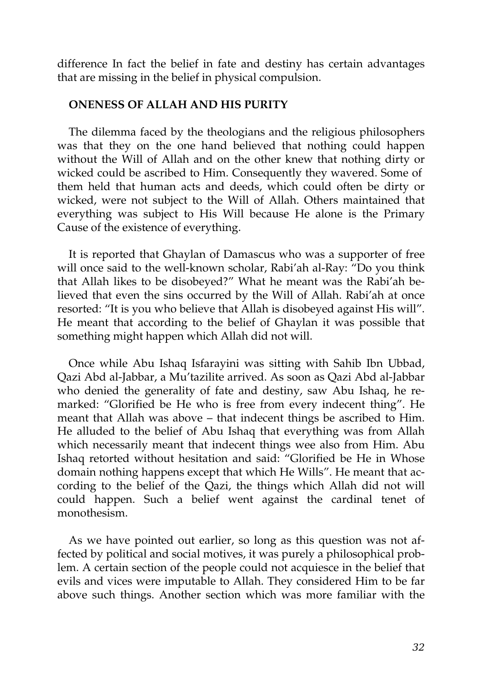difference In fact the belief in fate and destiny has certain advantages that are missing in the belief in physical compulsion.

#### **ONENESS OF ALLAH AND HIS PURITY**

The dilemma faced by the theologians and the religious philosophers was that they on the one hand believed that nothing could happen without the Will of Allah and on the other knew that nothing dirty or wicked could be ascribed to Him. Consequently they wavered. Some of them held that human acts and deeds, which could often be dirty or wicked, were not subject to the Will of Allah. Others maintained that everything was subject to His Will because He alone is the Primary Cause of the existence of everything.

It is reported that Ghaylan of Damascus who was a supporter of free will once said to the well-known scholar, Rabi'ah al-Ray: "Do you think that Allah likes to be disobeyed?" What he meant was the Rabi'ah believed that even the sins occurred by the Will of Allah. Rabi'ah at once resorted: "It is you who believe that Allah is disobeyed against His will". He meant that according to the belief of Ghaylan it was possible that something might happen which Allah did not will.

Once while Abu Ishaq Isfarayini was sitting with Sahib Ibn Ubbad, Qazi Abd al-Jabbar, a Mu'tazilite arrived. As soon as Qazi Abd al-Jabbar who denied the generality of fate and destiny, saw Abu Ishaq, he remarked: "Glorified be He who is free from every indecent thing". He meant that Allah was above – that indecent things be ascribed to Him. He alluded to the belief of Abu Ishaq that everything was from Allah which necessarily meant that indecent things wee also from Him. Abu Ishaq retorted without hesitation and said: "Glorified be He in Whose domain nothing happens except that which He Wills". He meant that according to the belief of the Qazi, the things which Allah did not will could happen. Such a belief went against the cardinal tenet of monothesism.

As we have pointed out earlier, so long as this question was not affected by political and social motives, it was purely a philosophical problem. A certain section of the people could not acquiesce in the belief that evils and vices were imputable to Allah. They considered Him to be far above such things. Another section which was more familiar with the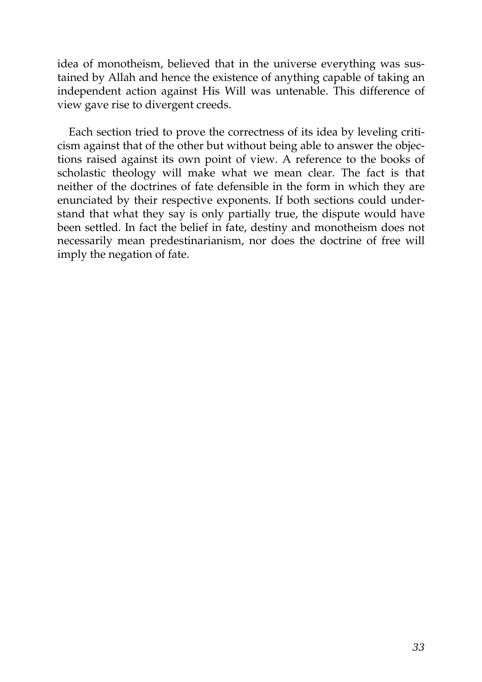idea of monotheism, believed that in the universe everything was sustained by Allah and hence the existence of anything capable of taking an independent action against His Will was untenable. This difference of view gave rise to divergent creeds.

Each section tried to prove the correctness of its idea by leveling criticism against that of the other but without being able to answer the objections raised against its own point of view. A reference to the books of scholastic theology will make what we mean clear. The fact is that neither of the doctrines of fate defensible in the form in which they are enunciated by their respective exponents. If both sections could understand that what they say is only partially true, the dispute would have been settled. In fact the belief in fate, destiny and monotheism does not necessarily mean predestinarianism, nor does the doctrine of free will imply the negation of fate.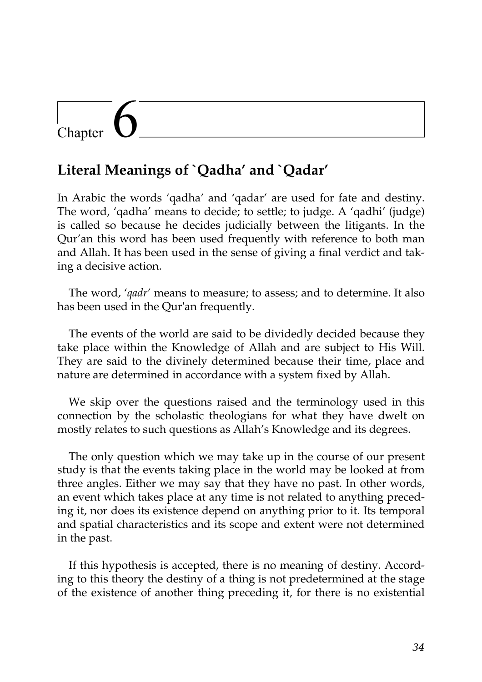## Chapter

### **Literal Meanings of `Qadha' and `Qadar'**

In Arabic the words 'qadha' and 'qadar' are used for fate and destiny. The word, 'qadha' means to decide; to settle; to judge. A 'qadhi' (judge) is called so because he decides judicially between the litigants. In the Qur'an this word has been used frequently with reference to both man and Allah. It has been used in the sense of giving a final verdict and taking a decisive action.

The word, '*qadr*' means to measure; to assess; and to determine. It also has been used in the Qur'an frequently.

The events of the world are said to be dividedly decided because they take place within the Knowledge of Allah and are subject to His Will. They are said to the divinely determined because their time, place and nature are determined in accordance with a system fixed by Allah.

We skip over the questions raised and the terminology used in this connection by the scholastic theologians for what they have dwelt on mostly relates to such questions as Allah's Knowledge and its degrees.

The only question which we may take up in the course of our present study is that the events taking place in the world may be looked at from three angles. Either we may say that they have no past. In other words, an event which takes place at any time is not related to anything preceding it, nor does its existence depend on anything prior to it. Its temporal and spatial characteristics and its scope and extent were not determined in the past.

If this hypothesis is accepted, there is no meaning of destiny. According to this theory the destiny of a thing is not predetermined at the stage of the existence of another thing preceding it, for there is no existential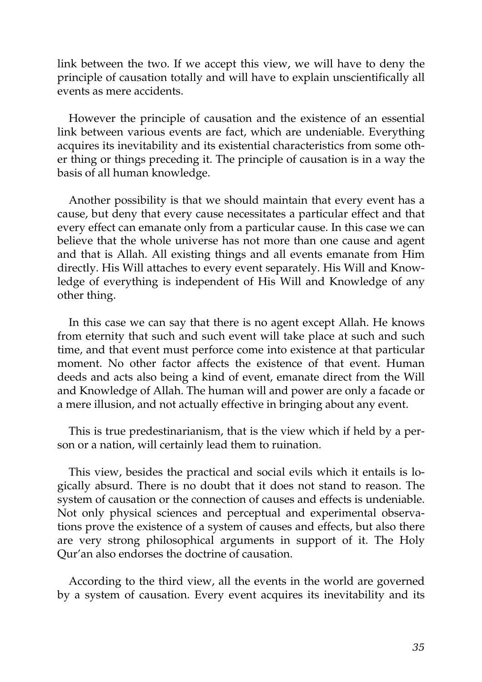link between the two. If we accept this view, we will have to deny the principle of causation totally and will have to explain unscientifically all events as mere accidents.

However the principle of causation and the existence of an essential link between various events are fact, which are undeniable. Everything acquires its inevitability and its existential characteristics from some other thing or things preceding it. The principle of causation is in a way the basis of all human knowledge.

Another possibility is that we should maintain that every event has a cause, but deny that every cause necessitates a particular effect and that every effect can emanate only from a particular cause. In this case we can believe that the whole universe has not more than one cause and agent and that is Allah. All existing things and all events emanate from Him directly. His Will attaches to every event separately. His Will and Knowledge of everything is independent of His Will and Knowledge of any other thing.

In this case we can say that there is no agent except Allah. He knows from eternity that such and such event will take place at such and such time, and that event must perforce come into existence at that particular moment. No other factor affects the existence of that event. Human deeds and acts also being a kind of event, emanate direct from the Will and Knowledge of Allah. The human will and power are only a facade or a mere illusion, and not actually effective in bringing about any event.

This is true predestinarianism, that is the view which if held by a person or a nation, will certainly lead them to ruination.

This view, besides the practical and social evils which it entails is logically absurd. There is no doubt that it does not stand to reason. The system of causation or the connection of causes and effects is undeniable. Not only physical sciences and perceptual and experimental observations prove the existence of a system of causes and effects, but also there are very strong philosophical arguments in support of it. The Holy Qur'an also endorses the doctrine of causation.

According to the third view, all the events in the world are governed by a system of causation. Every event acquires its inevitability and its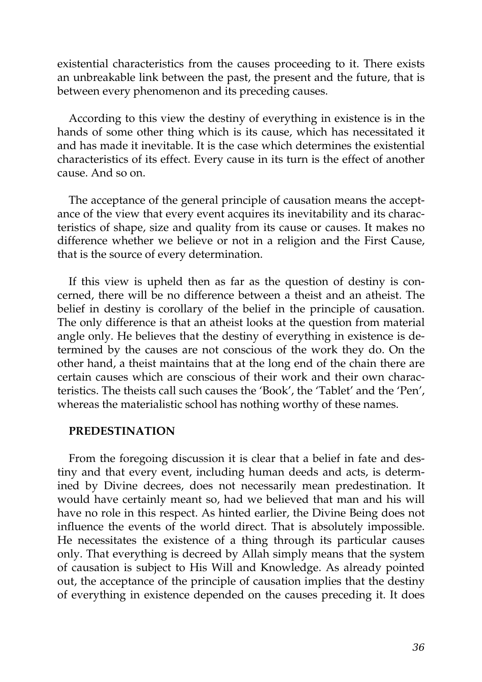existential characteristics from the causes proceeding to it. There exists an unbreakable link between the past, the present and the future, that is between every phenomenon and its preceding causes.

According to this view the destiny of everything in existence is in the hands of some other thing which is its cause, which has necessitated it and has made it inevitable. It is the case which determines the existential characteristics of its effect. Every cause in its turn is the effect of another cause. And so on.

The acceptance of the general principle of causation means the acceptance of the view that every event acquires its inevitability and its characteristics of shape, size and quality from its cause or causes. It makes no difference whether we believe or not in a religion and the First Cause, that is the source of every determination.

If this view is upheld then as far as the question of destiny is concerned, there will be no difference between a theist and an atheist. The belief in destiny is corollary of the belief in the principle of causation. The only difference is that an atheist looks at the question from material angle only. He believes that the destiny of everything in existence is determined by the causes are not conscious of the work they do. On the other hand, a theist maintains that at the long end of the chain there are certain causes which are conscious of their work and their own characteristics. The theists call such causes the 'Book', the 'Tablet' and the 'Pen', whereas the materialistic school has nothing worthy of these names.

#### **PREDESTINATION**

From the foregoing discussion it is clear that a belief in fate and destiny and that every event, including human deeds and acts, is determined by Divine decrees, does not necessarily mean predestination. It would have certainly meant so, had we believed that man and his will have no role in this respect. As hinted earlier, the Divine Being does not influence the events of the world direct. That is absolutely impossible. He necessitates the existence of a thing through its particular causes only. That everything is decreed by Allah simply means that the system of causation is subject to His Will and Knowledge. As already pointed out, the acceptance of the principle of causation implies that the destiny of everything in existence depended on the causes preceding it. It does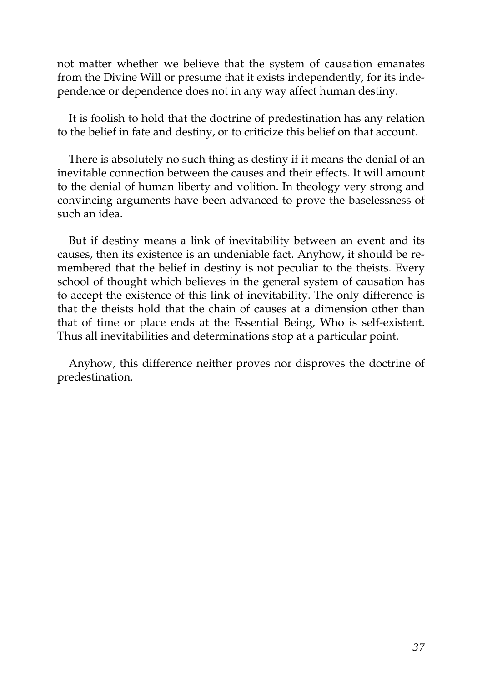not matter whether we believe that the system of causation emanates from the Divine Will or presume that it exists independently, for its independence or dependence does not in any way affect human destiny.

It is foolish to hold that the doctrine of predestination has any relation to the belief in fate and destiny, or to criticize this belief on that account.

There is absolutely no such thing as destiny if it means the denial of an inevitable connection between the causes and their effects. It will amount to the denial of human liberty and volition. In theology very strong and convincing arguments have been advanced to prove the baselessness of such an idea.

But if destiny means a link of inevitability between an event and its causes, then its existence is an undeniable fact. Anyhow, it should be remembered that the belief in destiny is not peculiar to the theists. Every school of thought which believes in the general system of causation has to accept the existence of this link of inevitability. The only difference is that the theists hold that the chain of causes at a dimension other than that of time or place ends at the Essential Being, Who is self-existent. Thus all inevitabilities and determinations stop at a particular point.

Anyhow, this difference neither proves nor disproves the doctrine of predestination.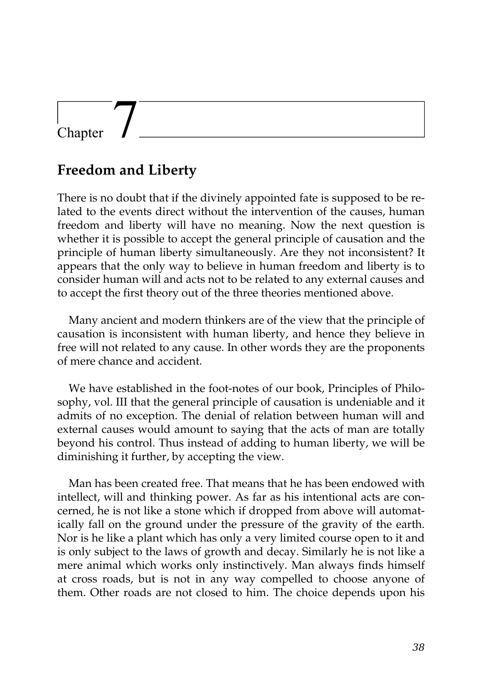## Chapter

### **Freedom and Liberty**

There is no doubt that if the divinely appointed fate is supposed to be related to the events direct without the intervention of the causes, human freedom and liberty will have no meaning. Now the next question is whether it is possible to accept the general principle of causation and the principle of human liberty simultaneously. Are they not inconsistent? It appears that the only way to believe in human freedom and liberty is to consider human will and acts not to be related to any external causes and to accept the first theory out of the three theories mentioned above.

Many ancient and modern thinkers are of the view that the principle of causation is inconsistent with human liberty, and hence they believe in free will not related to any cause. In other words they are the proponents of mere chance and accident.

We have established in the foot-notes of our book, Principles of Philosophy, vol. III that the general principle of causation is undeniable and it admits of no exception. The denial of relation between human will and external causes would amount to saying that the acts of man are totally beyond his control. Thus instead of adding to human liberty, we will be diminishing it further, by accepting the view.

Man has been created free. That means that he has been endowed with intellect, will and thinking power. As far as his intentional acts are concerned, he is not like a stone which if dropped from above will automatically fall on the ground under the pressure of the gravity of the earth. Nor is he like a plant which has only a very limited course open to it and is only subject to the laws of growth and decay. Similarly he is not like a mere animal which works only instinctively. Man always finds himself at cross roads, but is not in any way compelled to choose anyone of them. Other roads are not closed to him. The choice depends upon his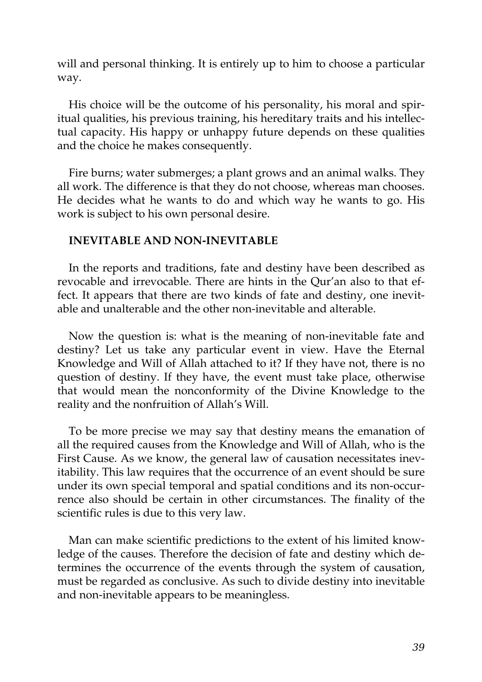will and personal thinking. It is entirely up to him to choose a particular way.

His choice will be the outcome of his personality, his moral and spiritual qualities, his previous training, his hereditary traits and his intellectual capacity. His happy or unhappy future depends on these qualities and the choice he makes consequently.

Fire burns; water submerges; a plant grows and an animal walks. They all work. The difference is that they do not choose, whereas man chooses. He decides what he wants to do and which way he wants to go. His work is subject to his own personal desire.

#### **INEVITABLE AND NON-INEVITABLE**

In the reports and traditions, fate and destiny have been described as revocable and irrevocable. There are hints in the Qur'an also to that effect. It appears that there are two kinds of fate and destiny, one inevitable and unalterable and the other non-inevitable and alterable.

Now the question is: what is the meaning of non-inevitable fate and destiny? Let us take any particular event in view. Have the Eternal Knowledge and Will of Allah attached to it? If they have not, there is no question of destiny. If they have, the event must take place, otherwise that would mean the nonconformity of the Divine Knowledge to the reality and the nonfruition of Allah's Will.

To be more precise we may say that destiny means the emanation of all the required causes from the Knowledge and Will of Allah, who is the First Cause. As we know, the general law of causation necessitates inevitability. This law requires that the occurrence of an event should be sure under its own special temporal and spatial conditions and its non-occurrence also should be certain in other circumstances. The finality of the scientific rules is due to this very law.

Man can make scientific predictions to the extent of his limited knowledge of the causes. Therefore the decision of fate and destiny which determines the occurrence of the events through the system of causation, must be regarded as conclusive. As such to divide destiny into inevitable and non-inevitable appears to be meaningless.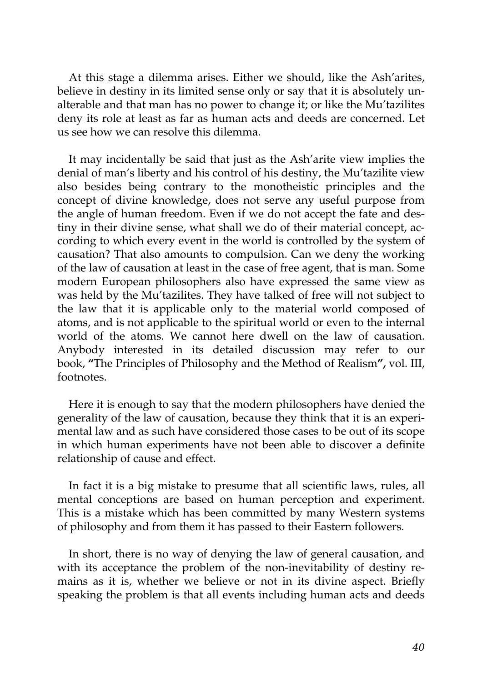At this stage a dilemma arises. Either we should, like the Ash'arites, believe in destiny in its limited sense only or say that it is absolutely unalterable and that man has no power to change it; or like the Mu'tazilites deny its role at least as far as human acts and deeds are concerned. Let us see how we can resolve this dilemma.

It may incidentally be said that just as the Ash'arite view implies the denial of man's liberty and his control of his destiny, the Mu'tazilite view also besides being contrary to the monotheistic principles and the concept of divine knowledge, does not serve any useful purpose from the angle of human freedom. Even if we do not accept the fate and destiny in their divine sense, what shall we do of their material concept, according to which every event in the world is controlled by the system of causation? That also amounts to compulsion. Can we deny the working of the law of causation at least in the case of free agent, that is man. Some modern European philosophers also have expressed the same view as was held by the Mu'tazilites. They have talked of free will not subject to the law that it is applicable only to the material world composed of atoms, and is not applicable to the spiritual world or even to the internal world of the atoms. We cannot here dwell on the law of causation. Anybody interested in its detailed discussion may refer to our book, **"**The Principles of Philosophy and the Method of Realism**",** vol. III, footnotes.

Here it is enough to say that the modern philosophers have denied the generality of the law of causation, because they think that it is an experimental law and as such have considered those cases to be out of its scope in which human experiments have not been able to discover a definite relationship of cause and effect.

In fact it is a big mistake to presume that all scientific laws, rules, all mental conceptions are based on human perception and experiment. This is a mistake which has been committed by many Western systems of philosophy and from them it has passed to their Eastern followers.

In short, there is no way of denying the law of general causation, and with its acceptance the problem of the non-inevitability of destiny remains as it is, whether we believe or not in its divine aspect. Briefly speaking the problem is that all events including human acts and deeds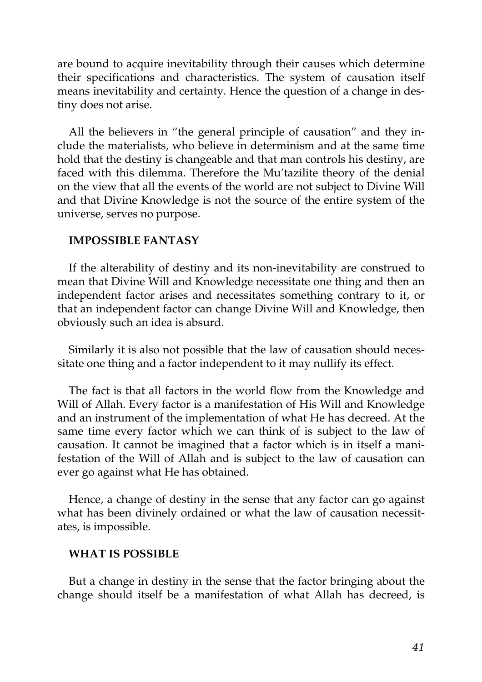are bound to acquire inevitability through their causes which determine their specifications and characteristics. The system of causation itself means inevitability and certainty. Hence the question of a change in destiny does not arise.

All the believers in "the general principle of causation" and they include the materialists, who believe in determinism and at the same time hold that the destiny is changeable and that man controls his destiny, are faced with this dilemma. Therefore the Mu'tazilite theory of the denial on the view that all the events of the world are not subject to Divine Will and that Divine Knowledge is not the source of the entire system of the universe, serves no purpose.

#### **IMPOSSIBLE FANTASY**

If the alterability of destiny and its non-inevitability are construed to mean that Divine Will and Knowledge necessitate one thing and then an independent factor arises and necessitates something contrary to it, or that an independent factor can change Divine Will and Knowledge, then obviously such an idea is absurd.

Similarly it is also not possible that the law of causation should necessitate one thing and a factor independent to it may nullify its effect.

The fact is that all factors in the world flow from the Knowledge and Will of Allah. Every factor is a manifestation of His Will and Knowledge and an instrument of the implementation of what He has decreed. At the same time every factor which we can think of is subject to the law of causation. It cannot be imagined that a factor which is in itself a manifestation of the Will of Allah and is subject to the law of causation can ever go against what He has obtained.

Hence, a change of destiny in the sense that any factor can go against what has been divinely ordained or what the law of causation necessitates, is impossible.

#### **WHAT IS POSSIBLE**

But a change in destiny in the sense that the factor bringing about the change should itself be a manifestation of what Allah has decreed, is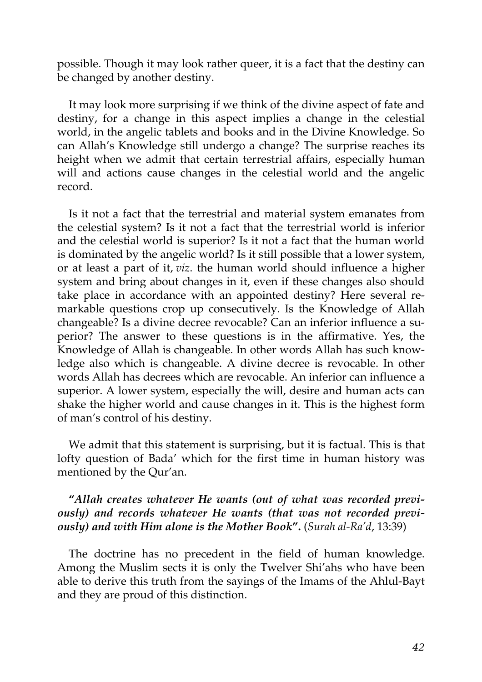possible. Though it may look rather queer, it is a fact that the destiny can be changed by another destiny.

It may look more surprising if we think of the divine aspect of fate and destiny, for a change in this aspect implies a change in the celestial world, in the angelic tablets and books and in the Divine Knowledge. So can Allah's Knowledge still undergo a change? The surprise reaches its height when we admit that certain terrestrial affairs, especially human will and actions cause changes in the celestial world and the angelic record.

Is it not a fact that the terrestrial and material system emanates from the celestial system? Is it not a fact that the terrestrial world is inferior and the celestial world is superior? Is it not a fact that the human world is dominated by the angelic world? Is it still possible that a lower system, or at least a part of it, *viz*. the human world should influence a higher system and bring about changes in it, even if these changes also should take place in accordance with an appointed destiny? Here several remarkable questions crop up consecutively. Is the Knowledge of Allah changeable? Is a divine decree revocable? Can an inferior influence a superior? The answer to these questions is in the affirmative. Yes, the Knowledge of Allah is changeable. In other words Allah has such knowledge also which is changeable. A divine decree is revocable. In other words Allah has decrees which are revocable. An inferior can influence a superior. A lower system, especially the will, desire and human acts can shake the higher world and cause changes in it. This is the highest form of man's control of his destiny.

We admit that this statement is surprising, but it is factual. This is that lofty question of Bada' which for the first time in human history was mentioned by the Qur'an.

#### **"***Allah creates whatever He wants (out of what was recorded previously) and records whatever He wants (that was not recorded previously) and with Him alone is the Mother Book***".** (*Surah al-Ra'd*, 13:39)

The doctrine has no precedent in the field of human knowledge. Among the Muslim sects it is only the Twelver Shi'ahs who have been able to derive this truth from the sayings of the Imams of the Ahlul-Bayt and they are proud of this distinction.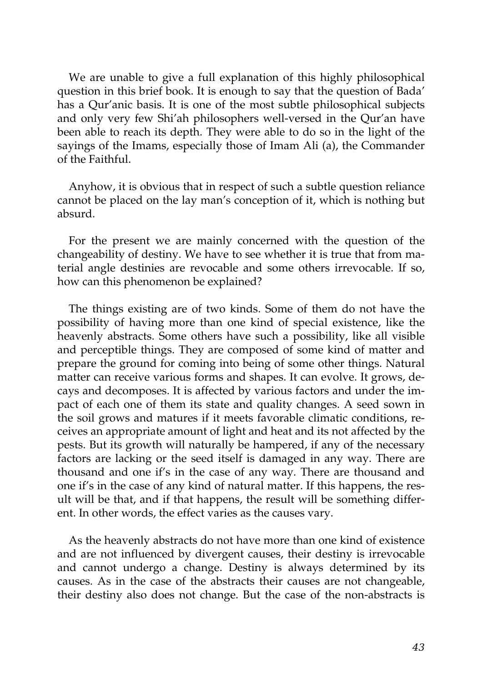We are unable to give a full explanation of this highly philosophical question in this brief book. It is enough to say that the question of Bada' has a Qur'anic basis. It is one of the most subtle philosophical subjects and only very few Shi'ah philosophers well-versed in the Qur'an have been able to reach its depth. They were able to do so in the light of the sayings of the Imams, especially those of Imam Ali (a), the Commander of the Faithful.

Anyhow, it is obvious that in respect of such a subtle question reliance cannot be placed on the lay man's conception of it, which is nothing but absurd.

For the present we are mainly concerned with the question of the changeability of destiny. We have to see whether it is true that from material angle destinies are revocable and some others irrevocable. If so, how can this phenomenon be explained?

The things existing are of two kinds. Some of them do not have the possibility of having more than one kind of special existence, like the heavenly abstracts. Some others have such a possibility, like all visible and perceptible things. They are composed of some kind of matter and prepare the ground for coming into being of some other things. Natural matter can receive various forms and shapes. It can evolve. It grows, decays and decomposes. It is affected by various factors and under the impact of each one of them its state and quality changes. A seed sown in the soil grows and matures if it meets favorable climatic conditions, receives an appropriate amount of light and heat and its not affected by the pests. But its growth will naturally be hampered, if any of the necessary factors are lacking or the seed itself is damaged in any way. There are thousand and one if's in the case of any way. There are thousand and one if's in the case of any kind of natural matter. If this happens, the result will be that, and if that happens, the result will be something different. In other words, the effect varies as the causes vary.

As the heavenly abstracts do not have more than one kind of existence and are not influenced by divergent causes, their destiny is irrevocable and cannot undergo a change. Destiny is always determined by its causes. As in the case of the abstracts their causes are not changeable, their destiny also does not change. But the case of the non-abstracts is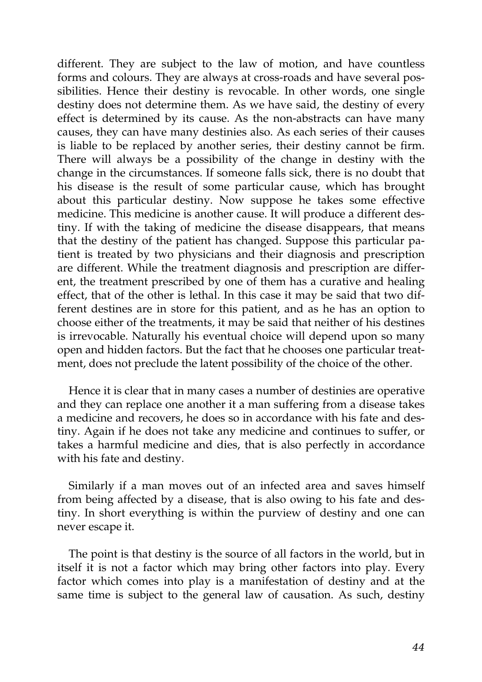different. They are subject to the law of motion, and have countless forms and colours. They are always at cross-roads and have several possibilities. Hence their destiny is revocable. In other words, one single destiny does not determine them. As we have said, the destiny of every effect is determined by its cause. As the non-abstracts can have many causes, they can have many destinies also. As each series of their causes is liable to be replaced by another series, their destiny cannot be firm. There will always be a possibility of the change in destiny with the change in the circumstances. If someone falls sick, there is no doubt that his disease is the result of some particular cause, which has brought about this particular destiny. Now suppose he takes some effective medicine. This medicine is another cause. It will produce a different destiny. If with the taking of medicine the disease disappears, that means that the destiny of the patient has changed. Suppose this particular patient is treated by two physicians and their diagnosis and prescription are different. While the treatment diagnosis and prescription are different, the treatment prescribed by one of them has a curative and healing effect, that of the other is lethal. In this case it may be said that two different destines are in store for this patient, and as he has an option to choose either of the treatments, it may be said that neither of his destines is irrevocable. Naturally his eventual choice will depend upon so many open and hidden factors. But the fact that he chooses one particular treatment, does not preclude the latent possibility of the choice of the other.

Hence it is clear that in many cases a number of destinies are operative and they can replace one another it a man suffering from a disease takes a medicine and recovers, he does so in accordance with his fate and destiny. Again if he does not take any medicine and continues to suffer, or takes a harmful medicine and dies, that is also perfectly in accordance with his fate and destiny.

Similarly if a man moves out of an infected area and saves himself from being affected by a disease, that is also owing to his fate and destiny. In short everything is within the purview of destiny and one can never escape it.

The point is that destiny is the source of all factors in the world, but in itself it is not a factor which may bring other factors into play. Every factor which comes into play is a manifestation of destiny and at the same time is subject to the general law of causation. As such, destiny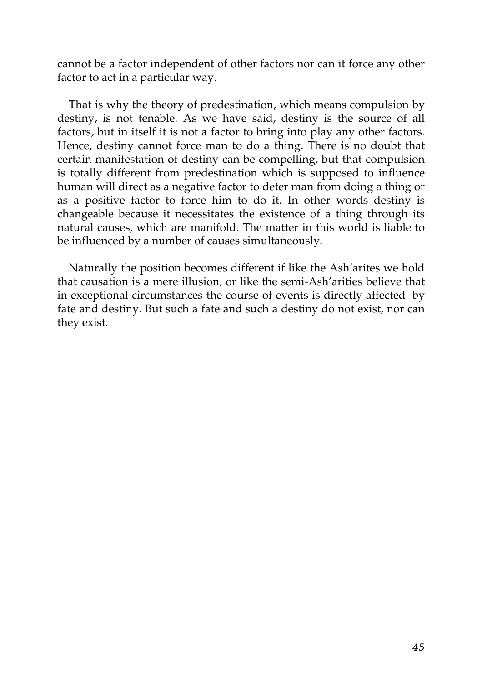cannot be a factor independent of other factors nor can it force any other factor to act in a particular way.

That is why the theory of predestination, which means compulsion by destiny, is not tenable. As we have said, destiny is the source of all factors, but in itself it is not a factor to bring into play any other factors. Hence, destiny cannot force man to do a thing. There is no doubt that certain manifestation of destiny can be compelling, but that compulsion is totally different from predestination which is supposed to influence human will direct as a negative factor to deter man from doing a thing or as a positive factor to force him to do it. In other words destiny is changeable because it necessitates the existence of a thing through its natural causes, which are manifold. The matter in this world is liable to be influenced by a number of causes simultaneously.

Naturally the position becomes different if like the Ash'arites we hold that causation is a mere illusion, or like the semi-Ash'arities believe that in exceptional circumstances the course of events is directly affected by fate and destiny. But such a fate and such a destiny do not exist, nor can they exist.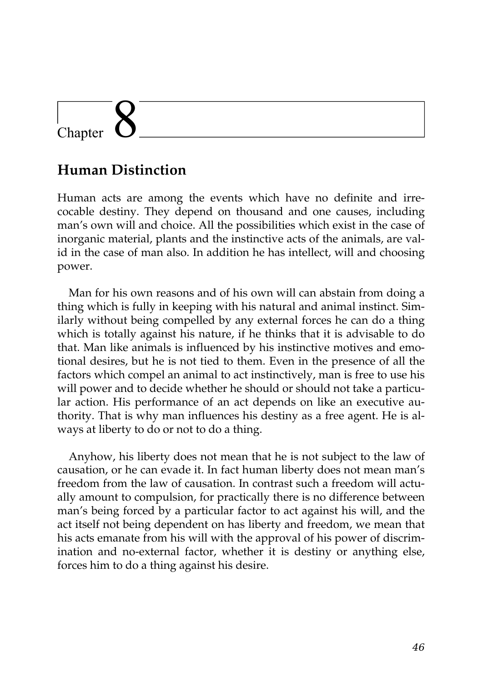## Chapter

### **Human Distinction**

Human acts are among the events which have no definite and irrecocable destiny. They depend on thousand and one causes, including man's own will and choice. All the possibilities which exist in the case of inorganic material, plants and the instinctive acts of the animals, are valid in the case of man also. In addition he has intellect, will and choosing power.

Man for his own reasons and of his own will can abstain from doing a thing which is fully in keeping with his natural and animal instinct. Similarly without being compelled by any external forces he can do a thing which is totally against his nature, if he thinks that it is advisable to do that. Man like animals is influenced by his instinctive motives and emotional desires, but he is not tied to them. Even in the presence of all the factors which compel an animal to act instinctively, man is free to use his will power and to decide whether he should or should not take a particular action. His performance of an act depends on like an executive authority. That is why man influences his destiny as a free agent. He is always at liberty to do or not to do a thing.

Anyhow, his liberty does not mean that he is not subject to the law of causation, or he can evade it. In fact human liberty does not mean man's freedom from the law of causation. In contrast such a freedom will actually amount to compulsion, for practically there is no difference between man's being forced by a particular factor to act against his will, and the act itself not being dependent on has liberty and freedom, we mean that his acts emanate from his will with the approval of his power of discrimination and no-external factor, whether it is destiny or anything else, forces him to do a thing against his desire.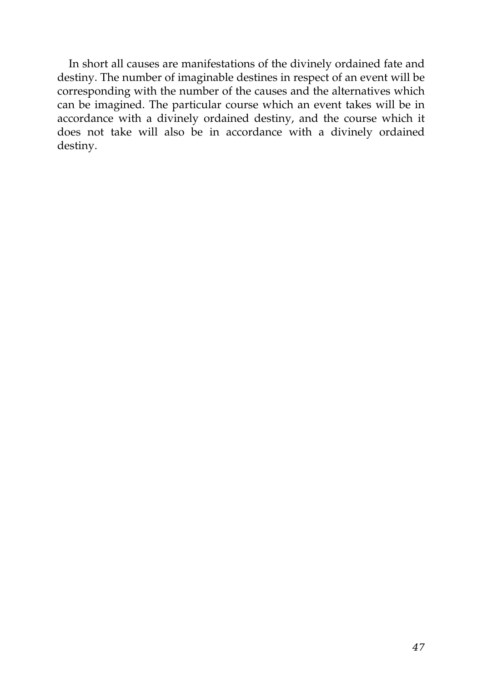In short all causes are manifestations of the divinely ordained fate and destiny. The number of imaginable destines in respect of an event will be corresponding with the number of the causes and the alternatives which can be imagined. The particular course which an event takes will be in accordance with a divinely ordained destiny, and the course which it does not take will also be in accordance with a divinely ordained destiny.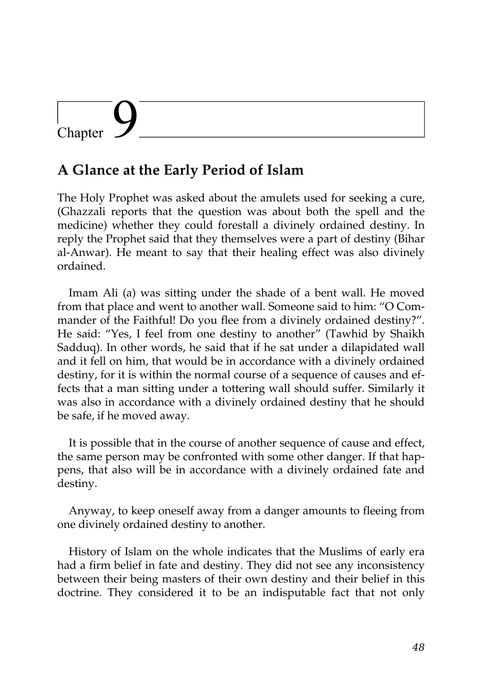## Chapter

### **A Glance at the Early Period of Islam**

The Holy Prophet was asked about the amulets used for seeking a cure, (Ghazzali reports that the question was about both the spell and the medicine) whether they could forestall a divinely ordained destiny. In reply the Prophet said that they themselves were a part of destiny (Bihar al-Anwar). He meant to say that their healing effect was also divinely ordained.

Imam Ali (a) was sitting under the shade of a bent wall. He moved from that place and went to another wall. Someone said to him: "O Commander of the Faithful! Do you flee from a divinely ordained destiny?". He said: "Yes, I feel from one destiny to another" (Tawhid by Shaikh Sadduq). In other words, he said that if he sat under a dilapidated wall and it fell on him, that would be in accordance with a divinely ordained destiny, for it is within the normal course of a sequence of causes and effects that a man sitting under a tottering wall should suffer. Similarly it was also in accordance with a divinely ordained destiny that he should be safe, if he moved away.

It is possible that in the course of another sequence of cause and effect, the same person may be confronted with some other danger. If that happens, that also will be in accordance with a divinely ordained fate and destiny.

Anyway, to keep oneself away from a danger amounts to fleeing from one divinely ordained destiny to another.

History of Islam on the whole indicates that the Muslims of early era had a firm belief in fate and destiny. They did not see any inconsistency between their being masters of their own destiny and their belief in this doctrine. They considered it to be an indisputable fact that not only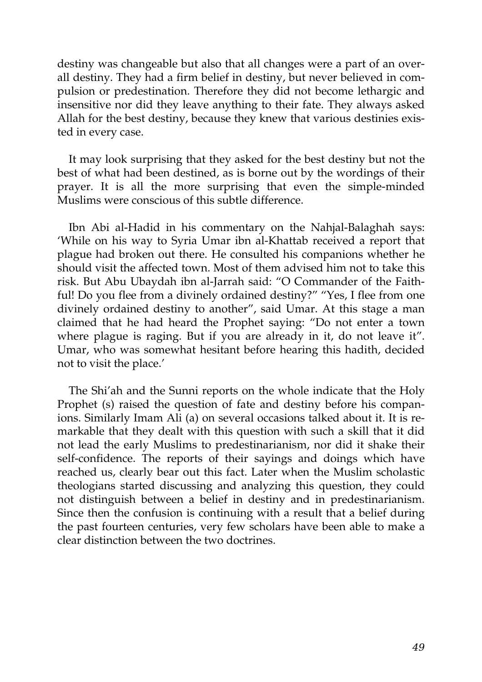destiny was changeable but also that all changes were a part of an overall destiny. They had a firm belief in destiny, but never believed in compulsion or predestination. Therefore they did not become lethargic and insensitive nor did they leave anything to their fate. They always asked Allah for the best destiny, because they knew that various destinies existed in every case.

It may look surprising that they asked for the best destiny but not the best of what had been destined, as is borne out by the wordings of their prayer. It is all the more surprising that even the simple-minded Muslims were conscious of this subtle difference.

Ibn Abi al-Hadid in his commentary on the Nahjal-Balaghah says: 'While on his way to Syria Umar ibn al-Khattab received a report that plague had broken out there. He consulted his companions whether he should visit the affected town. Most of them advised him not to take this risk. But Abu Ubaydah ibn al-Jarrah said: "O Commander of the Faithful! Do you flee from a divinely ordained destiny?" "Yes, I flee from one divinely ordained destiny to another", said Umar. At this stage a man claimed that he had heard the Prophet saying: "Do not enter a town where plague is raging. But if you are already in it, do not leave it". Umar, who was somewhat hesitant before hearing this hadith, decided not to visit the place.'

The Shi'ah and the Sunni reports on the whole indicate that the Holy Prophet (s) raised the question of fate and destiny before his companions. Similarly Imam Ali (a) on several occasions talked about it. It is remarkable that they dealt with this question with such a skill that it did not lead the early Muslims to predestinarianism, nor did it shake their self-confidence. The reports of their sayings and doings which have reached us, clearly bear out this fact. Later when the Muslim scholastic theologians started discussing and analyzing this question, they could not distinguish between a belief in destiny and in predestinarianism. Since then the confusion is continuing with a result that a belief during the past fourteen centuries, very few scholars have been able to make a clear distinction between the two doctrines.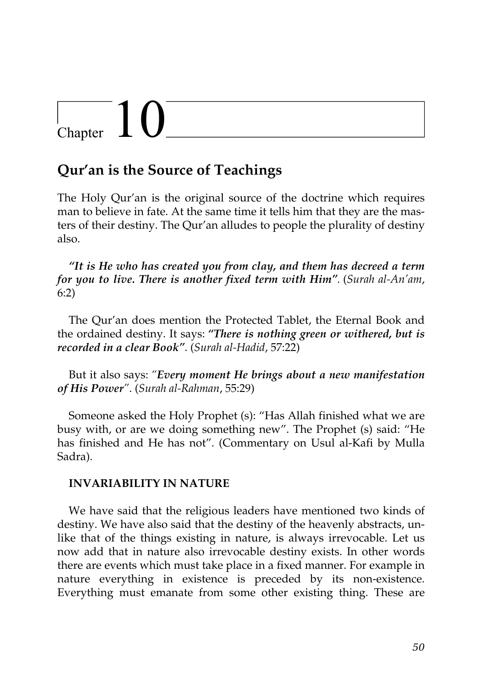# $\begin{array}{c} \begin{array}{c} \end{array}$  Chapter  $\begin{array}{c} \end{array}$

### **Qur'an is the Source of Teachings**

The Holy Qur'an is the original source of the doctrine which requires man to believe in fate. At the same time it tells him that they are the masters of their destiny. The Qur'an alludes to people the plurality of destiny also.

*"It is He who has created you from clay, and them has decreed a term for you to live. There is another fixed term with Him".* (*Surah al-An'am*, 6:2)

The Qur'an does mention the Protected Tablet, the Eternal Book and the ordained destiny. It says: *"There is nothing green or withered, but is recorded in a clear Book"*. (*Surah al-Hadid*, 57:22)

But it also says: *"Every moment He brings about a new manifestation of His Power"*. (*Surah al-Rahman*, 55:29)

Someone asked the Holy Prophet (s): "Has Allah finished what we are busy with, or are we doing something new". The Prophet (s) said: "He has finished and He has not". (Commentary on Usul al-Kafi by Mulla Sadra).

#### **INVARIABILITY IN NATURE**

We have said that the religious leaders have mentioned two kinds of destiny. We have also said that the destiny of the heavenly abstracts, unlike that of the things existing in nature, is always irrevocable. Let us now add that in nature also irrevocable destiny exists. In other words there are events which must take place in a fixed manner. For example in nature everything in existence is preceded by its non-existence. Everything must emanate from some other existing thing. These are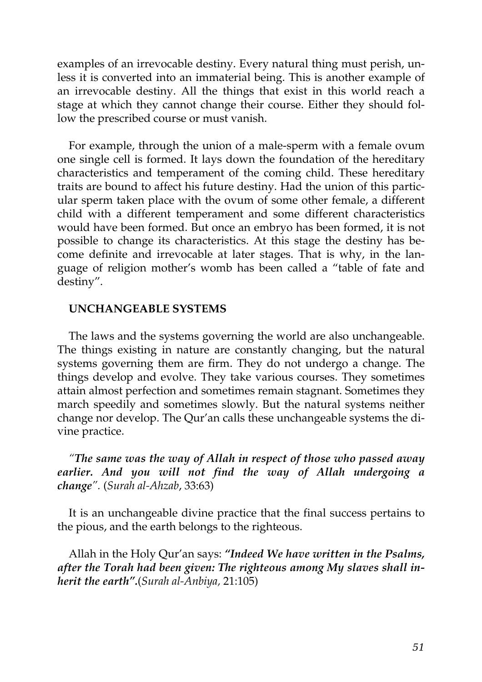examples of an irrevocable destiny. Every natural thing must perish, unless it is converted into an immaterial being. This is another example of an irrevocable destiny. All the things that exist in this world reach a stage at which they cannot change their course. Either they should follow the prescribed course or must vanish.

For example, through the union of a male-sperm with a female ovum one single cell is formed. It lays down the foundation of the hereditary characteristics and temperament of the coming child. These hereditary traits are bound to affect his future destiny. Had the union of this particular sperm taken place with the ovum of some other female, a different child with a different temperament and some different characteristics would have been formed. But once an embryo has been formed, it is not possible to change its characteristics. At this stage the destiny has become definite and irrevocable at later stages. That is why, in the language of religion mother's womb has been called a "table of fate and destiny".

#### **UNCHANGEABLE SYSTEMS**

The laws and the systems governing the world are also unchangeable. The things existing in nature are constantly changing, but the natural systems governing them are firm. They do not undergo a change. The things develop and evolve. They take various courses. They sometimes attain almost perfection and sometimes remain stagnant. Sometimes they march speedily and sometimes slowly. But the natural systems neither change nor develop. The Qur'an calls these unchangeable systems the divine practice.

#### *"The same was the way of Allah in respect of those who passed away earlier. And you will not find the way of Allah undergoing a change".* (*Surah al-Ahzab*, 33:63)

It is an unchangeable divine practice that the final success pertains to the pious, and the earth belongs to the righteous.

Allah in the Holy Qur'an says: *"Indeed We have written in the Psalms, after the Torah had been given: The righteous among My slaves shall inherit the earth".*(*Surah al-Anbiya,* 21:105)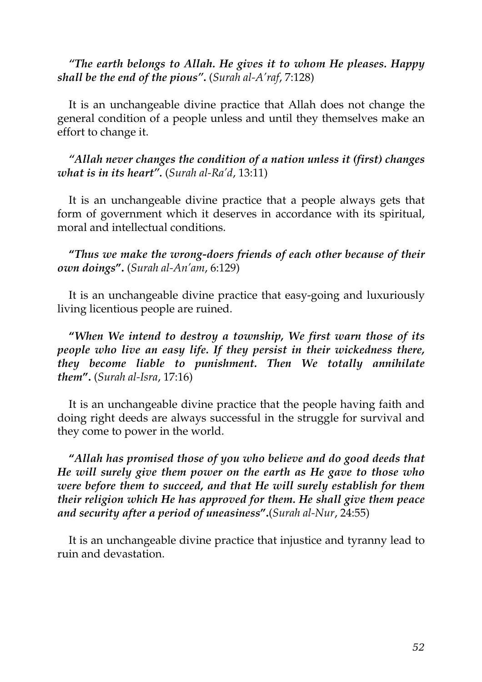#### *"The earth belongs to Allah. He gives it to whom He pleases. Happy shall be the end of the pious"***.** (*Surah al-A'raf*, 7:128)

It is an unchangeable divine practice that Allah does not change the general condition of a people unless and until they themselves make an effort to change it.

*"Allah never changes the condition of a nation unless it (first) changes what is in its heart".* (*Surah al-Ra'd*, 13:11)

It is an unchangeable divine practice that a people always gets that form of government which it deserves in accordance with its spiritual, moral and intellectual conditions.

**"***Thus we make the wrong-doers friends of each other because of their own doings***".** (*Surah al-An'am*, 6:129)

It is an unchangeable divine practice that easy-going and luxuriously living licentious people are ruined.

**"***When We intend to destroy a township, We first warn those of its people who live an easy life. If they persist in their wickedness there, they become liable to punishment. Then We totally annihilate them***".** (*Surah al-Isra*, 17:16)

It is an unchangeable divine practice that the people having faith and doing right deeds are always successful in the struggle for survival and they come to power in the world.

**"***Allah has promised those of you who believe and do good deeds that He will surely give them power on the earth as He gave to those who were before them to succeed, and that He will surely establish for them their religion which He has approved for them. He shall give them peace and security after a period of uneasiness***".**(*Surah al-Nur*, 24:55)

It is an unchangeable divine practice that injustice and tyranny lead to ruin and devastation.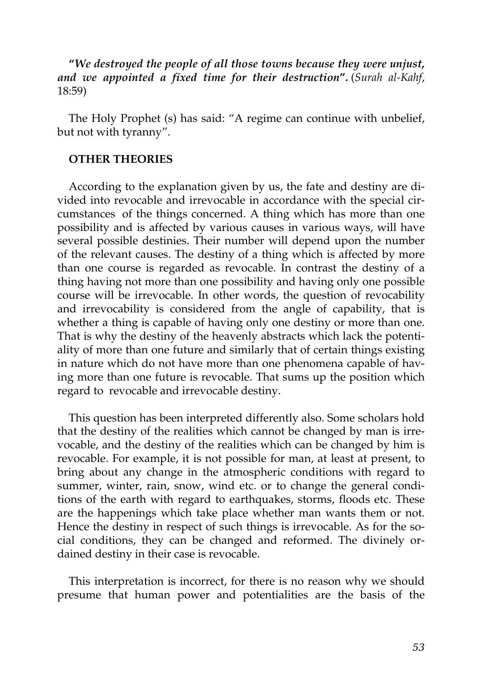**"***We destroyed the people of all those towns because they were unjust, and we appointed a fixed time for their destruction***".** (*Surah al-Kahf*, 18:59)

The Holy Prophet (s) has said: "A regime can continue with unbelief, but not with tyranny".

#### **OTHER THEORIES**

According to the explanation given by us, the fate and destiny are divided into revocable and irrevocable in accordance with the special circumstances of the things concerned. A thing which has more than one possibility and is affected by various causes in various ways, will have several possible destinies. Their number will depend upon the number of the relevant causes. The destiny of a thing which is affected by more than one course is regarded as revocable. In contrast the destiny of a thing having not more than one possibility and having only one possible course will be irrevocable. In other words, the question of revocability and irrevocability is considered from the angle of capability, that is whether a thing is capable of having only one destiny or more than one. That is why the destiny of the heavenly abstracts which lack the potentiality of more than one future and similarly that of certain things existing in nature which do not have more than one phenomena capable of having more than one future is revocable. That sums up the position which regard to revocable and irrevocable destiny.

This question has been interpreted differently also. Some scholars hold that the destiny of the realities which cannot be changed by man is irrevocable, and the destiny of the realities which can be changed by him is revocable. For example, it is not possible for man, at least at present, to bring about any change in the atmospheric conditions with regard to summer, winter, rain, snow, wind etc. or to change the general conditions of the earth with regard to earthquakes, storms, floods etc. These are the happenings which take place whether man wants them or not. Hence the destiny in respect of such things is irrevocable. As for the social conditions, they can be changed and reformed. The divinely ordained destiny in their case is revocable.

This interpretation is incorrect, for there is no reason why we should presume that human power and potentialities are the basis of the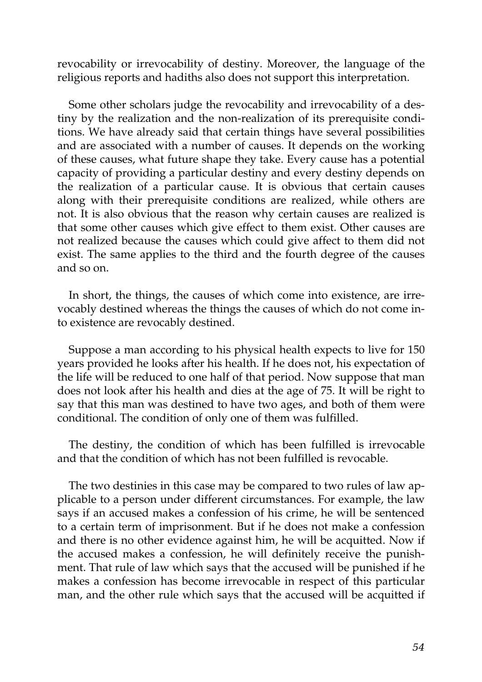revocability or irrevocability of destiny. Moreover, the language of the religious reports and hadiths also does not support this interpretation.

Some other scholars judge the revocability and irrevocability of a destiny by the realization and the non-realization of its prerequisite conditions. We have already said that certain things have several possibilities and are associated with a number of causes. It depends on the working of these causes, what future shape they take. Every cause has a potential capacity of providing a particular destiny and every destiny depends on the realization of a particular cause. It is obvious that certain causes along with their prerequisite conditions are realized, while others are not. It is also obvious that the reason why certain causes are realized is that some other causes which give effect to them exist. Other causes are not realized because the causes which could give affect to them did not exist. The same applies to the third and the fourth degree of the causes and so on.

In short, the things, the causes of which come into existence, are irrevocably destined whereas the things the causes of which do not come into existence are revocably destined.

Suppose a man according to his physical health expects to live for 150 years provided he looks after his health. If he does not, his expectation of the life will be reduced to one half of that period. Now suppose that man does not look after his health and dies at the age of 75. It will be right to say that this man was destined to have two ages, and both of them were conditional. The condition of only one of them was fulfilled.

The destiny, the condition of which has been fulfilled is irrevocable and that the condition of which has not been fulfilled is revocable.

The two destinies in this case may be compared to two rules of law applicable to a person under different circumstances. For example, the law says if an accused makes a confession of his crime, he will be sentenced to a certain term of imprisonment. But if he does not make a confession and there is no other evidence against him, he will be acquitted. Now if the accused makes a confession, he will definitely receive the punishment. That rule of law which says that the accused will be punished if he makes a confession has become irrevocable in respect of this particular man, and the other rule which says that the accused will be acquitted if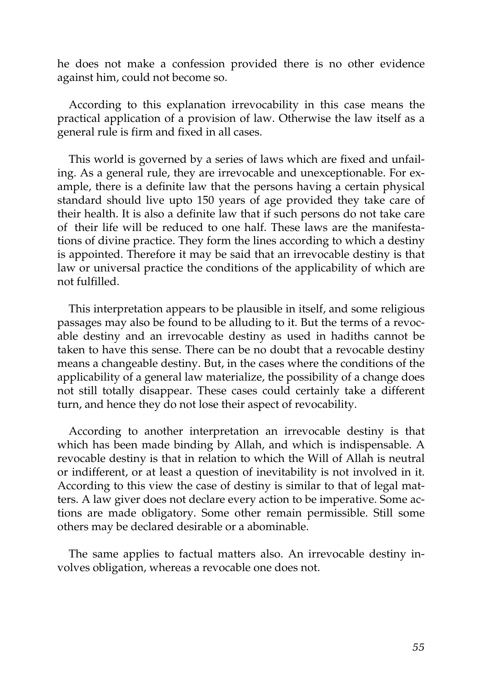he does not make a confession provided there is no other evidence against him, could not become so.

According to this explanation irrevocability in this case means the practical application of a provision of law. Otherwise the law itself as a general rule is firm and fixed in all cases.

This world is governed by a series of laws which are fixed and unfailing. As a general rule, they are irrevocable and unexceptionable. For example, there is a definite law that the persons having a certain physical standard should live upto 150 years of age provided they take care of their health. It is also a definite law that if such persons do not take care of their life will be reduced to one half. These laws are the manifestations of divine practice. They form the lines according to which a destiny is appointed. Therefore it may be said that an irrevocable destiny is that law or universal practice the conditions of the applicability of which are not fulfilled.

This interpretation appears to be plausible in itself, and some religious passages may also be found to be alluding to it. But the terms of a revocable destiny and an irrevocable destiny as used in hadiths cannot be taken to have this sense. There can be no doubt that a revocable destiny means a changeable destiny. But, in the cases where the conditions of the applicability of a general law materialize, the possibility of a change does not still totally disappear. These cases could certainly take a different turn, and hence they do not lose their aspect of revocability.

According to another interpretation an irrevocable destiny is that which has been made binding by Allah, and which is indispensable. A revocable destiny is that in relation to which the Will of Allah is neutral or indifferent, or at least a question of inevitability is not involved in it. According to this view the case of destiny is similar to that of legal matters. A law giver does not declare every action to be imperative. Some actions are made obligatory. Some other remain permissible. Still some others may be declared desirable or a abominable.

The same applies to factual matters also. An irrevocable destiny involves obligation, whereas a revocable one does not.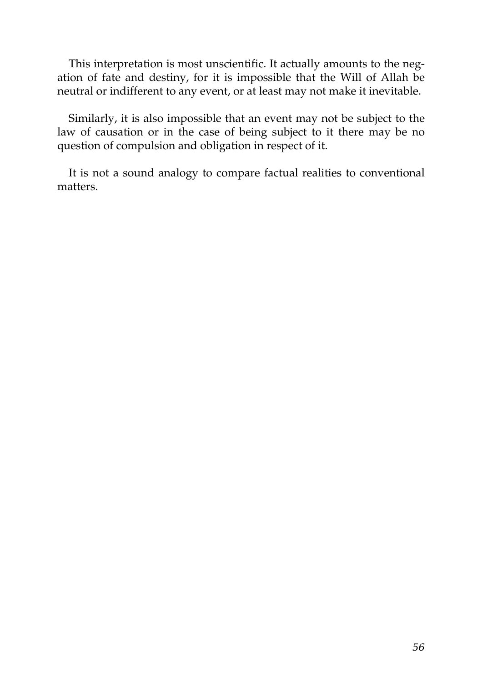This interpretation is most unscientific. It actually amounts to the negation of fate and destiny, for it is impossible that the Will of Allah be neutral or indifferent to any event, or at least may not make it inevitable.

Similarly, it is also impossible that an event may not be subject to the law of causation or in the case of being subject to it there may be no question of compulsion and obligation in respect of it.

It is not a sound analogy to compare factual realities to conventional matters.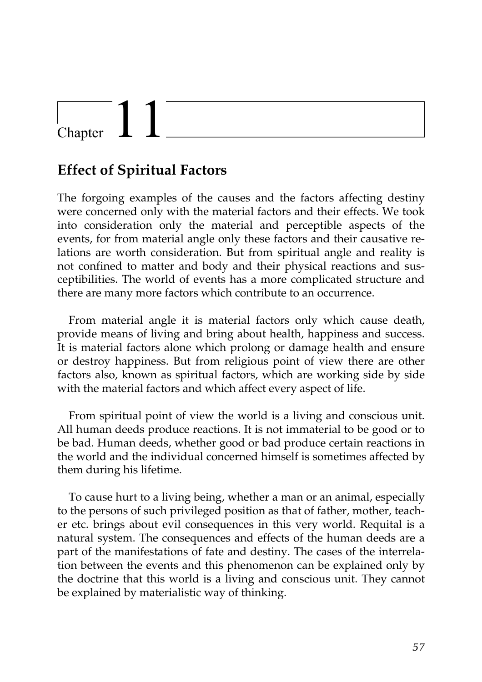## Chapter

### **Effect of Spiritual Factors**

The forgoing examples of the causes and the factors affecting destiny were concerned only with the material factors and their effects. We took into consideration only the material and perceptible aspects of the events, for from material angle only these factors and their causative relations are worth consideration. But from spiritual angle and reality is not confined to matter and body and their physical reactions and susceptibilities. The world of events has a more complicated structure and there are many more factors which contribute to an occurrence.

From material angle it is material factors only which cause death, provide means of living and bring about health, happiness and success. It is material factors alone which prolong or damage health and ensure or destroy happiness. But from religious point of view there are other factors also, known as spiritual factors, which are working side by side with the material factors and which affect every aspect of life.

From spiritual point of view the world is a living and conscious unit. All human deeds produce reactions. It is not immaterial to be good or to be bad. Human deeds, whether good or bad produce certain reactions in the world and the individual concerned himself is sometimes affected by them during his lifetime.

To cause hurt to a living being, whether a man or an animal, especially to the persons of such privileged position as that of father, mother, teacher etc. brings about evil consequences in this very world. Requital is a natural system. The consequences and effects of the human deeds are a part of the manifestations of fate and destiny. The cases of the interrelation between the events and this phenomenon can be explained only by the doctrine that this world is a living and conscious unit. They cannot be explained by materialistic way of thinking.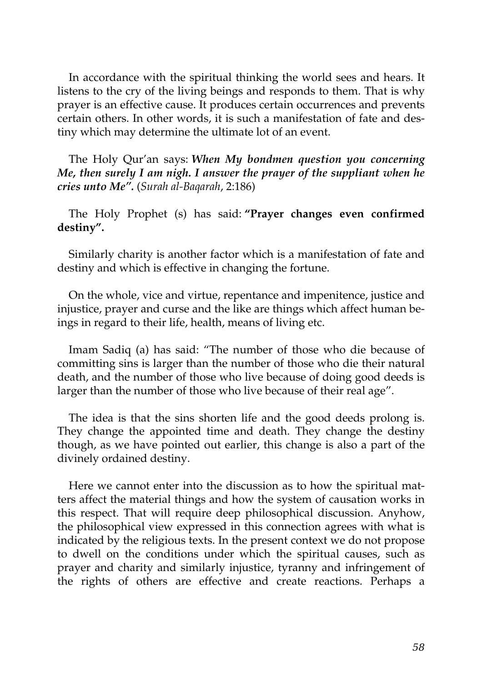In accordance with the spiritual thinking the world sees and hears. It listens to the cry of the living beings and responds to them. That is why prayer is an effective cause. It produces certain occurrences and prevents certain others. In other words, it is such a manifestation of fate and destiny which may determine the ultimate lot of an event.

The Holy Qur'an says: *When My bondmen question you concerning Me, then surely I am nigh. I answer the prayer of the suppliant when he cries unto Me".* (*Surah al-Baqarah*, 2:186)

The Holy Prophet (s) has said: **"Prayer changes even confirmed destiny".**

Similarly charity is another factor which is a manifestation of fate and destiny and which is effective in changing the fortune.

On the whole, vice and virtue, repentance and impenitence, justice and injustice, prayer and curse and the like are things which affect human beings in regard to their life, health, means of living etc.

Imam Sadiq (a) has said: "The number of those who die because of committing sins is larger than the number of those who die their natural death, and the number of those who live because of doing good deeds is larger than the number of those who live because of their real age".

The idea is that the sins shorten life and the good deeds prolong is. They change the appointed time and death. They change the destiny though, as we have pointed out earlier, this change is also a part of the divinely ordained destiny.

Here we cannot enter into the discussion as to how the spiritual matters affect the material things and how the system of causation works in this respect. That will require deep philosophical discussion. Anyhow, the philosophical view expressed in this connection agrees with what is indicated by the religious texts. In the present context we do not propose to dwell on the conditions under which the spiritual causes, such as prayer and charity and similarly injustice, tyranny and infringement of the rights of others are effective and create reactions. Perhaps a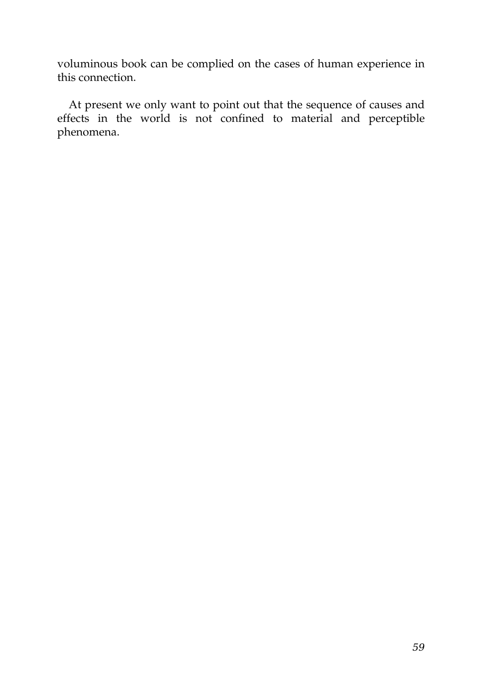voluminous book can be complied on the cases of human experience in this connection.

At present we only want to point out that the sequence of causes and effects in the world is not confined to material and perceptible phenomena.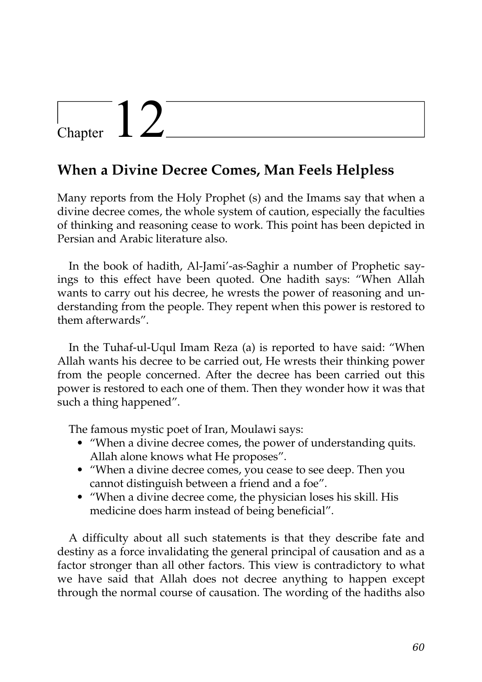## Chapter  $12$

### **When a Divine Decree Comes, Man Feels Helpless**

Many reports from the Holy Prophet (s) and the Imams say that when a divine decree comes, the whole system of caution, especially the faculties of thinking and reasoning cease to work. This point has been depicted in Persian and Arabic literature also.

In the book of hadith, Al-Jami'-as-Saghir a number of Prophetic sayings to this effect have been quoted. One hadith says: "When Allah wants to carry out his decree, he wrests the power of reasoning and understanding from the people. They repent when this power is restored to them afterwards".

In the Tuhaf-ul-Uqul Imam Reza (a) is reported to have said: "When Allah wants his decree to be carried out, He wrests their thinking power from the people concerned. After the decree has been carried out this power is restored to each one of them. Then they wonder how it was that such a thing happened".

The famous mystic poet of Iran, Moulawi says:

- "When a divine decree comes, the power of understanding quits. Allah alone knows what He proposes".
- "When a divine decree comes, you cease to see deep. Then you cannot distinguish between a friend and a foe".
- "When a divine decree come, the physician loses his skill. His medicine does harm instead of being beneficial".

A difficulty about all such statements is that they describe fate and destiny as a force invalidating the general principal of causation and as a factor stronger than all other factors. This view is contradictory to what we have said that Allah does not decree anything to happen except through the normal course of causation. The wording of the hadiths also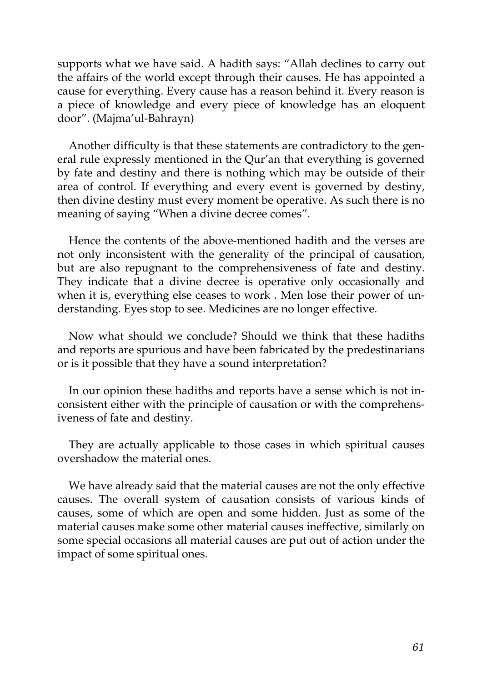supports what we have said. A hadith says: "Allah declines to carry out the affairs of the world except through their causes. He has appointed a cause for everything. Every cause has a reason behind it. Every reason is a piece of knowledge and every piece of knowledge has an eloquent door". (Majma'ul-Bahrayn)

Another difficulty is that these statements are contradictory to the general rule expressly mentioned in the Qur'an that everything is governed by fate and destiny and there is nothing which may be outside of their area of control. If everything and every event is governed by destiny, then divine destiny must every moment be operative. As such there is no meaning of saying "When a divine decree comes".

Hence the contents of the above-mentioned hadith and the verses are not only inconsistent with the generality of the principal of causation, but are also repugnant to the comprehensiveness of fate and destiny. They indicate that a divine decree is operative only occasionally and when it is, everything else ceases to work . Men lose their power of understanding. Eyes stop to see. Medicines are no longer effective.

Now what should we conclude? Should we think that these hadiths and reports are spurious and have been fabricated by the predestinarians or is it possible that they have a sound interpretation?

In our opinion these hadiths and reports have a sense which is not inconsistent either with the principle of causation or with the comprehensiveness of fate and destiny.

They are actually applicable to those cases in which spiritual causes overshadow the material ones.

We have already said that the material causes are not the only effective causes. The overall system of causation consists of various kinds of causes, some of which are open and some hidden. Just as some of the material causes make some other material causes ineffective, similarly on some special occasions all material causes are put out of action under the impact of some spiritual ones.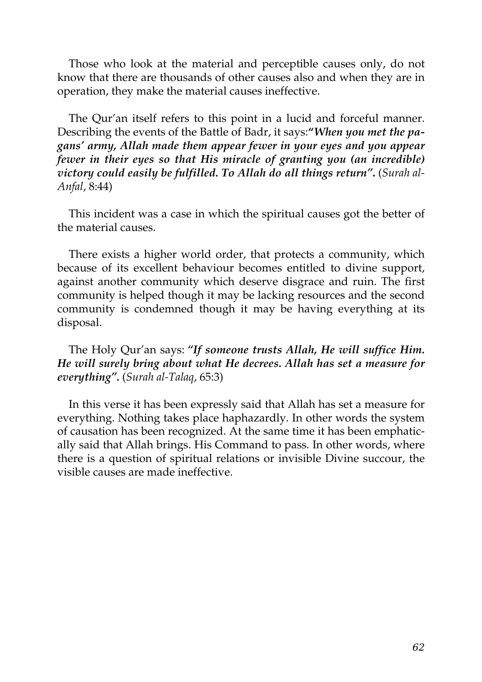Those who look at the material and perceptible causes only, do not know that there are thousands of other causes also and when they are in operation, they make the material causes ineffective.

The Qur'an itself refers to this point in a lucid and forceful manner. Describing the events of the Battle of Badr, it says:**"***When you met the pagans' army, Allah made them appear fewer in your eyes and you appear fewer in their eyes so that His miracle of granting you (an incredible) victory could easily be fulfilled. To Allah do all things return"***.** (*Surah al-Anfal*, 8:44)

This incident was a case in which the spiritual causes got the better of the material causes.

There exists a higher world order, that protects a community, which because of its excellent behaviour becomes entitled to divine support, against another community which deserve disgrace and ruin. The first community is helped though it may be lacking resources and the second community is condemned though it may be having everything at its disposal.

The Holy Qur'an says: *"If someone trusts Allah, He will suffice Him. He will surely bring about what He decrees. Allah has set a measure for everything".* (*Surah al-Talaq*, 65:3)

In this verse it has been expressly said that Allah has set a measure for everything. Nothing takes place haphazardly. In other words the system of causation has been recognized. At the same time it has been emphatically said that Allah brings. His Command to pass. In other words, where there is a question of spiritual relations or invisible Divine succour, the visible causes are made ineffective.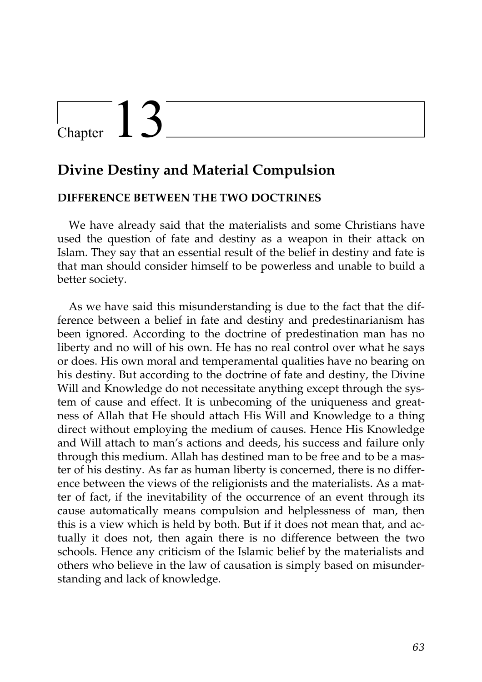## $\frac{1}{2}$  Chapter  $13$

### **Divine Destiny and Material Compulsion**

#### **DIFFERENCE BETWEEN THE TWO DOCTRINES**

We have already said that the materialists and some Christians have used the question of fate and destiny as a weapon in their attack on Islam. They say that an essential result of the belief in destiny and fate is that man should consider himself to be powerless and unable to build a better society.

As we have said this misunderstanding is due to the fact that the difference between a belief in fate and destiny and predestinarianism has been ignored. According to the doctrine of predestination man has no liberty and no will of his own. He has no real control over what he says or does. His own moral and temperamental qualities have no bearing on his destiny. But according to the doctrine of fate and destiny, the Divine Will and Knowledge do not necessitate anything except through the system of cause and effect. It is unbecoming of the uniqueness and greatness of Allah that He should attach His Will and Knowledge to a thing direct without employing the medium of causes. Hence His Knowledge and Will attach to man's actions and deeds, his success and failure only through this medium. Allah has destined man to be free and to be a master of his destiny. As far as human liberty is concerned, there is no difference between the views of the religionists and the materialists. As a matter of fact, if the inevitability of the occurrence of an event through its cause automatically means compulsion and helplessness of man, then this is a view which is held by both. But if it does not mean that, and actually it does not, then again there is no difference between the two schools. Hence any criticism of the Islamic belief by the materialists and others who believe in the law of causation is simply based on misunderstanding and lack of knowledge.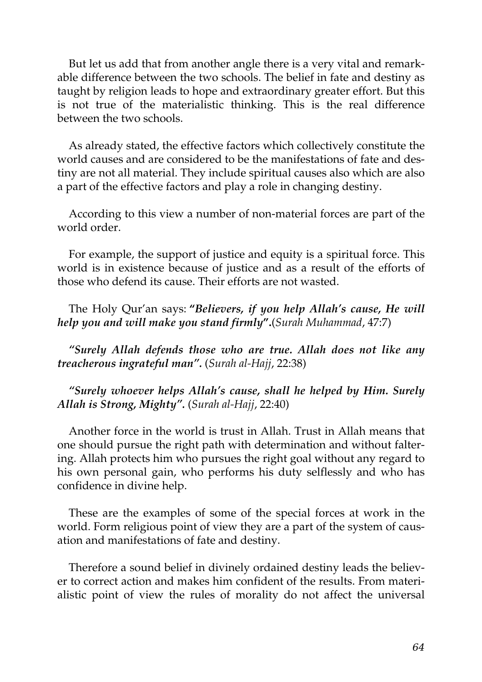But let us add that from another angle there is a very vital and remarkable difference between the two schools. The belief in fate and destiny as taught by religion leads to hope and extraordinary greater effort. But this is not true of the materialistic thinking. This is the real difference between the two schools.

As already stated, the effective factors which collectively constitute the world causes and are considered to be the manifestations of fate and destiny are not all material. They include spiritual causes also which are also a part of the effective factors and play a role in changing destiny.

According to this view a number of non-material forces are part of the world order.

For example, the support of justice and equity is a spiritual force. This world is in existence because of justice and as a result of the efforts of those who defend its cause. Their efforts are not wasted.

The Holy Qur'an says: **"***Believers, if you help Allah's cause, He will help you and will make you stand firmly***".**(*Surah Muhammad*, 47:7)

*"Surely Allah defends those who are true. Allah does not like any treacherous ingrateful man".* (*Surah al-Hajj*, 22:38)

*"Surely whoever helps Allah's cause, shall he helped by Him. Surely Allah is Strong, Mighty".* (*Surah al-Hajj*, 22:40)

Another force in the world is trust in Allah. Trust in Allah means that one should pursue the right path with determination and without faltering. Allah protects him who pursues the right goal without any regard to his own personal gain, who performs his duty selflessly and who has confidence in divine help.

These are the examples of some of the special forces at work in the world. Form religious point of view they are a part of the system of causation and manifestations of fate and destiny.

Therefore a sound belief in divinely ordained destiny leads the believer to correct action and makes him confident of the results. From materialistic point of view the rules of morality do not affect the universal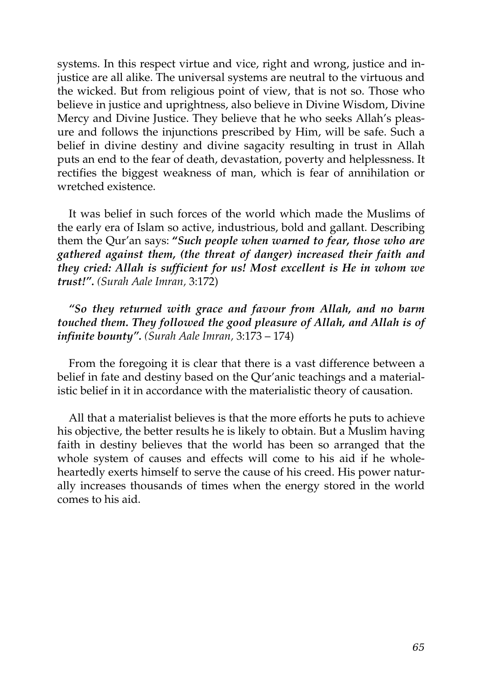systems. In this respect virtue and vice, right and wrong, justice and injustice are all alike. The universal systems are neutral to the virtuous and the wicked. But from religious point of view, that is not so. Those who believe in justice and uprightness, also believe in Divine Wisdom, Divine Mercy and Divine Justice. They believe that he who seeks Allah's pleasure and follows the injunctions prescribed by Him, will be safe. Such a belief in divine destiny and divine sagacity resulting in trust in Allah puts an end to the fear of death, devastation, poverty and helplessness. It rectifies the biggest weakness of man, which is fear of annihilation or wretched existence.

It was belief in such forces of the world which made the Muslims of the early era of Islam so active, industrious, bold and gallant. Describing them the Qur'an says: **"***Such people when warned to fear, those who are gathered against them, (the threat of danger) increased their faith and they cried: Allah is sufficient for us! Most excellent is He in whom we trust!". (Surah Aale Imran,* 3:172)

*"So they returned with grace and favour from Allah, and no barm touched them. They followed the good pleasure of Allah, and Allah is of infinite bounty". (Surah Aale Imran,* 3:173 – 174)

From the foregoing it is clear that there is a vast difference between a belief in fate and destiny based on the Qur'anic teachings and a materialistic belief in it in accordance with the materialistic theory of causation.

All that a materialist believes is that the more efforts he puts to achieve his objective, the better results he is likely to obtain. But a Muslim having faith in destiny believes that the world has been so arranged that the whole system of causes and effects will come to his aid if he wholeheartedly exerts himself to serve the cause of his creed. His power naturally increases thousands of times when the energy stored in the world comes to his aid.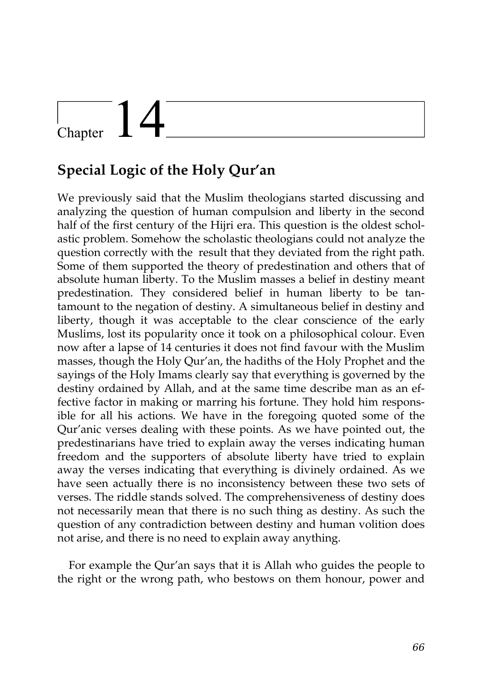## $\begin{array}{c} \begin{array}{c} \end{array}$  Chapter

## **Special Logic of the Holy Qur'an**

We previously said that the Muslim theologians started discussing and analyzing the question of human compulsion and liberty in the second half of the first century of the Hijri era. This question is the oldest scholastic problem. Somehow the scholastic theologians could not analyze the question correctly with the result that they deviated from the right path. Some of them supported the theory of predestination and others that of absolute human liberty. To the Muslim masses a belief in destiny meant predestination. They considered belief in human liberty to be tantamount to the negation of destiny. A simultaneous belief in destiny and liberty, though it was acceptable to the clear conscience of the early Muslims, lost its popularity once it took on a philosophical colour. Even now after a lapse of 14 centuries it does not find favour with the Muslim masses, though the Holy Qur'an, the hadiths of the Holy Prophet and the sayings of the Holy Imams clearly say that everything is governed by the destiny ordained by Allah, and at the same time describe man as an effective factor in making or marring his fortune. They hold him responsible for all his actions. We have in the foregoing quoted some of the Qur'anic verses dealing with these points. As we have pointed out, the predestinarians have tried to explain away the verses indicating human freedom and the supporters of absolute liberty have tried to explain away the verses indicating that everything is divinely ordained. As we have seen actually there is no inconsistency between these two sets of verses. The riddle stands solved. The comprehensiveness of destiny does not necessarily mean that there is no such thing as destiny. As such the question of any contradiction between destiny and human volition does not arise, and there is no need to explain away anything.

For example the Qur'an says that it is Allah who guides the people to the right or the wrong path, who bestows on them honour, power and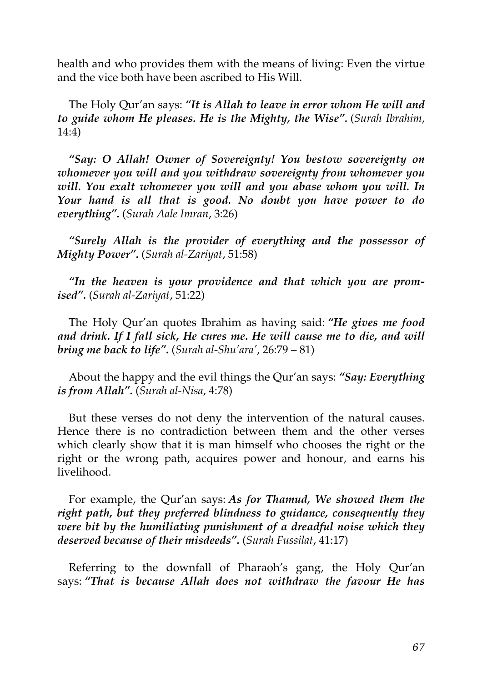health and who provides them with the means of living: Even the virtue and the vice both have been ascribed to His Will.

The Holy Qur'an says: *"It is Allah to leave in error whom He will and to guide whom He pleases. He is the Mighty, the Wise".* (*Surah Ibrahim*, 14:4)

*"Say: O Allah! Owner of Sovereignty! You bestow sovereignty on whomever you will and you withdraw sovereignty from whomever you will. You exalt whomever you will and you abase whom you will. In Your hand is all that is good. No doubt you have power to do everything".* (*Surah Aale Imran*, 3:26)

*"Surely Allah is the provider of everything and the possessor of Mighty Power".* (*Surah al-Zariyat*, 51:58)

*"In the heaven is your providence and that which you are promised".* (*Surah al-Zariyat*, 51:22)

The Holy Qur'an quotes Ibrahim as having said: *"He gives me food and drink. If I fall sick, He cures me. He will cause me to die, and will bring me back to life".* (*Surah al-Shu'ara'*, 26:79 – 81)

About the happy and the evil things the Qur'an says: *"Say: Everything is from Allah".* (*Surah al-Nisa*, 4:78)

But these verses do not deny the intervention of the natural causes. Hence there is no contradiction between them and the other verses which clearly show that it is man himself who chooses the right or the right or the wrong path, acquires power and honour, and earns his livelihood.

For example, the Qur'an says: *As for Thamud, We showed them the right path, but they preferred blindness to guidance, consequently they were bit by the humiliating punishment of a dreadful noise which they deserved because of their misdeeds".* (*Surah Fussilat*, 41:17)

Referring to the downfall of Pharaoh's gang, the Holy Qur'an says: *"That is because Allah does not withdraw the favour He has*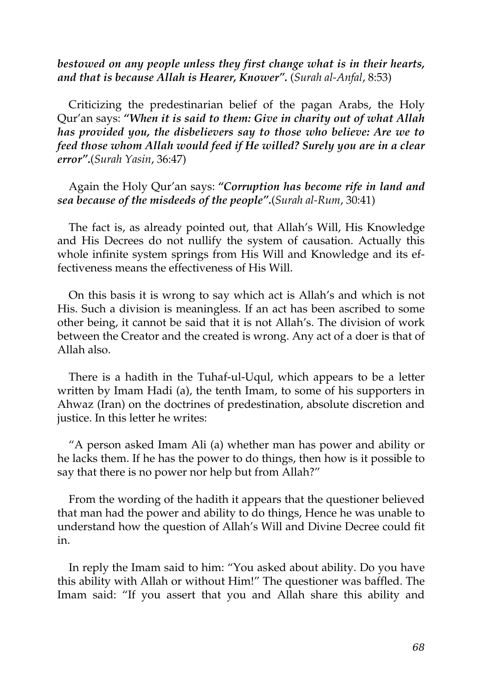#### *bestowed on any people unless they first change what is in their hearts, and that is because Allah is Hearer, Knower".* (*Surah al-Anfal*, 8:53)

Criticizing the predestinarian belief of the pagan Arabs, the Holy Qur'an says: *"When it is said to them: Give in charity out of what Allah has provided you, the disbelievers say to those who believe: Are we to feed those whom Allah would feed if He willed? Surely you are in a clear error".*(*Surah Yasin*, 36:47)

Again the Holy Qur'an says: *"Corruption has become rife in land and sea because of the misdeeds of the people".*(*Surah al-Rum*, 30:41)

The fact is, as already pointed out, that Allah's Will, His Knowledge and His Decrees do not nullify the system of causation. Actually this whole infinite system springs from His Will and Knowledge and its effectiveness means the effectiveness of His Will.

On this basis it is wrong to say which act is Allah's and which is not His. Such a division is meaningless. If an act has been ascribed to some other being, it cannot be said that it is not Allah's. The division of work between the Creator and the created is wrong. Any act of a doer is that of Allah also.

There is a hadith in the Tuhaf-ul-Uqul, which appears to be a letter written by Imam Hadi (a), the tenth Imam, to some of his supporters in Ahwaz (Iran) on the doctrines of predestination, absolute discretion and justice. In this letter he writes:

"A person asked Imam Ali (a) whether man has power and ability or he lacks them. If he has the power to do things, then how is it possible to say that there is no power nor help but from Allah?"

From the wording of the hadith it appears that the questioner believed that man had the power and ability to do things, Hence he was unable to understand how the question of Allah's Will and Divine Decree could fit in.

In reply the Imam said to him: "You asked about ability. Do you have this ability with Allah or without Him!" The questioner was baffled. The Imam said: "If you assert that you and Allah share this ability and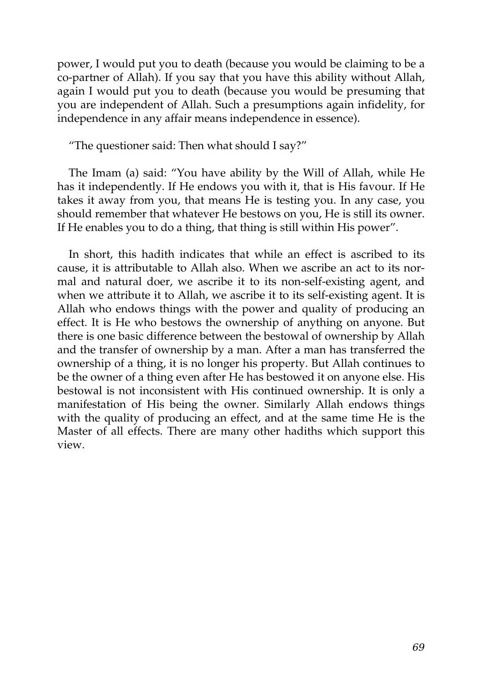power, I would put you to death (because you would be claiming to be a co-partner of Allah). If you say that you have this ability without Allah, again I would put you to death (because you would be presuming that you are independent of Allah. Such a presumptions again infidelity, for independence in any affair means independence in essence).

"The questioner said: Then what should I say?"

The Imam (a) said: "You have ability by the Will of Allah, while He has it independently. If He endows you with it, that is His favour. If He takes it away from you, that means He is testing you. In any case, you should remember that whatever He bestows on you, He is still its owner. If He enables you to do a thing, that thing is still within His power".

In short, this hadith indicates that while an effect is ascribed to its cause, it is attributable to Allah also. When we ascribe an act to its normal and natural doer, we ascribe it to its non-self-existing agent, and when we attribute it to Allah, we ascribe it to its self-existing agent. It is Allah who endows things with the power and quality of producing an effect. It is He who bestows the ownership of anything on anyone. But there is one basic difference between the bestowal of ownership by Allah and the transfer of ownership by a man. After a man has transferred the ownership of a thing, it is no longer his property. But Allah continues to be the owner of a thing even after He has bestowed it on anyone else. His bestowal is not inconsistent with His continued ownership. It is only a manifestation of His being the owner. Similarly Allah endows things with the quality of producing an effect, and at the same time He is the Master of all effects. There are many other hadiths which support this view.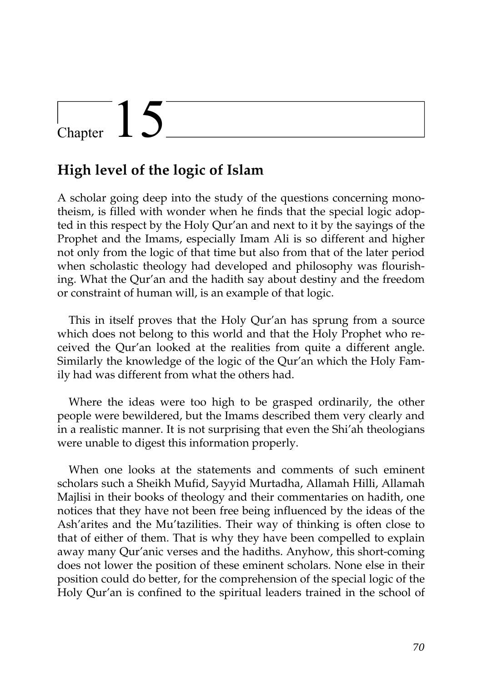## Chapter  $15$

### **High level of the logic of Islam**

A scholar going deep into the study of the questions concerning monotheism, is filled with wonder when he finds that the special logic adopted in this respect by the Holy Qur'an and next to it by the sayings of the Prophet and the Imams, especially Imam Ali is so different and higher not only from the logic of that time but also from that of the later period when scholastic theology had developed and philosophy was flourishing. What the Qur'an and the hadith say about destiny and the freedom or constraint of human will, is an example of that logic.

This in itself proves that the Holy Qur'an has sprung from a source which does not belong to this world and that the Holy Prophet who received the Qur'an looked at the realities from quite a different angle. Similarly the knowledge of the logic of the Qur'an which the Holy Family had was different from what the others had.

Where the ideas were too high to be grasped ordinarily, the other people were bewildered, but the Imams described them very clearly and in a realistic manner. It is not surprising that even the Shi'ah theologians were unable to digest this information properly.

When one looks at the statements and comments of such eminent scholars such a Sheikh Mufid, Sayyid Murtadha, Allamah Hilli, Allamah Majlisi in their books of theology and their commentaries on hadith, one notices that they have not been free being influenced by the ideas of the Ash'arites and the Mu'tazilities. Their way of thinking is often close to that of either of them. That is why they have been compelled to explain away many Qur'anic verses and the hadiths. Anyhow, this short-coming does not lower the position of these eminent scholars. None else in their position could do better, for the comprehension of the special logic of the Holy Qur'an is confined to the spiritual leaders trained in the school of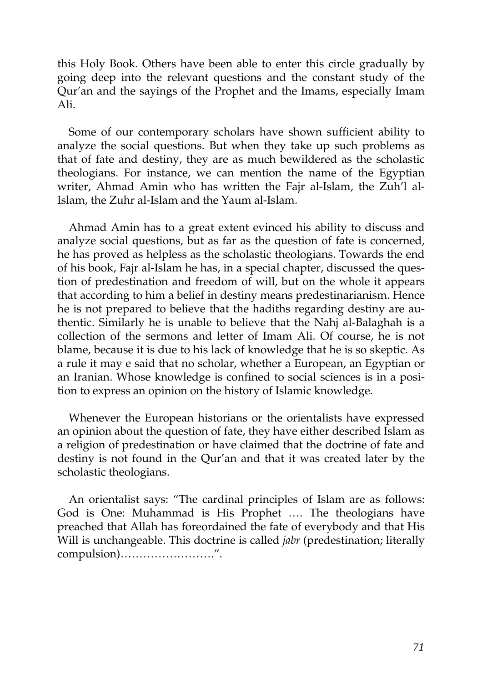this Holy Book. Others have been able to enter this circle gradually by going deep into the relevant questions and the constant study of the Qur'an and the sayings of the Prophet and the Imams, especially Imam Ali.

Some of our contemporary scholars have shown sufficient ability to analyze the social questions. But when they take up such problems as that of fate and destiny, they are as much bewildered as the scholastic theologians. For instance, we can mention the name of the Egyptian writer, Ahmad Amin who has written the Fajr al-Islam, the Zuh'l al-Islam, the Zuhr al-Islam and the Yaum al-Islam.

Ahmad Amin has to a great extent evinced his ability to discuss and analyze social questions, but as far as the question of fate is concerned, he has proved as helpless as the scholastic theologians. Towards the end of his book, Fajr al-Islam he has, in a special chapter, discussed the question of predestination and freedom of will, but on the whole it appears that according to him a belief in destiny means predestinarianism. Hence he is not prepared to believe that the hadiths regarding destiny are authentic. Similarly he is unable to believe that the Nahj al-Balaghah is a collection of the sermons and letter of Imam Ali. Of course, he is not blame, because it is due to his lack of knowledge that he is so skeptic. As a rule it may e said that no scholar, whether a European, an Egyptian or an Iranian. Whose knowledge is confined to social sciences is in a position to express an opinion on the history of Islamic knowledge.

Whenever the European historians or the orientalists have expressed an opinion about the question of fate, they have either described Islam as a religion of predestination or have claimed that the doctrine of fate and destiny is not found in the Qur'an and that it was created later by the scholastic theologians.

An orientalist says: "The cardinal principles of Islam are as follows: God is One: Muhammad is His Prophet …. The theologians have preached that Allah has foreordained the fate of everybody and that His Will is unchangeable. This doctrine is called *jabr* (predestination; literally compulsion)…………………….".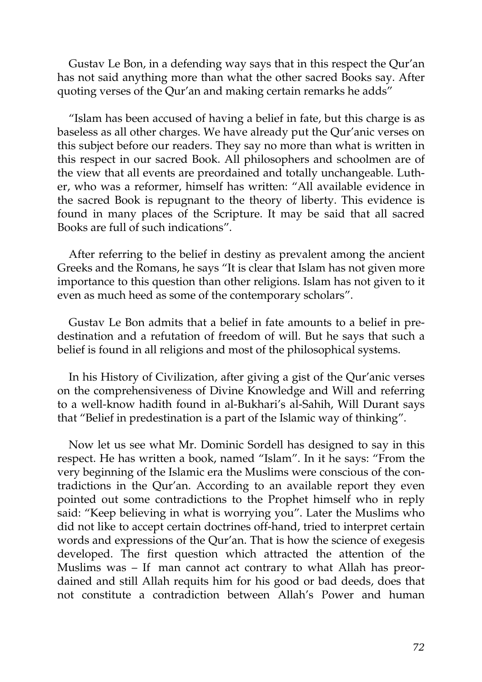Gustav Le Bon, in a defending way says that in this respect the Qur'an has not said anything more than what the other sacred Books say. After quoting verses of the Qur'an and making certain remarks he adds"

"Islam has been accused of having a belief in fate, but this charge is as baseless as all other charges. We have already put the Qur'anic verses on this subject before our readers. They say no more than what is written in this respect in our sacred Book. All philosophers and schoolmen are of the view that all events are preordained and totally unchangeable. Luther, who was a reformer, himself has written: "All available evidence in the sacred Book is repugnant to the theory of liberty. This evidence is found in many places of the Scripture. It may be said that all sacred Books are full of such indications".

After referring to the belief in destiny as prevalent among the ancient Greeks and the Romans, he says "It is clear that Islam has not given more importance to this question than other religions. Islam has not given to it even as much heed as some of the contemporary scholars".

Gustav Le Bon admits that a belief in fate amounts to a belief in predestination and a refutation of freedom of will. But he says that such a belief is found in all religions and most of the philosophical systems.

In his History of Civilization, after giving a gist of the Qur'anic verses on the comprehensiveness of Divine Knowledge and Will and referring to a well-know hadith found in al-Bukhari's al-Sahih, Will Durant says that "Belief in predestination is a part of the Islamic way of thinking".

Now let us see what Mr. Dominic Sordell has designed to say in this respect. He has written a book, named "Islam". In it he says: "From the very beginning of the Islamic era the Muslims were conscious of the contradictions in the Qur'an. According to an available report they even pointed out some contradictions to the Prophet himself who in reply said: "Keep believing in what is worrying you". Later the Muslims who did not like to accept certain doctrines off-hand, tried to interpret certain words and expressions of the Qur'an. That is how the science of exegesis developed. The first question which attracted the attention of the Muslims was – If man cannot act contrary to what Allah has preordained and still Allah requits him for his good or bad deeds, does that not constitute a contradiction between Allah's Power and human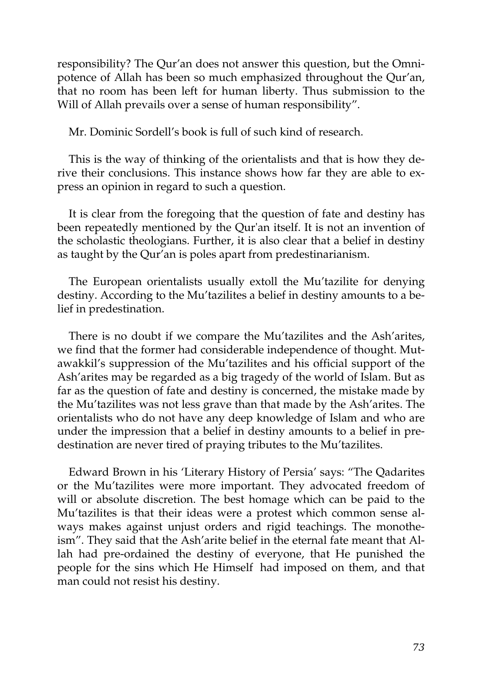responsibility? The Qur'an does not answer this question, but the Omnipotence of Allah has been so much emphasized throughout the Qur'an, that no room has been left for human liberty. Thus submission to the Will of Allah prevails over a sense of human responsibility".

Mr. Dominic Sordell's book is full of such kind of research.

This is the way of thinking of the orientalists and that is how they derive their conclusions. This instance shows how far they are able to express an opinion in regard to such a question.

It is clear from the foregoing that the question of fate and destiny has been repeatedly mentioned by the Qur'an itself. It is not an invention of the scholastic theologians. Further, it is also clear that a belief in destiny as taught by the Qur'an is poles apart from predestinarianism.

The European orientalists usually extoll the Mu'tazilite for denying destiny. According to the Mu'tazilites a belief in destiny amounts to a belief in predestination.

There is no doubt if we compare the Mu'tazilites and the Ash'arites, we find that the former had considerable independence of thought. Mutawakkil's suppression of the Mu'tazilites and his official support of the Ash'arites may be regarded as a big tragedy of the world of Islam. But as far as the question of fate and destiny is concerned, the mistake made by the Mu'tazilites was not less grave than that made by the Ash'arites. The orientalists who do not have any deep knowledge of Islam and who are under the impression that a belief in destiny amounts to a belief in predestination are never tired of praying tributes to the Mu'tazilites.

Edward Brown in his 'Literary History of Persia' says: "The Qadarites or the Mu'tazilites were more important. They advocated freedom of will or absolute discretion. The best homage which can be paid to the Mu'tazilites is that their ideas were a protest which common sense always makes against unjust orders and rigid teachings. The monotheism". They said that the Ash'arite belief in the eternal fate meant that Allah had pre-ordained the destiny of everyone, that He punished the people for the sins which He Himself had imposed on them, and that man could not resist his destiny.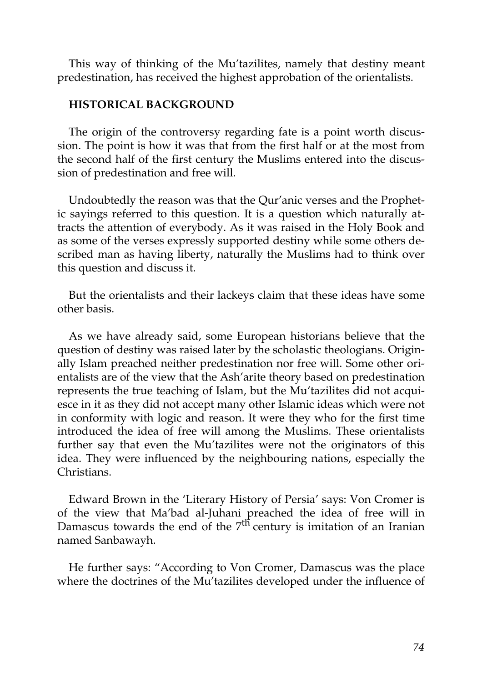This way of thinking of the Mu'tazilites, namely that destiny meant predestination, has received the highest approbation of the orientalists.

#### **HISTORICAL BACKGROUND**

The origin of the controversy regarding fate is a point worth discussion. The point is how it was that from the first half or at the most from the second half of the first century the Muslims entered into the discussion of predestination and free will.

Undoubtedly the reason was that the Qur'anic verses and the Prophetic sayings referred to this question. It is a question which naturally attracts the attention of everybody. As it was raised in the Holy Book and as some of the verses expressly supported destiny while some others described man as having liberty, naturally the Muslims had to think over this question and discuss it.

But the orientalists and their lackeys claim that these ideas have some other basis.

As we have already said, some European historians believe that the question of destiny was raised later by the scholastic theologians. Originally Islam preached neither predestination nor free will. Some other orientalists are of the view that the Ash'arite theory based on predestination represents the true teaching of Islam, but the Mu'tazilites did not acquiesce in it as they did not accept many other Islamic ideas which were not in conformity with logic and reason. It were they who for the first time introduced the idea of free will among the Muslims. These orientalists further say that even the Mu'tazilites were not the originators of this idea. They were influenced by the neighbouring nations, especially the Christians.

Edward Brown in the 'Literary History of Persia' says: Von Cromer is of the view that Ma'bad al-Juhani preached the idea of free will in Damascus towards the end of the 7<sup>th</sup> century is imitation of an Iranian named Sanbawayh.

He further says: "According to Von Cromer, Damascus was the place where the doctrines of the Mu'tazilites developed under the influence of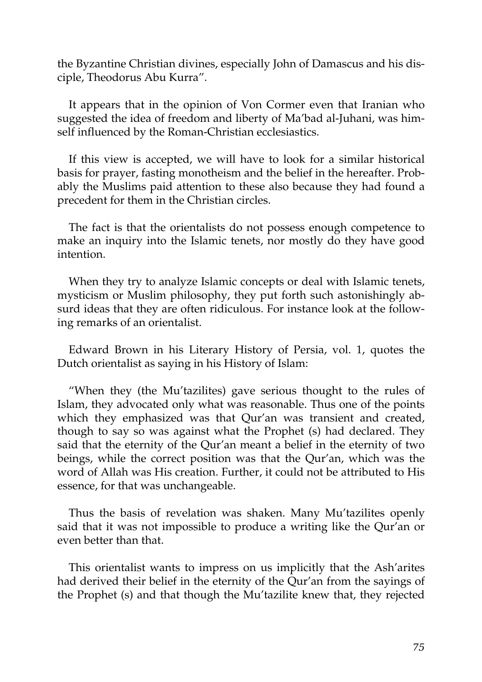the Byzantine Christian divines, especially John of Damascus and his disciple, Theodorus Abu Kurra".

It appears that in the opinion of Von Cormer even that Iranian who suggested the idea of freedom and liberty of Ma'bad al-Juhani, was himself influenced by the Roman-Christian ecclesiastics.

If this view is accepted, we will have to look for a similar historical basis for prayer, fasting monotheism and the belief in the hereafter. Probably the Muslims paid attention to these also because they had found a precedent for them in the Christian circles.

The fact is that the orientalists do not possess enough competence to make an inquiry into the Islamic tenets, nor mostly do they have good intention.

When they try to analyze Islamic concepts or deal with Islamic tenets, mysticism or Muslim philosophy, they put forth such astonishingly absurd ideas that they are often ridiculous. For instance look at the following remarks of an orientalist.

Edward Brown in his Literary History of Persia, vol. 1, quotes the Dutch orientalist as saying in his History of Islam:

"When they (the Mu'tazilites) gave serious thought to the rules of Islam, they advocated only what was reasonable. Thus one of the points which they emphasized was that Qur'an was transient and created, though to say so was against what the Prophet (s) had declared. They said that the eternity of the Qur'an meant a belief in the eternity of two beings, while the correct position was that the Qur'an, which was the word of Allah was His creation. Further, it could not be attributed to His essence, for that was unchangeable.

Thus the basis of revelation was shaken. Many Mu'tazilites openly said that it was not impossible to produce a writing like the Qur'an or even better than that.

This orientalist wants to impress on us implicitly that the Ash'arites had derived their belief in the eternity of the Qur'an from the sayings of the Prophet (s) and that though the Mu'tazilite knew that, they rejected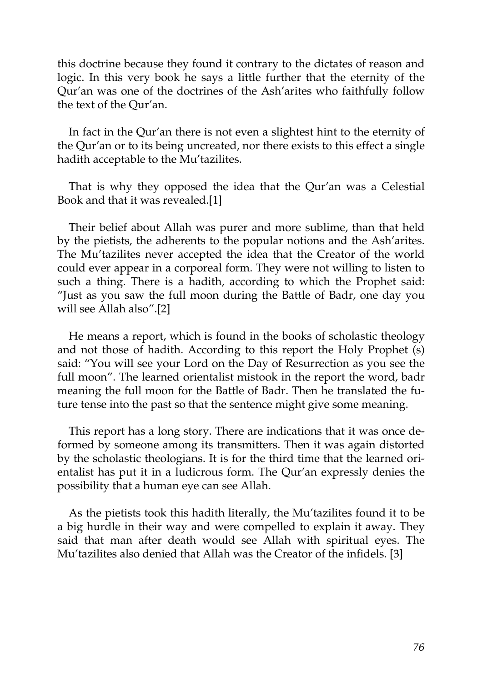this doctrine because they found it contrary to the dictates of reason and logic. In this very book he says a little further that the eternity of the Qur'an was one of the doctrines of the Ash'arites who faithfully follow the text of the Qur'an.

In fact in the Qur'an there is not even a slightest hint to the eternity of the Qur'an or to its being uncreated, nor there exists to this effect a single hadith acceptable to the Mu'tazilites.

That is why they opposed the idea that the Qur'an was a Celestial Book and that it was revealed.[1]

Their belief about Allah was purer and more sublime, than that held by the pietists, the adherents to the popular notions and the Ash'arites. The Mu'tazilites never accepted the idea that the Creator of the world could ever appear in a corporeal form. They were not willing to listen to such a thing. There is a hadith, according to which the Prophet said: "Just as you saw the full moon during the Battle of Badr, one day you will see Allah also".[2]

He means a report, which is found in the books of scholastic theology and not those of hadith. According to this report the Holy Prophet (s) said: "You will see your Lord on the Day of Resurrection as you see the full moon". The learned orientalist mistook in the report the word, badr meaning the full moon for the Battle of Badr. Then he translated the future tense into the past so that the sentence might give some meaning.

This report has a long story. There are indications that it was once deformed by someone among its transmitters. Then it was again distorted by the scholastic theologians. It is for the third time that the learned orientalist has put it in a ludicrous form. The Qur'an expressly denies the possibility that a human eye can see Allah.

As the pietists took this hadith literally, the Mu'tazilites found it to be a big hurdle in their way and were compelled to explain it away. They said that man after death would see Allah with spiritual eyes. The Mu'tazilites also denied that Allah was the Creator of the infidels. [3]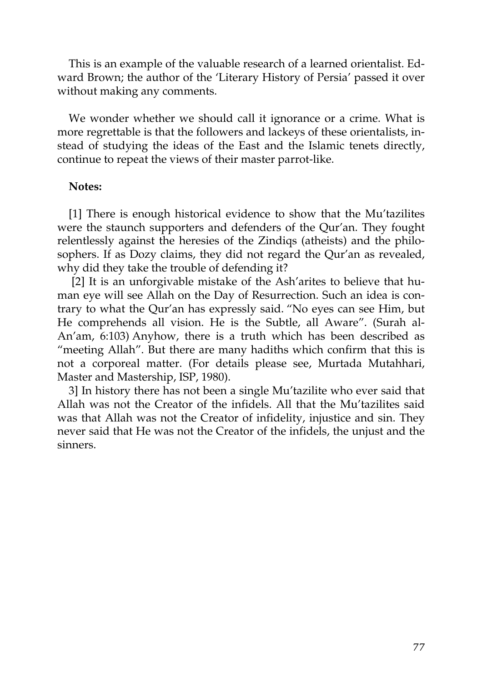This is an example of the valuable research of a learned orientalist. Edward Brown; the author of the 'Literary History of Persia' passed it over without making any comments.

We wonder whether we should call it ignorance or a crime. What is more regrettable is that the followers and lackeys of these orientalists, instead of studying the ideas of the East and the Islamic tenets directly, continue to repeat the views of their master parrot-like.

### **Notes:**

[1] There is enough historical evidence to show that the Mu'tazilites were the staunch supporters and defenders of the Qur'an. They fought relentlessly against the heresies of the Zindiqs (atheists) and the philosophers. If as Dozy claims, they did not regard the Qur'an as revealed, why did they take the trouble of defending it?

[2] It is an unforgivable mistake of the Ash'arites to believe that human eye will see Allah on the Day of Resurrection. Such an idea is contrary to what the Qur'an has expressly said. "No eyes can see Him, but He comprehends all vision. He is the Subtle, all Aware". (Surah al-An'am, 6:103) Anyhow, there is a truth which has been described as "meeting Allah". But there are many hadiths which confirm that this is not a corporeal matter. (For details please see, Murtada Mutahhari, Master and Mastership, ISP, 1980).

3] In history there has not been a single Mu'tazilite who ever said that Allah was not the Creator of the infidels. All that the Mu'tazilites said was that Allah was not the Creator of infidelity, injustice and sin. They never said that He was not the Creator of the infidels, the unjust and the sinners.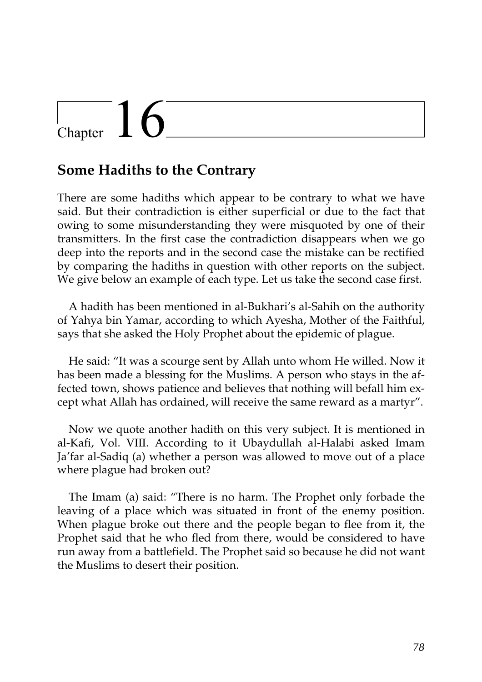# Chapter  $16$

### **Some Hadiths to the Contrary**

There are some hadiths which appear to be contrary to what we have said. But their contradiction is either superficial or due to the fact that owing to some misunderstanding they were misquoted by one of their transmitters. In the first case the contradiction disappears when we go deep into the reports and in the second case the mistake can be rectified by comparing the hadiths in question with other reports on the subject. We give below an example of each type. Let us take the second case first.

A hadith has been mentioned in al-Bukhari's al-Sahih on the authority of Yahya bin Yamar, according to which Ayesha, Mother of the Faithful, says that she asked the Holy Prophet about the epidemic of plague.

He said: "It was a scourge sent by Allah unto whom He willed. Now it has been made a blessing for the Muslims. A person who stays in the affected town, shows patience and believes that nothing will befall him except what Allah has ordained, will receive the same reward as a martyr".

Now we quote another hadith on this very subject. It is mentioned in al-Kafi, Vol. VIII. According to it Ubaydullah al-Halabi asked Imam Ja'far al-Sadiq (a) whether a person was allowed to move out of a place where plague had broken out?

The Imam (a) said: "There is no harm. The Prophet only forbade the leaving of a place which was situated in front of the enemy position. When plague broke out there and the people began to flee from it, the Prophet said that he who fled from there, would be considered to have run away from a battlefield. The Prophet said so because he did not want the Muslims to desert their position.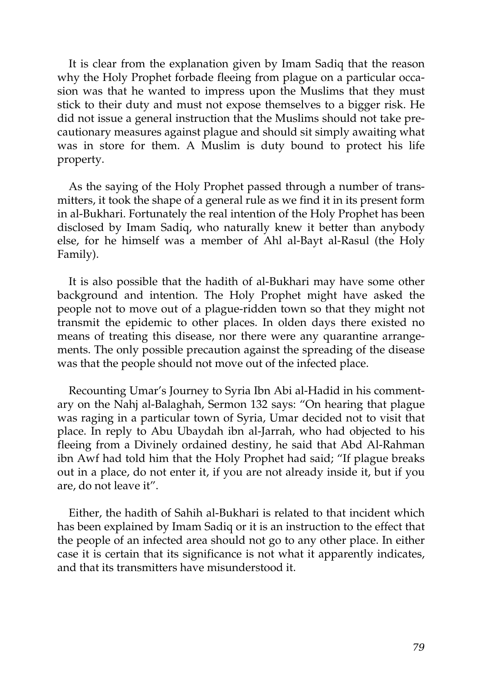It is clear from the explanation given by Imam Sadiq that the reason why the Holy Prophet forbade fleeing from plague on a particular occasion was that he wanted to impress upon the Muslims that they must stick to their duty and must not expose themselves to a bigger risk. He did not issue a general instruction that the Muslims should not take precautionary measures against plague and should sit simply awaiting what was in store for them. A Muslim is duty bound to protect his life property.

As the saying of the Holy Prophet passed through a number of transmitters, it took the shape of a general rule as we find it in its present form in al-Bukhari. Fortunately the real intention of the Holy Prophet has been disclosed by Imam Sadiq, who naturally knew it better than anybody else, for he himself was a member of Ahl al-Bayt al-Rasul (the Holy Family).

It is also possible that the hadith of al-Bukhari may have some other background and intention. The Holy Prophet might have asked the people not to move out of a plague-ridden town so that they might not transmit the epidemic to other places. In olden days there existed no means of treating this disease, nor there were any quarantine arrangements. The only possible precaution against the spreading of the disease was that the people should not move out of the infected place.

Recounting Umar's Journey to Syria Ibn Abi al-Hadid in his commentary on the Nahj al-Balaghah, Sermon 132 says: "On hearing that plague was raging in a particular town of Syria, Umar decided not to visit that place. In reply to Abu Ubaydah ibn al-Jarrah, who had objected to his fleeing from a Divinely ordained destiny, he said that Abd Al-Rahman ibn Awf had told him that the Holy Prophet had said; "If plague breaks out in a place, do not enter it, if you are not already inside it, but if you are, do not leave it".

Either, the hadith of Sahih al-Bukhari is related to that incident which has been explained by Imam Sadiq or it is an instruction to the effect that the people of an infected area should not go to any other place. In either case it is certain that its significance is not what it apparently indicates, and that its transmitters have misunderstood it.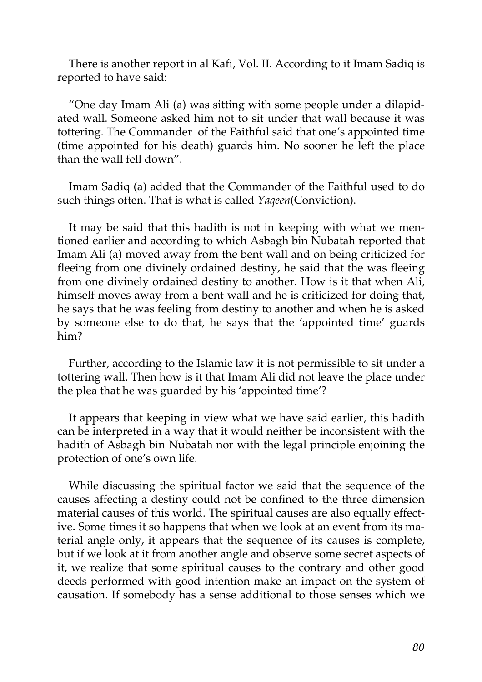There is another report in al Kafi, Vol. II. According to it Imam Sadiq is reported to have said:

"One day Imam Ali (a) was sitting with some people under a dilapidated wall. Someone asked him not to sit under that wall because it was tottering. The Commander of the Faithful said that one's appointed time (time appointed for his death) guards him. No sooner he left the place than the wall fell down".

Imam Sadiq (a) added that the Commander of the Faithful used to do such things often. That is what is called *Yaqeen*(Conviction).

It may be said that this hadith is not in keeping with what we mentioned earlier and according to which Asbagh bin Nubatah reported that Imam Ali (a) moved away from the bent wall and on being criticized for fleeing from one divinely ordained destiny, he said that the was fleeing from one divinely ordained destiny to another. How is it that when Ali, himself moves away from a bent wall and he is criticized for doing that, he says that he was feeling from destiny to another and when he is asked by someone else to do that, he says that the 'appointed time' guards him?

Further, according to the Islamic law it is not permissible to sit under a tottering wall. Then how is it that Imam Ali did not leave the place under the plea that he was guarded by his 'appointed time'?

It appears that keeping in view what we have said earlier, this hadith can be interpreted in a way that it would neither be inconsistent with the hadith of Asbagh bin Nubatah nor with the legal principle enjoining the protection of one's own life.

While discussing the spiritual factor we said that the sequence of the causes affecting a destiny could not be confined to the three dimension material causes of this world. The spiritual causes are also equally effective. Some times it so happens that when we look at an event from its material angle only, it appears that the sequence of its causes is complete, but if we look at it from another angle and observe some secret aspects of it, we realize that some spiritual causes to the contrary and other good deeds performed with good intention make an impact on the system of causation. If somebody has a sense additional to those senses which we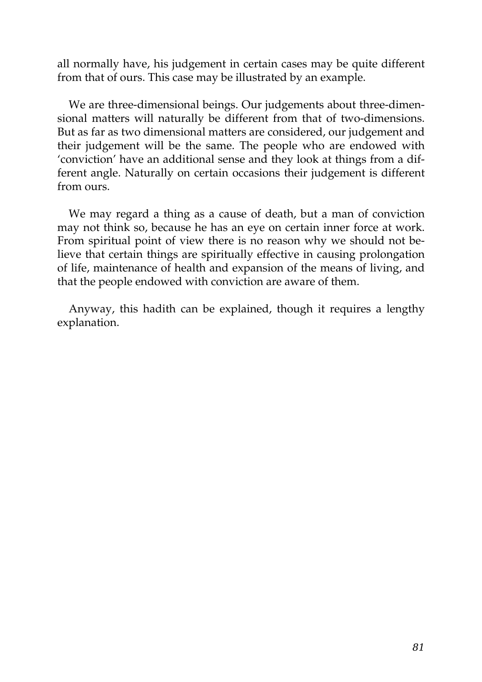all normally have, his judgement in certain cases may be quite different from that of ours. This case may be illustrated by an example.

We are three-dimensional beings. Our judgements about three-dimensional matters will naturally be different from that of two-dimensions. But as far as two dimensional matters are considered, our judgement and their judgement will be the same. The people who are endowed with 'conviction' have an additional sense and they look at things from a different angle. Naturally on certain occasions their judgement is different from ours.

We may regard a thing as a cause of death, but a man of conviction may not think so, because he has an eye on certain inner force at work. From spiritual point of view there is no reason why we should not believe that certain things are spiritually effective in causing prolongation of life, maintenance of health and expansion of the means of living, and that the people endowed with conviction are aware of them.

Anyway, this hadith can be explained, though it requires a lengthy explanation.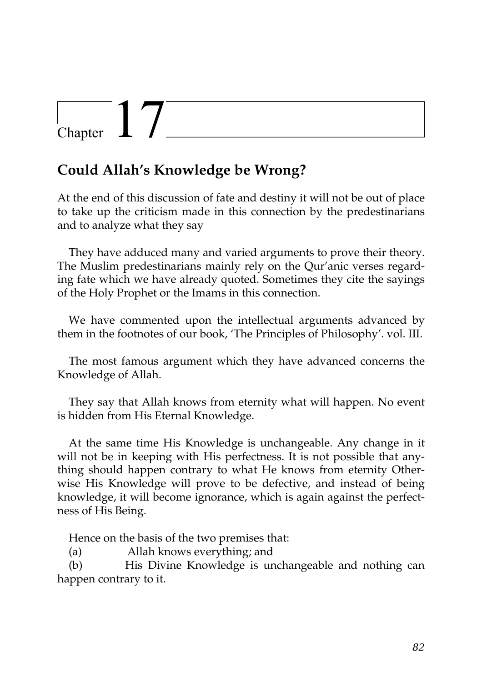# Chapter  $17$

## **Could Allah's Knowledge be Wrong?**

At the end of this discussion of fate and destiny it will not be out of place to take up the criticism made in this connection by the predestinarians and to analyze what they say

They have adduced many and varied arguments to prove their theory. The Muslim predestinarians mainly rely on the Qur'anic verses regarding fate which we have already quoted. Sometimes they cite the sayings of the Holy Prophet or the Imams in this connection.

We have commented upon the intellectual arguments advanced by them in the footnotes of our book, 'The Principles of Philosophy'. vol. III.

The most famous argument which they have advanced concerns the Knowledge of Allah.

They say that Allah knows from eternity what will happen. No event is hidden from His Eternal Knowledge.

At the same time His Knowledge is unchangeable. Any change in it will not be in keeping with His perfectness. It is not possible that anything should happen contrary to what He knows from eternity Otherwise His Knowledge will prove to be defective, and instead of being knowledge, it will become ignorance, which is again against the perfectness of His Being.

Hence on the basis of the two premises that:

(a) Allah knows everything; and

(b) His Divine Knowledge is unchangeable and nothing can happen contrary to it.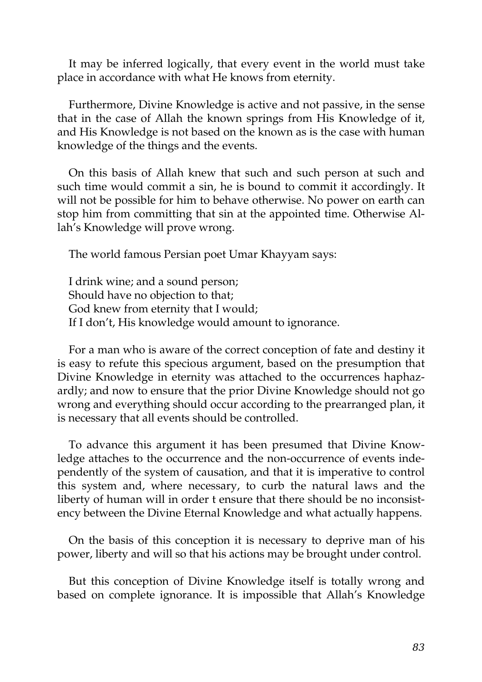It may be inferred logically, that every event in the world must take place in accordance with what He knows from eternity.

Furthermore, Divine Knowledge is active and not passive, in the sense that in the case of Allah the known springs from His Knowledge of it, and His Knowledge is not based on the known as is the case with human knowledge of the things and the events.

On this basis of Allah knew that such and such person at such and such time would commit a sin, he is bound to commit it accordingly. It will not be possible for him to behave otherwise. No power on earth can stop him from committing that sin at the appointed time. Otherwise Allah's Knowledge will prove wrong.

The world famous Persian poet Umar Khayyam says:

I drink wine; and a sound person; Should have no objection to that; God knew from eternity that I would; If I don't, His knowledge would amount to ignorance.

For a man who is aware of the correct conception of fate and destiny it is easy to refute this specious argument, based on the presumption that Divine Knowledge in eternity was attached to the occurrences haphazardly; and now to ensure that the prior Divine Knowledge should not go wrong and everything should occur according to the prearranged plan, it is necessary that all events should be controlled.

To advance this argument it has been presumed that Divine Knowledge attaches to the occurrence and the non-occurrence of events independently of the system of causation, and that it is imperative to control this system and, where necessary, to curb the natural laws and the liberty of human will in order t ensure that there should be no inconsistency between the Divine Eternal Knowledge and what actually happens.

On the basis of this conception it is necessary to deprive man of his power, liberty and will so that his actions may be brought under control.

But this conception of Divine Knowledge itself is totally wrong and based on complete ignorance. It is impossible that Allah's Knowledge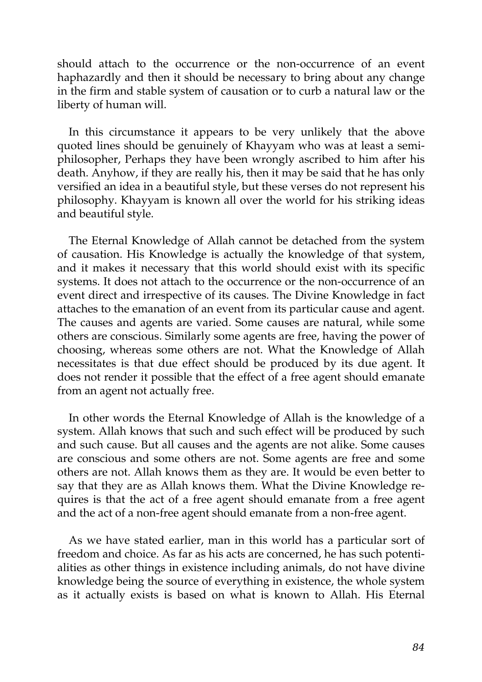should attach to the occurrence or the non-occurrence of an event haphazardly and then it should be necessary to bring about any change in the firm and stable system of causation or to curb a natural law or the liberty of human will.

In this circumstance it appears to be very unlikely that the above quoted lines should be genuinely of Khayyam who was at least a semiphilosopher, Perhaps they have been wrongly ascribed to him after his death. Anyhow, if they are really his, then it may be said that he has only versified an idea in a beautiful style, but these verses do not represent his philosophy. Khayyam is known all over the world for his striking ideas and beautiful style.

The Eternal Knowledge of Allah cannot be detached from the system of causation. His Knowledge is actually the knowledge of that system, and it makes it necessary that this world should exist with its specific systems. It does not attach to the occurrence or the non-occurrence of an event direct and irrespective of its causes. The Divine Knowledge in fact attaches to the emanation of an event from its particular cause and agent. The causes and agents are varied. Some causes are natural, while some others are conscious. Similarly some agents are free, having the power of choosing, whereas some others are not. What the Knowledge of Allah necessitates is that due effect should be produced by its due agent. It does not render it possible that the effect of a free agent should emanate from an agent not actually free.

In other words the Eternal Knowledge of Allah is the knowledge of a system. Allah knows that such and such effect will be produced by such and such cause. But all causes and the agents are not alike. Some causes are conscious and some others are not. Some agents are free and some others are not. Allah knows them as they are. It would be even better to say that they are as Allah knows them. What the Divine Knowledge requires is that the act of a free agent should emanate from a free agent and the act of a non-free agent should emanate from a non-free agent.

As we have stated earlier, man in this world has a particular sort of freedom and choice. As far as his acts are concerned, he has such potentialities as other things in existence including animals, do not have divine knowledge being the source of everything in existence, the whole system as it actually exists is based on what is known to Allah. His Eternal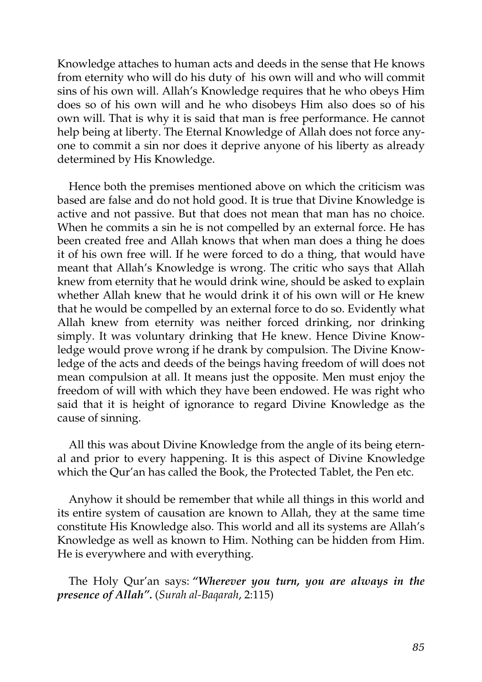Knowledge attaches to human acts and deeds in the sense that He knows from eternity who will do his duty of his own will and who will commit sins of his own will. Allah's Knowledge requires that he who obeys Him does so of his own will and he who disobeys Him also does so of his own will. That is why it is said that man is free performance. He cannot help being at liberty. The Eternal Knowledge of Allah does not force anyone to commit a sin nor does it deprive anyone of his liberty as already determined by His Knowledge.

Hence both the premises mentioned above on which the criticism was based are false and do not hold good. It is true that Divine Knowledge is active and not passive. But that does not mean that man has no choice. When he commits a sin he is not compelled by an external force. He has been created free and Allah knows that when man does a thing he does it of his own free will. If he were forced to do a thing, that would have meant that Allah's Knowledge is wrong. The critic who says that Allah knew from eternity that he would drink wine, should be asked to explain whether Allah knew that he would drink it of his own will or He knew that he would be compelled by an external force to do so. Evidently what Allah knew from eternity was neither forced drinking, nor drinking simply. It was voluntary drinking that He knew. Hence Divine Knowledge would prove wrong if he drank by compulsion. The Divine Knowledge of the acts and deeds of the beings having freedom of will does not mean compulsion at all. It means just the opposite. Men must enjoy the freedom of will with which they have been endowed. He was right who said that it is height of ignorance to regard Divine Knowledge as the cause of sinning.

All this was about Divine Knowledge from the angle of its being eternal and prior to every happening. It is this aspect of Divine Knowledge which the Qur'an has called the Book, the Protected Tablet, the Pen etc.

Anyhow it should be remember that while all things in this world and its entire system of causation are known to Allah, they at the same time constitute His Knowledge also. This world and all its systems are Allah's Knowledge as well as known to Him. Nothing can be hidden from Him. He is everywhere and with everything.

The Holy Qur'an says: *"Wherever you turn, you are always in the presence of Allah".* (*Surah al-Baqarah*, 2:115)